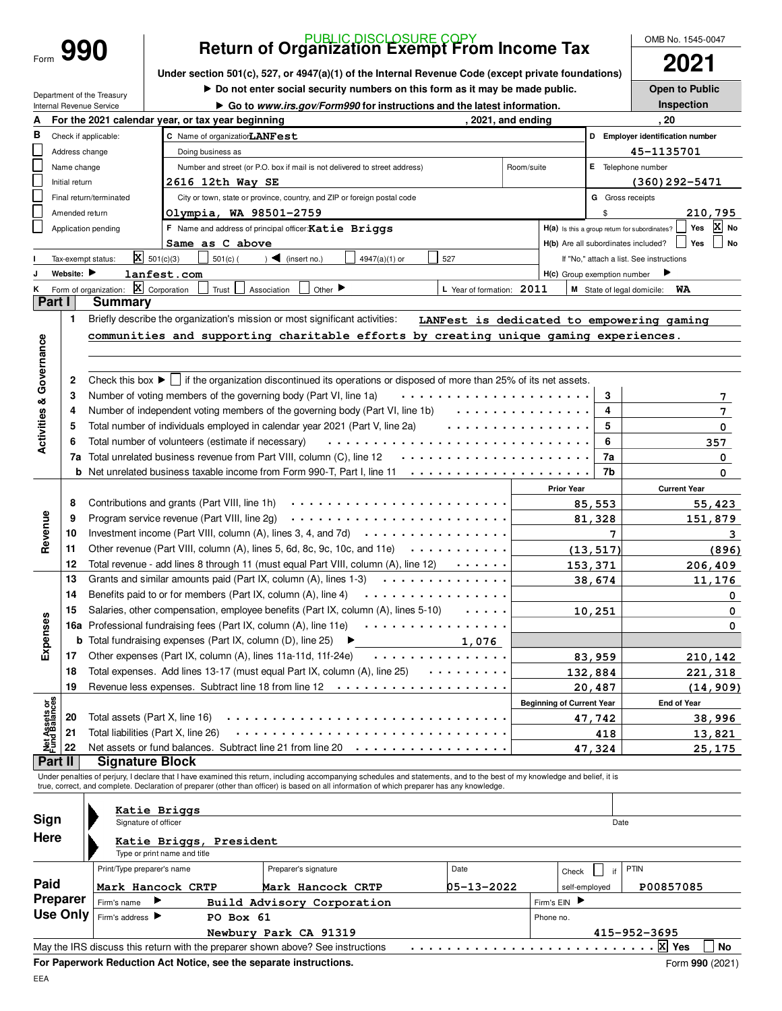|                                    |                                |                                       |                                                         | <b>Return of Organization Exempt From Income Tax</b>                                                                                                                                                                                        |               |                           |            |                                     |                         | OMB No. 1545-0047                                            |
|------------------------------------|--------------------------------|---------------------------------------|---------------------------------------------------------|---------------------------------------------------------------------------------------------------------------------------------------------------------------------------------------------------------------------------------------------|---------------|---------------------------|------------|-------------------------------------|-------------------------|--------------------------------------------------------------|
|                                    | 990                            |                                       |                                                         |                                                                                                                                                                                                                                             |               |                           |            |                                     |                         | 2021                                                         |
|                                    |                                |                                       |                                                         | Under section 501(c), 527, or 4947(a)(1) of the Internal Revenue Code (except private foundations)                                                                                                                                          |               |                           |            |                                     |                         |                                                              |
|                                    |                                | Department of the Treasury            |                                                         | Do not enter social security numbers on this form as it may be made public.                                                                                                                                                                 |               |                           |            |                                     |                         | <b>Open to Public</b>                                        |
|                                    |                                | Internal Revenue Service              |                                                         | Go to www.irs.gov/Form990 for instructions and the latest information.                                                                                                                                                                      |               |                           |            |                                     |                         | Inspection                                                   |
|                                    |                                |                                       | For the 2021 calendar year, or tax year beginning       |                                                                                                                                                                                                                                             |               | , 2021, and ending        |            |                                     |                         | . 20                                                         |
|                                    |                                | Check if applicable:                  | C Name of organizationLANFest                           |                                                                                                                                                                                                                                             |               |                           |            |                                     |                         | D Employer identification number                             |
|                                    |                                | Address change                        | Doing business as                                       |                                                                                                                                                                                                                                             |               |                           |            |                                     |                         | 45-1135701                                                   |
|                                    | Name change                    |                                       |                                                         | Number and street (or P.O. box if mail is not delivered to street address)                                                                                                                                                                  |               |                           | Room/suite |                                     |                         | E Telephone number                                           |
|                                    | Initial return                 |                                       | 2616 12th Way SE                                        |                                                                                                                                                                                                                                             |               |                           |            |                                     |                         | $(360)$ 292-5471                                             |
|                                    |                                | Final return/terminated               |                                                         | City or town, state or province, country, and ZIP or foreign postal code                                                                                                                                                                    |               |                           |            |                                     | <b>G</b> Gross receipts |                                                              |
|                                    | Amended return                 |                                       |                                                         | Olympia, WA 98501-2759                                                                                                                                                                                                                      |               |                           |            |                                     | \$                      | 210,795                                                      |
|                                    |                                | Application pending                   |                                                         | F Name and address of principal officer: Katie Briggs                                                                                                                                                                                       |               |                           |            |                                     |                         | X No<br>Yes<br>H(a) Is this a group return for subordinates? |
|                                    |                                |                                       | Same as C above                                         |                                                                                                                                                                                                                                             |               |                           |            | H(b) Are all subordinates included? |                         | <b>No</b><br>Yes                                             |
|                                    |                                | Tax-exempt status:                    | $\overline{X}$ 501(c)(3)<br>$501(c)$ (                  | $\blacktriangleleft$ (insert no.)                                                                                                                                                                                                           | 4947(a)(1) or | 527                       |            |                                     |                         | If "No," attach a list. See instructions                     |
|                                    | Website: $\blacktriangleright$ |                                       | lanfest.com                                             |                                                                                                                                                                                                                                             |               |                           |            | H(c) Group exemption number         |                         |                                                              |
|                                    |                                | Form of organization: $X$ Corporation | Trust                                                   | Other<br>Association                                                                                                                                                                                                                        |               | L Year of formation: 2011 |            |                                     |                         | M State of legal domicile:<br>WA                             |
| Part I                             |                                | <b>Summary</b>                        |                                                         |                                                                                                                                                                                                                                             |               |                           |            |                                     |                         |                                                              |
| <b>Activities &amp; Governance</b> |                                |                                       |                                                         | communities and supporting charitable efforts by creating unique gaming experiences.<br>Check this box $\blacktriangleright \hspace{1.5mm}$ if the organization discontinued its operations or disposed of more than 25% of its net assets. |               |                           |            |                                     |                         |                                                              |
|                                    | 2<br>3                         |                                       |                                                         |                                                                                                                                                                                                                                             |               |                           |            |                                     | 3                       |                                                              |
|                                    | 4                              |                                       |                                                         | Number of voting members of the governing body (Part VI, line 1a)                                                                                                                                                                           |               |                           |            |                                     | 4                       | 7                                                            |
|                                    | 5                              |                                       |                                                         | Number of independent voting members of the governing body (Part VI, line 1b)<br>Total number of individuals employed in calendar year 2021 (Part V, line 2a)                                                                               |               |                           |            |                                     | 5                       | $7\phantom{.}$<br>0                                          |
|                                    | 6                              |                                       | Total number of volunteers (estimate if necessary)      |                                                                                                                                                                                                                                             |               |                           |            |                                     | 6                       | 357                                                          |
|                                    | 7a                             |                                       |                                                         | Total unrelated business revenue from Part VIII, column (C), line 12                                                                                                                                                                        | .             |                           |            |                                     | 7a                      |                                                              |
|                                    |                                |                                       |                                                         | <b>b</b> Net unrelated business taxable income from Form 990-T, Part I, line $11 \ldots \ldots \ldots \ldots \ldots \ldots \ldots$                                                                                                          |               |                           |            |                                     | 7b                      | 0<br>0                                                       |
|                                    |                                |                                       |                                                         |                                                                                                                                                                                                                                             |               |                           |            |                                     |                         |                                                              |
|                                    | 8                              |                                       | Contributions and grants (Part VIII, line 1h)           |                                                                                                                                                                                                                                             |               |                           |            | <b>Prior Year</b>                   |                         | <b>Current Year</b>                                          |
|                                    | 9                              |                                       | Program service revenue (Part VIII, line 2g)            |                                                                                                                                                                                                                                             |               |                           |            |                                     | 85,553<br>81,328        | 55,423<br>151,879                                            |
| Revenue                            | 10                             |                                       |                                                         | Investment income (Part VIII, column (A), lines 3, 4, and 7d) $\cdots$ $\cdots$ $\cdots$ $\cdots$ $\cdots$ $\cdots$                                                                                                                         |               |                           |            |                                     | 7                       | 3                                                            |
|                                    | 11                             |                                       |                                                         | Other revenue (Part VIII, column (A), lines 5, 6d, 8c, 9c, 10c, and 11e) $\cdots \cdots \cdots$                                                                                                                                             |               |                           |            |                                     | (13, 517)               | (896)                                                        |
|                                    | 12                             |                                       |                                                         | Total revenue - add lines 8 through 11 (must equal Part VIII, column (A), line 12)                                                                                                                                                          |               |                           |            |                                     | 153,371                 | 206,409                                                      |
|                                    | 13                             |                                       |                                                         | Grants and similar amounts paid (Part IX, column (A), lines 1-3)                                                                                                                                                                            |               | .                         |            |                                     | 38,674                  | 11,176                                                       |
|                                    | 14                             |                                       |                                                         | Benefits paid to or for members (Part IX, column (A), line 4)                                                                                                                                                                               |               |                           |            |                                     |                         | 0                                                            |
|                                    | 15                             |                                       |                                                         | Salaries, other compensation, employee benefits (Part IX, column (A), lines 5-10)                                                                                                                                                           |               |                           |            |                                     | 10,251                  | 0                                                            |
| Expenses                           |                                |                                       |                                                         | 16a Professional fundraising fees (Part IX, column (A), line 11e)                                                                                                                                                                           | .             |                           |            |                                     |                         | 0                                                            |
|                                    |                                |                                       |                                                         | <b>b</b> Total fundraising expenses (Part IX, column (D), line 25) $\blacktriangleright$                                                                                                                                                    |               | 1,076                     |            |                                     |                         |                                                              |
|                                    | 17                             |                                       |                                                         | Other expenses (Part IX, column (A), lines 11a-11d, 11f-24e)                                                                                                                                                                                |               | .                         |            |                                     | 83,959                  | 210,142                                                      |
|                                    | 18                             |                                       |                                                         | Total expenses. Add lines 13-17 (must equal Part IX, column (A), line 25)                                                                                                                                                                   |               | .                         |            |                                     | 132,884                 | 221,318                                                      |
|                                    | 19                             |                                       |                                                         |                                                                                                                                                                                                                                             |               |                           |            |                                     | 20,487                  | (14, 909)                                                    |
|                                    |                                |                                       |                                                         |                                                                                                                                                                                                                                             |               |                           |            | <b>Beginning of Current Year</b>    |                         | <b>End of Year</b>                                           |
|                                    | 20                             |                                       | Total assets (Part X, line 16)                          |                                                                                                                                                                                                                                             |               |                           |            |                                     | 47,742                  | 38,996                                                       |
|                                    | 21                             |                                       | Total liabilities (Part X, line 26)                     |                                                                                                                                                                                                                                             |               |                           |            |                                     | 418                     | 13,821                                                       |
| Net Assets or<br>Fund Balances     | 22                             |                                       |                                                         | Net assets or fund balances. Subtract line 21 from line 20                                                                                                                                                                                  |               |                           |            |                                     | 47,324                  | 25,175                                                       |
| Part II                            |                                |                                       | <b>Signature Block</b>                                  |                                                                                                                                                                                                                                             |               |                           |            |                                     |                         |                                                              |
|                                    |                                |                                       |                                                         | Under penalties of perjury, I declare that I have examined this return, including accompanying schedules and statements, and to the best of my knowledge and belief, it is                                                                  |               |                           |            |                                     |                         |                                                              |
|                                    |                                |                                       |                                                         | true, correct, and complete. Declaration of preparer (other than officer) is based on all information of which preparer has any knowledge.                                                                                                  |               |                           |            |                                     |                         |                                                              |
|                                    |                                |                                       | Katie Briggs                                            |                                                                                                                                                                                                                                             |               |                           |            |                                     |                         |                                                              |
| Sign                               |                                |                                       | Signature of officer                                    |                                                                                                                                                                                                                                             |               |                           |            |                                     | Date                    |                                                              |
| Here                               |                                |                                       |                                                         |                                                                                                                                                                                                                                             |               |                           |            |                                     |                         |                                                              |
|                                    |                                |                                       | Katie Briggs, President<br>Type or print name and title |                                                                                                                                                                                                                                             |               |                           |            |                                     |                         |                                                              |
|                                    |                                |                                       | Print/Type preparer's name                              | Preparer's signature                                                                                                                                                                                                                        |               | Date                      |            |                                     | if                      | PTIN                                                         |
| Paid                               |                                |                                       |                                                         |                                                                                                                                                                                                                                             |               |                           |            | Check                               |                         |                                                              |
|                                    | <b>Preparer</b>                |                                       | Mark Hancock CRTP                                       | Mark Hancock CRTP                                                                                                                                                                                                                           |               | $05 - 13 - 2022$          |            | self-employed                       |                         | P00857085                                                    |
|                                    | <b>Use Only</b>                | Firm's name                           |                                                         | Build Advisory Corporation                                                                                                                                                                                                                  |               |                           |            | Firm's EIN                          |                         |                                                              |
|                                    |                                | Firm's address                        |                                                         | PO Box 61                                                                                                                                                                                                                                   |               |                           |            | Phone no.                           |                         |                                                              |
|                                    |                                |                                       |                                                         | Newbury Park CA 91319                                                                                                                                                                                                                       |               |                           |            |                                     |                         | 415-952-3695                                                 |
|                                    |                                |                                       |                                                         | May the IRS discuss this return with the preparer shown above? See instructions                                                                                                                                                             |               |                           |            |                                     |                         | No                                                           |
|                                    |                                |                                       |                                                         | For Paperwork Reduction Act Notice, see the separate instructions.                                                                                                                                                                          |               |                           |            |                                     |                         | Form 990 (2021)                                              |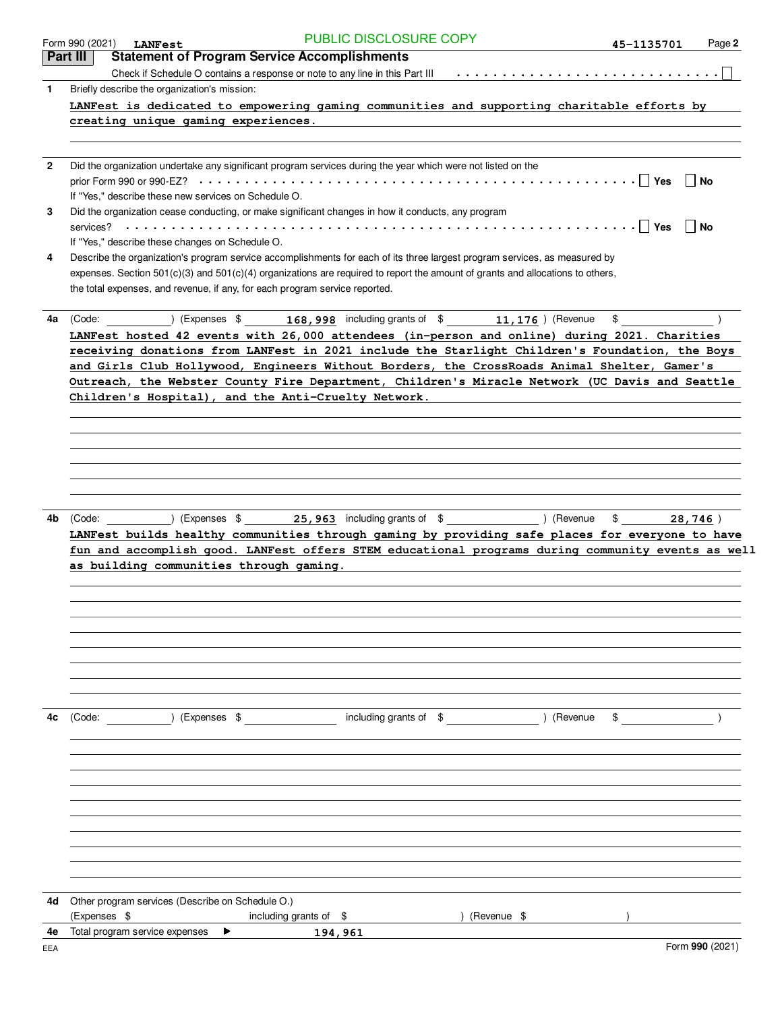|              | PUBLIC DISCLOSURE COPY<br>Form 990 (2021)<br>Page 2<br>LANFest<br>45-1135701                                                       |
|--------------|------------------------------------------------------------------------------------------------------------------------------------|
|              | <b>Statement of Program Service Accomplishments</b><br>Part III                                                                    |
|              | Check if Schedule O contains a response or note to any line in this Part III                                                       |
| 1.           | Briefly describe the organization's mission:                                                                                       |
|              | LANFest is dedicated to empowering gaming communities and supporting charitable efforts by                                         |
|              | creating unique gaming experiences.                                                                                                |
|              |                                                                                                                                    |
| $\mathbf{2}$ | Did the organization undertake any significant program services during the year which were not listed on the                       |
|              | $\Box$ No                                                                                                                          |
|              | If "Yes," describe these new services on Schedule O.                                                                               |
| 3            | Did the organization cease conducting, or make significant changes in how it conducts, any program                                 |
|              | $\vert$   No                                                                                                                       |
|              | If "Yes," describe these changes on Schedule O.                                                                                    |
| 4            | Describe the organization's program service accomplishments for each of its three largest program services, as measured by         |
|              | expenses. Section $501(c)(3)$ and $501(c)(4)$ organizations are required to report the amount of grants and allocations to others, |
|              | the total expenses, and revenue, if any, for each program service reported.                                                        |
| 4a           | 168, 998 including grants of $$$ 11, 176 ) (Revenue<br>(Code:<br>) (Expenses \$<br>\$                                              |
|              | LANFest hosted 42 events with 26,000 attendees (in-person and online) during 2021. Charities                                       |
|              | receiving donations from LANFest in 2021 include the Starlight Children's Foundation, the Boys                                     |
|              | and Girls Club Hollywood, Engineers Without Borders, the CrossRoads Animal Shelter, Gamer's                                        |
|              | Outreach, the Webster County Fire Department, Children's Miracle Network (UC Davis and Seattle                                     |
|              | Children's Hospital), and the Anti-Cruelty Network.                                                                                |
|              |                                                                                                                                    |
|              |                                                                                                                                    |
|              |                                                                                                                                    |
|              |                                                                                                                                    |
|              |                                                                                                                                    |
|              |                                                                                                                                    |
| 4b           | ) (Revenue<br>\$<br>(Code:<br>) (Expenses \$<br>25, 963 including grants of \$<br>28,746)                                          |
|              | LANFest builds healthy communities through gaming by providing safe places for everyone to have                                    |
|              | fun and accomplish good. LANFest offers STEM educational programs during community events as well                                  |
|              | as building communities through gaming.                                                                                            |
|              |                                                                                                                                    |
|              |                                                                                                                                    |
|              |                                                                                                                                    |
|              |                                                                                                                                    |
|              |                                                                                                                                    |
|              |                                                                                                                                    |
|              |                                                                                                                                    |
|              |                                                                                                                                    |
| 4c           | including grants of \$<br>) (Expenses \$<br>) (Revenue<br>$\mathfrak{S}$<br>(Code:                                                 |
|              |                                                                                                                                    |
|              |                                                                                                                                    |
|              |                                                                                                                                    |
|              |                                                                                                                                    |
|              |                                                                                                                                    |
|              |                                                                                                                                    |
|              |                                                                                                                                    |
|              |                                                                                                                                    |
|              |                                                                                                                                    |
|              |                                                                                                                                    |
| 4d           | Other program services (Describe on Schedule O.)                                                                                   |
|              | (Expenses \$<br>including grants of $$$<br>(Revenue \$                                                                             |
| 4e           | Total program service expenses<br>▶<br>194,961                                                                                     |
| EEA          | Form 990 (2021)                                                                                                                    |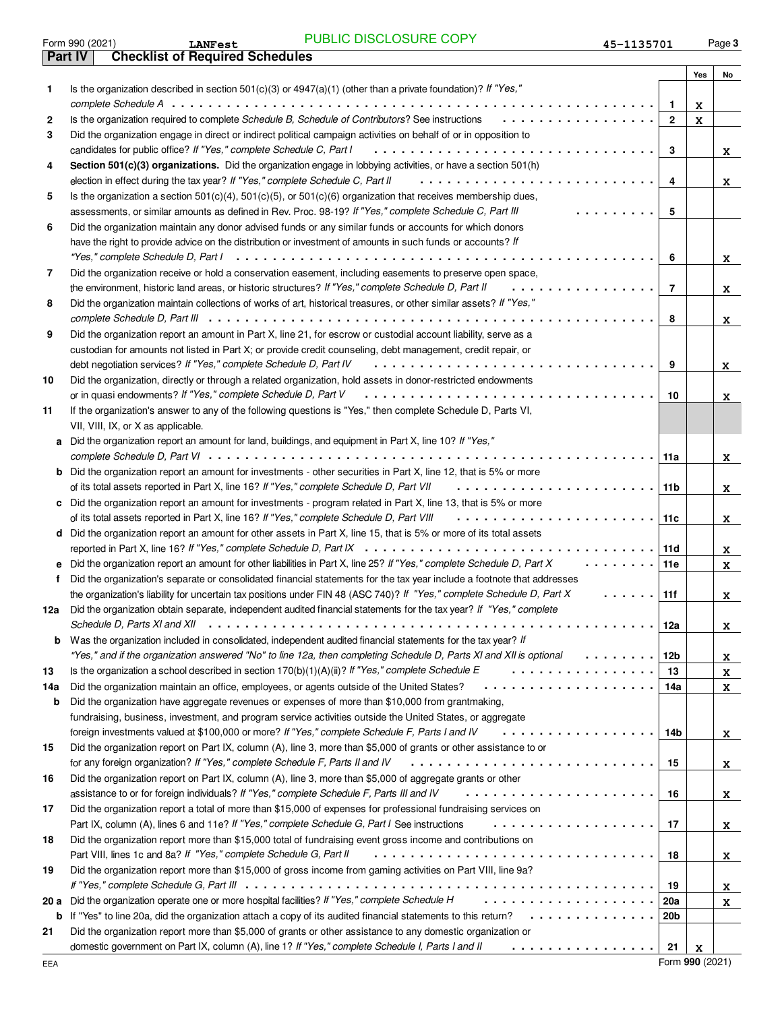**Part IV Checklist of Required Schedules** 

Form 990 (2021) Page **3 LANFest 45-1135701** PUBLIC DISCLOSURE COPY

| Is the organization described in section $501(c)(3)$ or $4947(a)(1)$ (other than a private foundation)? If "Yes,"<br>1<br>complete Schedule A<br>$\mathbf{1}$<br>x<br>Is the organization required to complete Schedule B, Schedule of Contributors? See instructions<br>.<br>$\mathbf{2}$<br>2<br>$\mathbf x$<br>3<br>Did the organization engage in direct or indirect political campaign activities on behalf of or in opposition to<br>candidates for public office? If "Yes," complete Schedule C, Part I<br>3<br>x<br>Section 501(c)(3) organizations. Did the organization engage in lobbying activities, or have a section 501(h)<br>4<br>election in effect during the tax year? If "Yes," complete Schedule C, Part II<br>4<br>x<br>Is the organization a section $501(c)(4)$ , $501(c)(5)$ , or $501(c)(6)$ organization that receives membership dues,<br>5<br>assessments, or similar amounts as defined in Rev. Proc. 98-19? If "Yes," complete Schedule C, Part III<br>5<br>Did the organization maintain any donor advised funds or any similar funds or accounts for which donors<br>6<br>have the right to provide advice on the distribution or investment of amounts in such funds or accounts? If<br>6<br>x<br>Did the organization receive or hold a conservation easement, including easements to preserve open space,<br>7<br>the environment, historic land areas, or historic structures? If "Yes," complete Schedule D, Part II<br>.<br>$\overline{7}$<br>x<br>Did the organization maintain collections of works of art, historical treasures, or other similar assets? If "Yes,"<br>8<br>8<br>x<br>Did the organization report an amount in Part X, line 21, for escrow or custodial account liability, serve as a<br>9<br>custodian for amounts not listed in Part X; or provide credit counseling, debt management, credit repair, or<br>debt negotiation services? If "Yes," complete Schedule D, Part IV<br>9<br>x<br>Did the organization, directly or through a related organization, hold assets in donor-restricted endowments<br>10<br>or in quasi endowments? If "Yes," complete Schedule D, Part V<br>10<br>x<br>If the organization's answer to any of the following questions is "Yes," then complete Schedule D, Parts VI,<br>11<br>VII, VIII, IX, or X as applicable.<br>Did the organization report an amount for land, buildings, and equipment in Part X, line 10? If "Yes,"<br>11a<br>x<br>Did the organization report an amount for investments - other securities in Part X, line 12, that is 5% or more<br>b<br>of its total assets reported in Part X, line 16? If "Yes," complete Schedule D, Part VII<br>11 <sub>b</sub><br>x<br>Did the organization report an amount for investments - program related in Part X, line 13, that is 5% or more<br>of its total assets reported in Part X, line 16? If "Yes," complete Schedule D, Part VIII<br>11c<br>x<br>Did the organization report an amount for other assets in Part X, line 15, that is 5% or more of its total assets<br>d<br>11d<br>x<br>Did the organization report an amount for other liabilities in Part X, line 25? If "Yes," complete Schedule D, Part X<br>11e<br>x<br>е<br>Did the organization's separate or consolidated financial statements for the tax year include a footnote that addresses<br>f.<br>the organization's liability for uncertain tax positions under FIN 48 (ASC 740)? If "Yes," complete Schedule D, Part X<br>11f<br>x<br>Did the organization obtain separate, independent audited financial statements for the tax year? If "Yes," complete<br>12a<br>12a<br>x<br>Was the organization included in consolidated, independent audited financial statements for the tax year? If<br>"Yes," and if the organization answered "No" to line 12a, then completing Schedule D, Parts XI and XII is optional<br>12b<br>.<br>x<br>Is the organization a school described in section $170(b)(1)(A)(ii)$ ? If "Yes," complete Schedule E<br>.<br>13<br>13<br>x<br>Did the organization maintain an office, employees, or agents outside of the United States?<br>.<br>14a<br>14a<br>x<br>Did the organization have aggregate revenues or expenses of more than \$10,000 from grantmaking,<br>b<br>fundraising, business, investment, and program service activities outside the United States, or aggregate<br>foreign investments valued at \$100,000 or more? If "Yes," complete Schedule F, Parts I and IV<br>.<br>14b<br>x<br>Did the organization report on Part IX, column (A), line 3, more than \$5,000 of grants or other assistance to or<br>15<br>for any foreign organization? If "Yes," complete Schedule F, Parts II and IV<br>15<br>x<br>Did the organization report on Part IX, column (A), line 3, more than \$5,000 of aggregate grants or other<br>16<br>assistance to or for foreign individuals? If "Yes," complete Schedule F, Parts III and IV<br>16<br>x<br>Did the organization report a total of more than \$15,000 of expenses for professional fundraising services on<br>17<br>Part IX, column (A), lines 6 and 11e? If "Yes," complete Schedule G, Part I See instructions<br>.<br>17<br>x<br>Did the organization report more than \$15,000 total of fundraising event gross income and contributions on<br>18<br>Part VIII, lines 1c and 8a? If "Yes," complete Schedule G, Part II<br>18<br>x<br>Did the organization report more than \$15,000 of gross income from gaming activities on Part VIII, line 9a?<br>19<br>19<br>x<br>.<br>Did the organization operate one or more hospital facilities? If "Yes," complete Schedule H<br>20a<br>20 a<br>x<br>If "Yes" to line 20a, did the organization attach a copy of its audited financial statements to this return?<br>20b<br>b<br>Did the organization report more than \$5,000 of grants or other assistance to any domestic organization or<br>21<br>domestic government on Part IX, column (A), line 1? If "Yes," complete Schedule I, Parts I and II<br>21<br>.<br>x |  | Yes | No |
|-----------------------------------------------------------------------------------------------------------------------------------------------------------------------------------------------------------------------------------------------------------------------------------------------------------------------------------------------------------------------------------------------------------------------------------------------------------------------------------------------------------------------------------------------------------------------------------------------------------------------------------------------------------------------------------------------------------------------------------------------------------------------------------------------------------------------------------------------------------------------------------------------------------------------------------------------------------------------------------------------------------------------------------------------------------------------------------------------------------------------------------------------------------------------------------------------------------------------------------------------------------------------------------------------------------------------------------------------------------------------------------------------------------------------------------------------------------------------------------------------------------------------------------------------------------------------------------------------------------------------------------------------------------------------------------------------------------------------------------------------------------------------------------------------------------------------------------------------------------------------------------------------------------------------------------------------------------------------------------------------------------------------------------------------------------------------------------------------------------------------------------------------------------------------------------------------------------------------------------------------------------------------------------------------------------------------------------------------------------------------------------------------------------------------------------------------------------------------------------------------------------------------------------------------------------------------------------------------------------------------------------------------------------------------------------------------------------------------------------------------------------------------------------------------------------------------------------------------------------------------------------------------------------------------------------------------------------------------------------------------------------------------------------------------------------------------------------------------------------------------------------------------------------------------------------------------------------------------------------------------------------------------------------------------------------------------------------------------------------------------------------------------------------------------------------------------------------------------------------------------------------------------------------------------------------------------------------------------------------------------------------------------------------------------------------------------------------------------------------------------------------------------------------------------------------------------------------------------------------------------------------------------------------------------------------------------------------------------------------------------------------------------------------------------------------------------------------------------------------------------------------------------------------------------------------------------------------------------------------------------------------------------------------------------------------------------------------------------------------------------------------------------------------------------------------------------------------------------------------------------------------------------------------------------------------------------------------------------------------------------------------------------------------------------------------------------------------------------------------------------------------------------------------------------------------------------------------------------------------------------------------------------------------------------------------------------------------------------------------------------------------------------------------------------------------------------------------------------------------------------------------------------------------------------------------------------------------------------------------------------------------------------------------------------------------------------------------------------------------------------------------------------------------------------------------------------------------------------------------------------------------------------------------------------------------------------------------------------------------------------------------------------------------------------------------------------------------------------------------------------------------------------------------------------------------------------------------------------------------------------------------------------------------------------------------------------------------------------------------------------------|--|-----|----|
|                                                                                                                                                                                                                                                                                                                                                                                                                                                                                                                                                                                                                                                                                                                                                                                                                                                                                                                                                                                                                                                                                                                                                                                                                                                                                                                                                                                                                                                                                                                                                                                                                                                                                                                                                                                                                                                                                                                                                                                                                                                                                                                                                                                                                                                                                                                                                                                                                                                                                                                                                                                                                                                                                                                                                                                                                                                                                                                                                                                                                                                                                                                                                                                                                                                                                                                                                                                                                                                                                                                                                                                                                                                                                                                                                                                                                                                                                                                                                                                                                                                                                                                                                                                                                                                                                                                                                                                                                                                                                                                                                                                                                                                                                                                                                                                                                                                                                                                                                                                                                                                                                                                                                                                                                                                                                                                                                                                                                                                                                                                                                                                                                                                                                                                                                                                                                                                                                                                                                                                                     |  |     |    |
|                                                                                                                                                                                                                                                                                                                                                                                                                                                                                                                                                                                                                                                                                                                                                                                                                                                                                                                                                                                                                                                                                                                                                                                                                                                                                                                                                                                                                                                                                                                                                                                                                                                                                                                                                                                                                                                                                                                                                                                                                                                                                                                                                                                                                                                                                                                                                                                                                                                                                                                                                                                                                                                                                                                                                                                                                                                                                                                                                                                                                                                                                                                                                                                                                                                                                                                                                                                                                                                                                                                                                                                                                                                                                                                                                                                                                                                                                                                                                                                                                                                                                                                                                                                                                                                                                                                                                                                                                                                                                                                                                                                                                                                                                                                                                                                                                                                                                                                                                                                                                                                                                                                                                                                                                                                                                                                                                                                                                                                                                                                                                                                                                                                                                                                                                                                                                                                                                                                                                                                                     |  |     |    |
|                                                                                                                                                                                                                                                                                                                                                                                                                                                                                                                                                                                                                                                                                                                                                                                                                                                                                                                                                                                                                                                                                                                                                                                                                                                                                                                                                                                                                                                                                                                                                                                                                                                                                                                                                                                                                                                                                                                                                                                                                                                                                                                                                                                                                                                                                                                                                                                                                                                                                                                                                                                                                                                                                                                                                                                                                                                                                                                                                                                                                                                                                                                                                                                                                                                                                                                                                                                                                                                                                                                                                                                                                                                                                                                                                                                                                                                                                                                                                                                                                                                                                                                                                                                                                                                                                                                                                                                                                                                                                                                                                                                                                                                                                                                                                                                                                                                                                                                                                                                                                                                                                                                                                                                                                                                                                                                                                                                                                                                                                                                                                                                                                                                                                                                                                                                                                                                                                                                                                                                                     |  |     |    |
|                                                                                                                                                                                                                                                                                                                                                                                                                                                                                                                                                                                                                                                                                                                                                                                                                                                                                                                                                                                                                                                                                                                                                                                                                                                                                                                                                                                                                                                                                                                                                                                                                                                                                                                                                                                                                                                                                                                                                                                                                                                                                                                                                                                                                                                                                                                                                                                                                                                                                                                                                                                                                                                                                                                                                                                                                                                                                                                                                                                                                                                                                                                                                                                                                                                                                                                                                                                                                                                                                                                                                                                                                                                                                                                                                                                                                                                                                                                                                                                                                                                                                                                                                                                                                                                                                                                                                                                                                                                                                                                                                                                                                                                                                                                                                                                                                                                                                                                                                                                                                                                                                                                                                                                                                                                                                                                                                                                                                                                                                                                                                                                                                                                                                                                                                                                                                                                                                                                                                                                                     |  |     |    |
|                                                                                                                                                                                                                                                                                                                                                                                                                                                                                                                                                                                                                                                                                                                                                                                                                                                                                                                                                                                                                                                                                                                                                                                                                                                                                                                                                                                                                                                                                                                                                                                                                                                                                                                                                                                                                                                                                                                                                                                                                                                                                                                                                                                                                                                                                                                                                                                                                                                                                                                                                                                                                                                                                                                                                                                                                                                                                                                                                                                                                                                                                                                                                                                                                                                                                                                                                                                                                                                                                                                                                                                                                                                                                                                                                                                                                                                                                                                                                                                                                                                                                                                                                                                                                                                                                                                                                                                                                                                                                                                                                                                                                                                                                                                                                                                                                                                                                                                                                                                                                                                                                                                                                                                                                                                                                                                                                                                                                                                                                                                                                                                                                                                                                                                                                                                                                                                                                                                                                                                                     |  |     |    |
|                                                                                                                                                                                                                                                                                                                                                                                                                                                                                                                                                                                                                                                                                                                                                                                                                                                                                                                                                                                                                                                                                                                                                                                                                                                                                                                                                                                                                                                                                                                                                                                                                                                                                                                                                                                                                                                                                                                                                                                                                                                                                                                                                                                                                                                                                                                                                                                                                                                                                                                                                                                                                                                                                                                                                                                                                                                                                                                                                                                                                                                                                                                                                                                                                                                                                                                                                                                                                                                                                                                                                                                                                                                                                                                                                                                                                                                                                                                                                                                                                                                                                                                                                                                                                                                                                                                                                                                                                                                                                                                                                                                                                                                                                                                                                                                                                                                                                                                                                                                                                                                                                                                                                                                                                                                                                                                                                                                                                                                                                                                                                                                                                                                                                                                                                                                                                                                                                                                                                                                                     |  |     |    |
|                                                                                                                                                                                                                                                                                                                                                                                                                                                                                                                                                                                                                                                                                                                                                                                                                                                                                                                                                                                                                                                                                                                                                                                                                                                                                                                                                                                                                                                                                                                                                                                                                                                                                                                                                                                                                                                                                                                                                                                                                                                                                                                                                                                                                                                                                                                                                                                                                                                                                                                                                                                                                                                                                                                                                                                                                                                                                                                                                                                                                                                                                                                                                                                                                                                                                                                                                                                                                                                                                                                                                                                                                                                                                                                                                                                                                                                                                                                                                                                                                                                                                                                                                                                                                                                                                                                                                                                                                                                                                                                                                                                                                                                                                                                                                                                                                                                                                                                                                                                                                                                                                                                                                                                                                                                                                                                                                                                                                                                                                                                                                                                                                                                                                                                                                                                                                                                                                                                                                                                                     |  |     |    |
|                                                                                                                                                                                                                                                                                                                                                                                                                                                                                                                                                                                                                                                                                                                                                                                                                                                                                                                                                                                                                                                                                                                                                                                                                                                                                                                                                                                                                                                                                                                                                                                                                                                                                                                                                                                                                                                                                                                                                                                                                                                                                                                                                                                                                                                                                                                                                                                                                                                                                                                                                                                                                                                                                                                                                                                                                                                                                                                                                                                                                                                                                                                                                                                                                                                                                                                                                                                                                                                                                                                                                                                                                                                                                                                                                                                                                                                                                                                                                                                                                                                                                                                                                                                                                                                                                                                                                                                                                                                                                                                                                                                                                                                                                                                                                                                                                                                                                                                                                                                                                                                                                                                                                                                                                                                                                                                                                                                                                                                                                                                                                                                                                                                                                                                                                                                                                                                                                                                                                                                                     |  |     |    |
|                                                                                                                                                                                                                                                                                                                                                                                                                                                                                                                                                                                                                                                                                                                                                                                                                                                                                                                                                                                                                                                                                                                                                                                                                                                                                                                                                                                                                                                                                                                                                                                                                                                                                                                                                                                                                                                                                                                                                                                                                                                                                                                                                                                                                                                                                                                                                                                                                                                                                                                                                                                                                                                                                                                                                                                                                                                                                                                                                                                                                                                                                                                                                                                                                                                                                                                                                                                                                                                                                                                                                                                                                                                                                                                                                                                                                                                                                                                                                                                                                                                                                                                                                                                                                                                                                                                                                                                                                                                                                                                                                                                                                                                                                                                                                                                                                                                                                                                                                                                                                                                                                                                                                                                                                                                                                                                                                                                                                                                                                                                                                                                                                                                                                                                                                                                                                                                                                                                                                                                                     |  |     |    |
|                                                                                                                                                                                                                                                                                                                                                                                                                                                                                                                                                                                                                                                                                                                                                                                                                                                                                                                                                                                                                                                                                                                                                                                                                                                                                                                                                                                                                                                                                                                                                                                                                                                                                                                                                                                                                                                                                                                                                                                                                                                                                                                                                                                                                                                                                                                                                                                                                                                                                                                                                                                                                                                                                                                                                                                                                                                                                                                                                                                                                                                                                                                                                                                                                                                                                                                                                                                                                                                                                                                                                                                                                                                                                                                                                                                                                                                                                                                                                                                                                                                                                                                                                                                                                                                                                                                                                                                                                                                                                                                                                                                                                                                                                                                                                                                                                                                                                                                                                                                                                                                                                                                                                                                                                                                                                                                                                                                                                                                                                                                                                                                                                                                                                                                                                                                                                                                                                                                                                                                                     |  |     |    |
|                                                                                                                                                                                                                                                                                                                                                                                                                                                                                                                                                                                                                                                                                                                                                                                                                                                                                                                                                                                                                                                                                                                                                                                                                                                                                                                                                                                                                                                                                                                                                                                                                                                                                                                                                                                                                                                                                                                                                                                                                                                                                                                                                                                                                                                                                                                                                                                                                                                                                                                                                                                                                                                                                                                                                                                                                                                                                                                                                                                                                                                                                                                                                                                                                                                                                                                                                                                                                                                                                                                                                                                                                                                                                                                                                                                                                                                                                                                                                                                                                                                                                                                                                                                                                                                                                                                                                                                                                                                                                                                                                                                                                                                                                                                                                                                                                                                                                                                                                                                                                                                                                                                                                                                                                                                                                                                                                                                                                                                                                                                                                                                                                                                                                                                                                                                                                                                                                                                                                                                                     |  |     |    |
|                                                                                                                                                                                                                                                                                                                                                                                                                                                                                                                                                                                                                                                                                                                                                                                                                                                                                                                                                                                                                                                                                                                                                                                                                                                                                                                                                                                                                                                                                                                                                                                                                                                                                                                                                                                                                                                                                                                                                                                                                                                                                                                                                                                                                                                                                                                                                                                                                                                                                                                                                                                                                                                                                                                                                                                                                                                                                                                                                                                                                                                                                                                                                                                                                                                                                                                                                                                                                                                                                                                                                                                                                                                                                                                                                                                                                                                                                                                                                                                                                                                                                                                                                                                                                                                                                                                                                                                                                                                                                                                                                                                                                                                                                                                                                                                                                                                                                                                                                                                                                                                                                                                                                                                                                                                                                                                                                                                                                                                                                                                                                                                                                                                                                                                                                                                                                                                                                                                                                                                                     |  |     |    |
|                                                                                                                                                                                                                                                                                                                                                                                                                                                                                                                                                                                                                                                                                                                                                                                                                                                                                                                                                                                                                                                                                                                                                                                                                                                                                                                                                                                                                                                                                                                                                                                                                                                                                                                                                                                                                                                                                                                                                                                                                                                                                                                                                                                                                                                                                                                                                                                                                                                                                                                                                                                                                                                                                                                                                                                                                                                                                                                                                                                                                                                                                                                                                                                                                                                                                                                                                                                                                                                                                                                                                                                                                                                                                                                                                                                                                                                                                                                                                                                                                                                                                                                                                                                                                                                                                                                                                                                                                                                                                                                                                                                                                                                                                                                                                                                                                                                                                                                                                                                                                                                                                                                                                                                                                                                                                                                                                                                                                                                                                                                                                                                                                                                                                                                                                                                                                                                                                                                                                                                                     |  |     |    |
|                                                                                                                                                                                                                                                                                                                                                                                                                                                                                                                                                                                                                                                                                                                                                                                                                                                                                                                                                                                                                                                                                                                                                                                                                                                                                                                                                                                                                                                                                                                                                                                                                                                                                                                                                                                                                                                                                                                                                                                                                                                                                                                                                                                                                                                                                                                                                                                                                                                                                                                                                                                                                                                                                                                                                                                                                                                                                                                                                                                                                                                                                                                                                                                                                                                                                                                                                                                                                                                                                                                                                                                                                                                                                                                                                                                                                                                                                                                                                                                                                                                                                                                                                                                                                                                                                                                                                                                                                                                                                                                                                                                                                                                                                                                                                                                                                                                                                                                                                                                                                                                                                                                                                                                                                                                                                                                                                                                                                                                                                                                                                                                                                                                                                                                                                                                                                                                                                                                                                                                                     |  |     |    |
|                                                                                                                                                                                                                                                                                                                                                                                                                                                                                                                                                                                                                                                                                                                                                                                                                                                                                                                                                                                                                                                                                                                                                                                                                                                                                                                                                                                                                                                                                                                                                                                                                                                                                                                                                                                                                                                                                                                                                                                                                                                                                                                                                                                                                                                                                                                                                                                                                                                                                                                                                                                                                                                                                                                                                                                                                                                                                                                                                                                                                                                                                                                                                                                                                                                                                                                                                                                                                                                                                                                                                                                                                                                                                                                                                                                                                                                                                                                                                                                                                                                                                                                                                                                                                                                                                                                                                                                                                                                                                                                                                                                                                                                                                                                                                                                                                                                                                                                                                                                                                                                                                                                                                                                                                                                                                                                                                                                                                                                                                                                                                                                                                                                                                                                                                                                                                                                                                                                                                                                                     |  |     |    |
|                                                                                                                                                                                                                                                                                                                                                                                                                                                                                                                                                                                                                                                                                                                                                                                                                                                                                                                                                                                                                                                                                                                                                                                                                                                                                                                                                                                                                                                                                                                                                                                                                                                                                                                                                                                                                                                                                                                                                                                                                                                                                                                                                                                                                                                                                                                                                                                                                                                                                                                                                                                                                                                                                                                                                                                                                                                                                                                                                                                                                                                                                                                                                                                                                                                                                                                                                                                                                                                                                                                                                                                                                                                                                                                                                                                                                                                                                                                                                                                                                                                                                                                                                                                                                                                                                                                                                                                                                                                                                                                                                                                                                                                                                                                                                                                                                                                                                                                                                                                                                                                                                                                                                                                                                                                                                                                                                                                                                                                                                                                                                                                                                                                                                                                                                                                                                                                                                                                                                                                                     |  |     |    |
|                                                                                                                                                                                                                                                                                                                                                                                                                                                                                                                                                                                                                                                                                                                                                                                                                                                                                                                                                                                                                                                                                                                                                                                                                                                                                                                                                                                                                                                                                                                                                                                                                                                                                                                                                                                                                                                                                                                                                                                                                                                                                                                                                                                                                                                                                                                                                                                                                                                                                                                                                                                                                                                                                                                                                                                                                                                                                                                                                                                                                                                                                                                                                                                                                                                                                                                                                                                                                                                                                                                                                                                                                                                                                                                                                                                                                                                                                                                                                                                                                                                                                                                                                                                                                                                                                                                                                                                                                                                                                                                                                                                                                                                                                                                                                                                                                                                                                                                                                                                                                                                                                                                                                                                                                                                                                                                                                                                                                                                                                                                                                                                                                                                                                                                                                                                                                                                                                                                                                                                                     |  |     |    |
|                                                                                                                                                                                                                                                                                                                                                                                                                                                                                                                                                                                                                                                                                                                                                                                                                                                                                                                                                                                                                                                                                                                                                                                                                                                                                                                                                                                                                                                                                                                                                                                                                                                                                                                                                                                                                                                                                                                                                                                                                                                                                                                                                                                                                                                                                                                                                                                                                                                                                                                                                                                                                                                                                                                                                                                                                                                                                                                                                                                                                                                                                                                                                                                                                                                                                                                                                                                                                                                                                                                                                                                                                                                                                                                                                                                                                                                                                                                                                                                                                                                                                                                                                                                                                                                                                                                                                                                                                                                                                                                                                                                                                                                                                                                                                                                                                                                                                                                                                                                                                                                                                                                                                                                                                                                                                                                                                                                                                                                                                                                                                                                                                                                                                                                                                                                                                                                                                                                                                                                                     |  |     |    |
|                                                                                                                                                                                                                                                                                                                                                                                                                                                                                                                                                                                                                                                                                                                                                                                                                                                                                                                                                                                                                                                                                                                                                                                                                                                                                                                                                                                                                                                                                                                                                                                                                                                                                                                                                                                                                                                                                                                                                                                                                                                                                                                                                                                                                                                                                                                                                                                                                                                                                                                                                                                                                                                                                                                                                                                                                                                                                                                                                                                                                                                                                                                                                                                                                                                                                                                                                                                                                                                                                                                                                                                                                                                                                                                                                                                                                                                                                                                                                                                                                                                                                                                                                                                                                                                                                                                                                                                                                                                                                                                                                                                                                                                                                                                                                                                                                                                                                                                                                                                                                                                                                                                                                                                                                                                                                                                                                                                                                                                                                                                                                                                                                                                                                                                                                                                                                                                                                                                                                                                                     |  |     |    |
|                                                                                                                                                                                                                                                                                                                                                                                                                                                                                                                                                                                                                                                                                                                                                                                                                                                                                                                                                                                                                                                                                                                                                                                                                                                                                                                                                                                                                                                                                                                                                                                                                                                                                                                                                                                                                                                                                                                                                                                                                                                                                                                                                                                                                                                                                                                                                                                                                                                                                                                                                                                                                                                                                                                                                                                                                                                                                                                                                                                                                                                                                                                                                                                                                                                                                                                                                                                                                                                                                                                                                                                                                                                                                                                                                                                                                                                                                                                                                                                                                                                                                                                                                                                                                                                                                                                                                                                                                                                                                                                                                                                                                                                                                                                                                                                                                                                                                                                                                                                                                                                                                                                                                                                                                                                                                                                                                                                                                                                                                                                                                                                                                                                                                                                                                                                                                                                                                                                                                                                                     |  |     |    |
|                                                                                                                                                                                                                                                                                                                                                                                                                                                                                                                                                                                                                                                                                                                                                                                                                                                                                                                                                                                                                                                                                                                                                                                                                                                                                                                                                                                                                                                                                                                                                                                                                                                                                                                                                                                                                                                                                                                                                                                                                                                                                                                                                                                                                                                                                                                                                                                                                                                                                                                                                                                                                                                                                                                                                                                                                                                                                                                                                                                                                                                                                                                                                                                                                                                                                                                                                                                                                                                                                                                                                                                                                                                                                                                                                                                                                                                                                                                                                                                                                                                                                                                                                                                                                                                                                                                                                                                                                                                                                                                                                                                                                                                                                                                                                                                                                                                                                                                                                                                                                                                                                                                                                                                                                                                                                                                                                                                                                                                                                                                                                                                                                                                                                                                                                                                                                                                                                                                                                                                                     |  |     |    |
|                                                                                                                                                                                                                                                                                                                                                                                                                                                                                                                                                                                                                                                                                                                                                                                                                                                                                                                                                                                                                                                                                                                                                                                                                                                                                                                                                                                                                                                                                                                                                                                                                                                                                                                                                                                                                                                                                                                                                                                                                                                                                                                                                                                                                                                                                                                                                                                                                                                                                                                                                                                                                                                                                                                                                                                                                                                                                                                                                                                                                                                                                                                                                                                                                                                                                                                                                                                                                                                                                                                                                                                                                                                                                                                                                                                                                                                                                                                                                                                                                                                                                                                                                                                                                                                                                                                                                                                                                                                                                                                                                                                                                                                                                                                                                                                                                                                                                                                                                                                                                                                                                                                                                                                                                                                                                                                                                                                                                                                                                                                                                                                                                                                                                                                                                                                                                                                                                                                                                                                                     |  |     |    |
|                                                                                                                                                                                                                                                                                                                                                                                                                                                                                                                                                                                                                                                                                                                                                                                                                                                                                                                                                                                                                                                                                                                                                                                                                                                                                                                                                                                                                                                                                                                                                                                                                                                                                                                                                                                                                                                                                                                                                                                                                                                                                                                                                                                                                                                                                                                                                                                                                                                                                                                                                                                                                                                                                                                                                                                                                                                                                                                                                                                                                                                                                                                                                                                                                                                                                                                                                                                                                                                                                                                                                                                                                                                                                                                                                                                                                                                                                                                                                                                                                                                                                                                                                                                                                                                                                                                                                                                                                                                                                                                                                                                                                                                                                                                                                                                                                                                                                                                                                                                                                                                                                                                                                                                                                                                                                                                                                                                                                                                                                                                                                                                                                                                                                                                                                                                                                                                                                                                                                                                                     |  |     |    |
|                                                                                                                                                                                                                                                                                                                                                                                                                                                                                                                                                                                                                                                                                                                                                                                                                                                                                                                                                                                                                                                                                                                                                                                                                                                                                                                                                                                                                                                                                                                                                                                                                                                                                                                                                                                                                                                                                                                                                                                                                                                                                                                                                                                                                                                                                                                                                                                                                                                                                                                                                                                                                                                                                                                                                                                                                                                                                                                                                                                                                                                                                                                                                                                                                                                                                                                                                                                                                                                                                                                                                                                                                                                                                                                                                                                                                                                                                                                                                                                                                                                                                                                                                                                                                                                                                                                                                                                                                                                                                                                                                                                                                                                                                                                                                                                                                                                                                                                                                                                                                                                                                                                                                                                                                                                                                                                                                                                                                                                                                                                                                                                                                                                                                                                                                                                                                                                                                                                                                                                                     |  |     |    |
|                                                                                                                                                                                                                                                                                                                                                                                                                                                                                                                                                                                                                                                                                                                                                                                                                                                                                                                                                                                                                                                                                                                                                                                                                                                                                                                                                                                                                                                                                                                                                                                                                                                                                                                                                                                                                                                                                                                                                                                                                                                                                                                                                                                                                                                                                                                                                                                                                                                                                                                                                                                                                                                                                                                                                                                                                                                                                                                                                                                                                                                                                                                                                                                                                                                                                                                                                                                                                                                                                                                                                                                                                                                                                                                                                                                                                                                                                                                                                                                                                                                                                                                                                                                                                                                                                                                                                                                                                                                                                                                                                                                                                                                                                                                                                                                                                                                                                                                                                                                                                                                                                                                                                                                                                                                                                                                                                                                                                                                                                                                                                                                                                                                                                                                                                                                                                                                                                                                                                                                                     |  |     |    |
|                                                                                                                                                                                                                                                                                                                                                                                                                                                                                                                                                                                                                                                                                                                                                                                                                                                                                                                                                                                                                                                                                                                                                                                                                                                                                                                                                                                                                                                                                                                                                                                                                                                                                                                                                                                                                                                                                                                                                                                                                                                                                                                                                                                                                                                                                                                                                                                                                                                                                                                                                                                                                                                                                                                                                                                                                                                                                                                                                                                                                                                                                                                                                                                                                                                                                                                                                                                                                                                                                                                                                                                                                                                                                                                                                                                                                                                                                                                                                                                                                                                                                                                                                                                                                                                                                                                                                                                                                                                                                                                                                                                                                                                                                                                                                                                                                                                                                                                                                                                                                                                                                                                                                                                                                                                                                                                                                                                                                                                                                                                                                                                                                                                                                                                                                                                                                                                                                                                                                                                                     |  |     |    |
|                                                                                                                                                                                                                                                                                                                                                                                                                                                                                                                                                                                                                                                                                                                                                                                                                                                                                                                                                                                                                                                                                                                                                                                                                                                                                                                                                                                                                                                                                                                                                                                                                                                                                                                                                                                                                                                                                                                                                                                                                                                                                                                                                                                                                                                                                                                                                                                                                                                                                                                                                                                                                                                                                                                                                                                                                                                                                                                                                                                                                                                                                                                                                                                                                                                                                                                                                                                                                                                                                                                                                                                                                                                                                                                                                                                                                                                                                                                                                                                                                                                                                                                                                                                                                                                                                                                                                                                                                                                                                                                                                                                                                                                                                                                                                                                                                                                                                                                                                                                                                                                                                                                                                                                                                                                                                                                                                                                                                                                                                                                                                                                                                                                                                                                                                                                                                                                                                                                                                                                                     |  |     |    |
|                                                                                                                                                                                                                                                                                                                                                                                                                                                                                                                                                                                                                                                                                                                                                                                                                                                                                                                                                                                                                                                                                                                                                                                                                                                                                                                                                                                                                                                                                                                                                                                                                                                                                                                                                                                                                                                                                                                                                                                                                                                                                                                                                                                                                                                                                                                                                                                                                                                                                                                                                                                                                                                                                                                                                                                                                                                                                                                                                                                                                                                                                                                                                                                                                                                                                                                                                                                                                                                                                                                                                                                                                                                                                                                                                                                                                                                                                                                                                                                                                                                                                                                                                                                                                                                                                                                                                                                                                                                                                                                                                                                                                                                                                                                                                                                                                                                                                                                                                                                                                                                                                                                                                                                                                                                                                                                                                                                                                                                                                                                                                                                                                                                                                                                                                                                                                                                                                                                                                                                                     |  |     |    |
|                                                                                                                                                                                                                                                                                                                                                                                                                                                                                                                                                                                                                                                                                                                                                                                                                                                                                                                                                                                                                                                                                                                                                                                                                                                                                                                                                                                                                                                                                                                                                                                                                                                                                                                                                                                                                                                                                                                                                                                                                                                                                                                                                                                                                                                                                                                                                                                                                                                                                                                                                                                                                                                                                                                                                                                                                                                                                                                                                                                                                                                                                                                                                                                                                                                                                                                                                                                                                                                                                                                                                                                                                                                                                                                                                                                                                                                                                                                                                                                                                                                                                                                                                                                                                                                                                                                                                                                                                                                                                                                                                                                                                                                                                                                                                                                                                                                                                                                                                                                                                                                                                                                                                                                                                                                                                                                                                                                                                                                                                                                                                                                                                                                                                                                                                                                                                                                                                                                                                                                                     |  |     |    |
|                                                                                                                                                                                                                                                                                                                                                                                                                                                                                                                                                                                                                                                                                                                                                                                                                                                                                                                                                                                                                                                                                                                                                                                                                                                                                                                                                                                                                                                                                                                                                                                                                                                                                                                                                                                                                                                                                                                                                                                                                                                                                                                                                                                                                                                                                                                                                                                                                                                                                                                                                                                                                                                                                                                                                                                                                                                                                                                                                                                                                                                                                                                                                                                                                                                                                                                                                                                                                                                                                                                                                                                                                                                                                                                                                                                                                                                                                                                                                                                                                                                                                                                                                                                                                                                                                                                                                                                                                                                                                                                                                                                                                                                                                                                                                                                                                                                                                                                                                                                                                                                                                                                                                                                                                                                                                                                                                                                                                                                                                                                                                                                                                                                                                                                                                                                                                                                                                                                                                                                                     |  |     |    |
|                                                                                                                                                                                                                                                                                                                                                                                                                                                                                                                                                                                                                                                                                                                                                                                                                                                                                                                                                                                                                                                                                                                                                                                                                                                                                                                                                                                                                                                                                                                                                                                                                                                                                                                                                                                                                                                                                                                                                                                                                                                                                                                                                                                                                                                                                                                                                                                                                                                                                                                                                                                                                                                                                                                                                                                                                                                                                                                                                                                                                                                                                                                                                                                                                                                                                                                                                                                                                                                                                                                                                                                                                                                                                                                                                                                                                                                                                                                                                                                                                                                                                                                                                                                                                                                                                                                                                                                                                                                                                                                                                                                                                                                                                                                                                                                                                                                                                                                                                                                                                                                                                                                                                                                                                                                                                                                                                                                                                                                                                                                                                                                                                                                                                                                                                                                                                                                                                                                                                                                                     |  |     |    |
|                                                                                                                                                                                                                                                                                                                                                                                                                                                                                                                                                                                                                                                                                                                                                                                                                                                                                                                                                                                                                                                                                                                                                                                                                                                                                                                                                                                                                                                                                                                                                                                                                                                                                                                                                                                                                                                                                                                                                                                                                                                                                                                                                                                                                                                                                                                                                                                                                                                                                                                                                                                                                                                                                                                                                                                                                                                                                                                                                                                                                                                                                                                                                                                                                                                                                                                                                                                                                                                                                                                                                                                                                                                                                                                                                                                                                                                                                                                                                                                                                                                                                                                                                                                                                                                                                                                                                                                                                                                                                                                                                                                                                                                                                                                                                                                                                                                                                                                                                                                                                                                                                                                                                                                                                                                                                                                                                                                                                                                                                                                                                                                                                                                                                                                                                                                                                                                                                                                                                                                                     |  |     |    |
|                                                                                                                                                                                                                                                                                                                                                                                                                                                                                                                                                                                                                                                                                                                                                                                                                                                                                                                                                                                                                                                                                                                                                                                                                                                                                                                                                                                                                                                                                                                                                                                                                                                                                                                                                                                                                                                                                                                                                                                                                                                                                                                                                                                                                                                                                                                                                                                                                                                                                                                                                                                                                                                                                                                                                                                                                                                                                                                                                                                                                                                                                                                                                                                                                                                                                                                                                                                                                                                                                                                                                                                                                                                                                                                                                                                                                                                                                                                                                                                                                                                                                                                                                                                                                                                                                                                                                                                                                                                                                                                                                                                                                                                                                                                                                                                                                                                                                                                                                                                                                                                                                                                                                                                                                                                                                                                                                                                                                                                                                                                                                                                                                                                                                                                                                                                                                                                                                                                                                                                                     |  |     |    |
|                                                                                                                                                                                                                                                                                                                                                                                                                                                                                                                                                                                                                                                                                                                                                                                                                                                                                                                                                                                                                                                                                                                                                                                                                                                                                                                                                                                                                                                                                                                                                                                                                                                                                                                                                                                                                                                                                                                                                                                                                                                                                                                                                                                                                                                                                                                                                                                                                                                                                                                                                                                                                                                                                                                                                                                                                                                                                                                                                                                                                                                                                                                                                                                                                                                                                                                                                                                                                                                                                                                                                                                                                                                                                                                                                                                                                                                                                                                                                                                                                                                                                                                                                                                                                                                                                                                                                                                                                                                                                                                                                                                                                                                                                                                                                                                                                                                                                                                                                                                                                                                                                                                                                                                                                                                                                                                                                                                                                                                                                                                                                                                                                                                                                                                                                                                                                                                                                                                                                                                                     |  |     |    |
|                                                                                                                                                                                                                                                                                                                                                                                                                                                                                                                                                                                                                                                                                                                                                                                                                                                                                                                                                                                                                                                                                                                                                                                                                                                                                                                                                                                                                                                                                                                                                                                                                                                                                                                                                                                                                                                                                                                                                                                                                                                                                                                                                                                                                                                                                                                                                                                                                                                                                                                                                                                                                                                                                                                                                                                                                                                                                                                                                                                                                                                                                                                                                                                                                                                                                                                                                                                                                                                                                                                                                                                                                                                                                                                                                                                                                                                                                                                                                                                                                                                                                                                                                                                                                                                                                                                                                                                                                                                                                                                                                                                                                                                                                                                                                                                                                                                                                                                                                                                                                                                                                                                                                                                                                                                                                                                                                                                                                                                                                                                                                                                                                                                                                                                                                                                                                                                                                                                                                                                                     |  |     |    |
|                                                                                                                                                                                                                                                                                                                                                                                                                                                                                                                                                                                                                                                                                                                                                                                                                                                                                                                                                                                                                                                                                                                                                                                                                                                                                                                                                                                                                                                                                                                                                                                                                                                                                                                                                                                                                                                                                                                                                                                                                                                                                                                                                                                                                                                                                                                                                                                                                                                                                                                                                                                                                                                                                                                                                                                                                                                                                                                                                                                                                                                                                                                                                                                                                                                                                                                                                                                                                                                                                                                                                                                                                                                                                                                                                                                                                                                                                                                                                                                                                                                                                                                                                                                                                                                                                                                                                                                                                                                                                                                                                                                                                                                                                                                                                                                                                                                                                                                                                                                                                                                                                                                                                                                                                                                                                                                                                                                                                                                                                                                                                                                                                                                                                                                                                                                                                                                                                                                                                                                                     |  |     |    |
|                                                                                                                                                                                                                                                                                                                                                                                                                                                                                                                                                                                                                                                                                                                                                                                                                                                                                                                                                                                                                                                                                                                                                                                                                                                                                                                                                                                                                                                                                                                                                                                                                                                                                                                                                                                                                                                                                                                                                                                                                                                                                                                                                                                                                                                                                                                                                                                                                                                                                                                                                                                                                                                                                                                                                                                                                                                                                                                                                                                                                                                                                                                                                                                                                                                                                                                                                                                                                                                                                                                                                                                                                                                                                                                                                                                                                                                                                                                                                                                                                                                                                                                                                                                                                                                                                                                                                                                                                                                                                                                                                                                                                                                                                                                                                                                                                                                                                                                                                                                                                                                                                                                                                                                                                                                                                                                                                                                                                                                                                                                                                                                                                                                                                                                                                                                                                                                                                                                                                                                                     |  |     |    |
|                                                                                                                                                                                                                                                                                                                                                                                                                                                                                                                                                                                                                                                                                                                                                                                                                                                                                                                                                                                                                                                                                                                                                                                                                                                                                                                                                                                                                                                                                                                                                                                                                                                                                                                                                                                                                                                                                                                                                                                                                                                                                                                                                                                                                                                                                                                                                                                                                                                                                                                                                                                                                                                                                                                                                                                                                                                                                                                                                                                                                                                                                                                                                                                                                                                                                                                                                                                                                                                                                                                                                                                                                                                                                                                                                                                                                                                                                                                                                                                                                                                                                                                                                                                                                                                                                                                                                                                                                                                                                                                                                                                                                                                                                                                                                                                                                                                                                                                                                                                                                                                                                                                                                                                                                                                                                                                                                                                                                                                                                                                                                                                                                                                                                                                                                                                                                                                                                                                                                                                                     |  |     |    |
|                                                                                                                                                                                                                                                                                                                                                                                                                                                                                                                                                                                                                                                                                                                                                                                                                                                                                                                                                                                                                                                                                                                                                                                                                                                                                                                                                                                                                                                                                                                                                                                                                                                                                                                                                                                                                                                                                                                                                                                                                                                                                                                                                                                                                                                                                                                                                                                                                                                                                                                                                                                                                                                                                                                                                                                                                                                                                                                                                                                                                                                                                                                                                                                                                                                                                                                                                                                                                                                                                                                                                                                                                                                                                                                                                                                                                                                                                                                                                                                                                                                                                                                                                                                                                                                                                                                                                                                                                                                                                                                                                                                                                                                                                                                                                                                                                                                                                                                                                                                                                                                                                                                                                                                                                                                                                                                                                                                                                                                                                                                                                                                                                                                                                                                                                                                                                                                                                                                                                                                                     |  |     |    |
|                                                                                                                                                                                                                                                                                                                                                                                                                                                                                                                                                                                                                                                                                                                                                                                                                                                                                                                                                                                                                                                                                                                                                                                                                                                                                                                                                                                                                                                                                                                                                                                                                                                                                                                                                                                                                                                                                                                                                                                                                                                                                                                                                                                                                                                                                                                                                                                                                                                                                                                                                                                                                                                                                                                                                                                                                                                                                                                                                                                                                                                                                                                                                                                                                                                                                                                                                                                                                                                                                                                                                                                                                                                                                                                                                                                                                                                                                                                                                                                                                                                                                                                                                                                                                                                                                                                                                                                                                                                                                                                                                                                                                                                                                                                                                                                                                                                                                                                                                                                                                                                                                                                                                                                                                                                                                                                                                                                                                                                                                                                                                                                                                                                                                                                                                                                                                                                                                                                                                                                                     |  |     |    |
|                                                                                                                                                                                                                                                                                                                                                                                                                                                                                                                                                                                                                                                                                                                                                                                                                                                                                                                                                                                                                                                                                                                                                                                                                                                                                                                                                                                                                                                                                                                                                                                                                                                                                                                                                                                                                                                                                                                                                                                                                                                                                                                                                                                                                                                                                                                                                                                                                                                                                                                                                                                                                                                                                                                                                                                                                                                                                                                                                                                                                                                                                                                                                                                                                                                                                                                                                                                                                                                                                                                                                                                                                                                                                                                                                                                                                                                                                                                                                                                                                                                                                                                                                                                                                                                                                                                                                                                                                                                                                                                                                                                                                                                                                                                                                                                                                                                                                                                                                                                                                                                                                                                                                                                                                                                                                                                                                                                                                                                                                                                                                                                                                                                                                                                                                                                                                                                                                                                                                                                                     |  |     |    |
|                                                                                                                                                                                                                                                                                                                                                                                                                                                                                                                                                                                                                                                                                                                                                                                                                                                                                                                                                                                                                                                                                                                                                                                                                                                                                                                                                                                                                                                                                                                                                                                                                                                                                                                                                                                                                                                                                                                                                                                                                                                                                                                                                                                                                                                                                                                                                                                                                                                                                                                                                                                                                                                                                                                                                                                                                                                                                                                                                                                                                                                                                                                                                                                                                                                                                                                                                                                                                                                                                                                                                                                                                                                                                                                                                                                                                                                                                                                                                                                                                                                                                                                                                                                                                                                                                                                                                                                                                                                                                                                                                                                                                                                                                                                                                                                                                                                                                                                                                                                                                                                                                                                                                                                                                                                                                                                                                                                                                                                                                                                                                                                                                                                                                                                                                                                                                                                                                                                                                                                                     |  |     |    |
|                                                                                                                                                                                                                                                                                                                                                                                                                                                                                                                                                                                                                                                                                                                                                                                                                                                                                                                                                                                                                                                                                                                                                                                                                                                                                                                                                                                                                                                                                                                                                                                                                                                                                                                                                                                                                                                                                                                                                                                                                                                                                                                                                                                                                                                                                                                                                                                                                                                                                                                                                                                                                                                                                                                                                                                                                                                                                                                                                                                                                                                                                                                                                                                                                                                                                                                                                                                                                                                                                                                                                                                                                                                                                                                                                                                                                                                                                                                                                                                                                                                                                                                                                                                                                                                                                                                                                                                                                                                                                                                                                                                                                                                                                                                                                                                                                                                                                                                                                                                                                                                                                                                                                                                                                                                                                                                                                                                                                                                                                                                                                                                                                                                                                                                                                                                                                                                                                                                                                                                                     |  |     |    |
|                                                                                                                                                                                                                                                                                                                                                                                                                                                                                                                                                                                                                                                                                                                                                                                                                                                                                                                                                                                                                                                                                                                                                                                                                                                                                                                                                                                                                                                                                                                                                                                                                                                                                                                                                                                                                                                                                                                                                                                                                                                                                                                                                                                                                                                                                                                                                                                                                                                                                                                                                                                                                                                                                                                                                                                                                                                                                                                                                                                                                                                                                                                                                                                                                                                                                                                                                                                                                                                                                                                                                                                                                                                                                                                                                                                                                                                                                                                                                                                                                                                                                                                                                                                                                                                                                                                                                                                                                                                                                                                                                                                                                                                                                                                                                                                                                                                                                                                                                                                                                                                                                                                                                                                                                                                                                                                                                                                                                                                                                                                                                                                                                                                                                                                                                                                                                                                                                                                                                                                                     |  |     |    |
|                                                                                                                                                                                                                                                                                                                                                                                                                                                                                                                                                                                                                                                                                                                                                                                                                                                                                                                                                                                                                                                                                                                                                                                                                                                                                                                                                                                                                                                                                                                                                                                                                                                                                                                                                                                                                                                                                                                                                                                                                                                                                                                                                                                                                                                                                                                                                                                                                                                                                                                                                                                                                                                                                                                                                                                                                                                                                                                                                                                                                                                                                                                                                                                                                                                                                                                                                                                                                                                                                                                                                                                                                                                                                                                                                                                                                                                                                                                                                                                                                                                                                                                                                                                                                                                                                                                                                                                                                                                                                                                                                                                                                                                                                                                                                                                                                                                                                                                                                                                                                                                                                                                                                                                                                                                                                                                                                                                                                                                                                                                                                                                                                                                                                                                                                                                                                                                                                                                                                                                                     |  |     |    |
|                                                                                                                                                                                                                                                                                                                                                                                                                                                                                                                                                                                                                                                                                                                                                                                                                                                                                                                                                                                                                                                                                                                                                                                                                                                                                                                                                                                                                                                                                                                                                                                                                                                                                                                                                                                                                                                                                                                                                                                                                                                                                                                                                                                                                                                                                                                                                                                                                                                                                                                                                                                                                                                                                                                                                                                                                                                                                                                                                                                                                                                                                                                                                                                                                                                                                                                                                                                                                                                                                                                                                                                                                                                                                                                                                                                                                                                                                                                                                                                                                                                                                                                                                                                                                                                                                                                                                                                                                                                                                                                                                                                                                                                                                                                                                                                                                                                                                                                                                                                                                                                                                                                                                                                                                                                                                                                                                                                                                                                                                                                                                                                                                                                                                                                                                                                                                                                                                                                                                                                                     |  |     |    |
|                                                                                                                                                                                                                                                                                                                                                                                                                                                                                                                                                                                                                                                                                                                                                                                                                                                                                                                                                                                                                                                                                                                                                                                                                                                                                                                                                                                                                                                                                                                                                                                                                                                                                                                                                                                                                                                                                                                                                                                                                                                                                                                                                                                                                                                                                                                                                                                                                                                                                                                                                                                                                                                                                                                                                                                                                                                                                                                                                                                                                                                                                                                                                                                                                                                                                                                                                                                                                                                                                                                                                                                                                                                                                                                                                                                                                                                                                                                                                                                                                                                                                                                                                                                                                                                                                                                                                                                                                                                                                                                                                                                                                                                                                                                                                                                                                                                                                                                                                                                                                                                                                                                                                                                                                                                                                                                                                                                                                                                                                                                                                                                                                                                                                                                                                                                                                                                                                                                                                                                                     |  |     |    |
|                                                                                                                                                                                                                                                                                                                                                                                                                                                                                                                                                                                                                                                                                                                                                                                                                                                                                                                                                                                                                                                                                                                                                                                                                                                                                                                                                                                                                                                                                                                                                                                                                                                                                                                                                                                                                                                                                                                                                                                                                                                                                                                                                                                                                                                                                                                                                                                                                                                                                                                                                                                                                                                                                                                                                                                                                                                                                                                                                                                                                                                                                                                                                                                                                                                                                                                                                                                                                                                                                                                                                                                                                                                                                                                                                                                                                                                                                                                                                                                                                                                                                                                                                                                                                                                                                                                                                                                                                                                                                                                                                                                                                                                                                                                                                                                                                                                                                                                                                                                                                                                                                                                                                                                                                                                                                                                                                                                                                                                                                                                                                                                                                                                                                                                                                                                                                                                                                                                                                                                                     |  |     |    |
|                                                                                                                                                                                                                                                                                                                                                                                                                                                                                                                                                                                                                                                                                                                                                                                                                                                                                                                                                                                                                                                                                                                                                                                                                                                                                                                                                                                                                                                                                                                                                                                                                                                                                                                                                                                                                                                                                                                                                                                                                                                                                                                                                                                                                                                                                                                                                                                                                                                                                                                                                                                                                                                                                                                                                                                                                                                                                                                                                                                                                                                                                                                                                                                                                                                                                                                                                                                                                                                                                                                                                                                                                                                                                                                                                                                                                                                                                                                                                                                                                                                                                                                                                                                                                                                                                                                                                                                                                                                                                                                                                                                                                                                                                                                                                                                                                                                                                                                                                                                                                                                                                                                                                                                                                                                                                                                                                                                                                                                                                                                                                                                                                                                                                                                                                                                                                                                                                                                                                                                                     |  |     |    |
|                                                                                                                                                                                                                                                                                                                                                                                                                                                                                                                                                                                                                                                                                                                                                                                                                                                                                                                                                                                                                                                                                                                                                                                                                                                                                                                                                                                                                                                                                                                                                                                                                                                                                                                                                                                                                                                                                                                                                                                                                                                                                                                                                                                                                                                                                                                                                                                                                                                                                                                                                                                                                                                                                                                                                                                                                                                                                                                                                                                                                                                                                                                                                                                                                                                                                                                                                                                                                                                                                                                                                                                                                                                                                                                                                                                                                                                                                                                                                                                                                                                                                                                                                                                                                                                                                                                                                                                                                                                                                                                                                                                                                                                                                                                                                                                                                                                                                                                                                                                                                                                                                                                                                                                                                                                                                                                                                                                                                                                                                                                                                                                                                                                                                                                                                                                                                                                                                                                                                                                                     |  |     |    |
|                                                                                                                                                                                                                                                                                                                                                                                                                                                                                                                                                                                                                                                                                                                                                                                                                                                                                                                                                                                                                                                                                                                                                                                                                                                                                                                                                                                                                                                                                                                                                                                                                                                                                                                                                                                                                                                                                                                                                                                                                                                                                                                                                                                                                                                                                                                                                                                                                                                                                                                                                                                                                                                                                                                                                                                                                                                                                                                                                                                                                                                                                                                                                                                                                                                                                                                                                                                                                                                                                                                                                                                                                                                                                                                                                                                                                                                                                                                                                                                                                                                                                                                                                                                                                                                                                                                                                                                                                                                                                                                                                                                                                                                                                                                                                                                                                                                                                                                                                                                                                                                                                                                                                                                                                                                                                                                                                                                                                                                                                                                                                                                                                                                                                                                                                                                                                                                                                                                                                                                                     |  |     |    |
|                                                                                                                                                                                                                                                                                                                                                                                                                                                                                                                                                                                                                                                                                                                                                                                                                                                                                                                                                                                                                                                                                                                                                                                                                                                                                                                                                                                                                                                                                                                                                                                                                                                                                                                                                                                                                                                                                                                                                                                                                                                                                                                                                                                                                                                                                                                                                                                                                                                                                                                                                                                                                                                                                                                                                                                                                                                                                                                                                                                                                                                                                                                                                                                                                                                                                                                                                                                                                                                                                                                                                                                                                                                                                                                                                                                                                                                                                                                                                                                                                                                                                                                                                                                                                                                                                                                                                                                                                                                                                                                                                                                                                                                                                                                                                                                                                                                                                                                                                                                                                                                                                                                                                                                                                                                                                                                                                                                                                                                                                                                                                                                                                                                                                                                                                                                                                                                                                                                                                                                                     |  |     |    |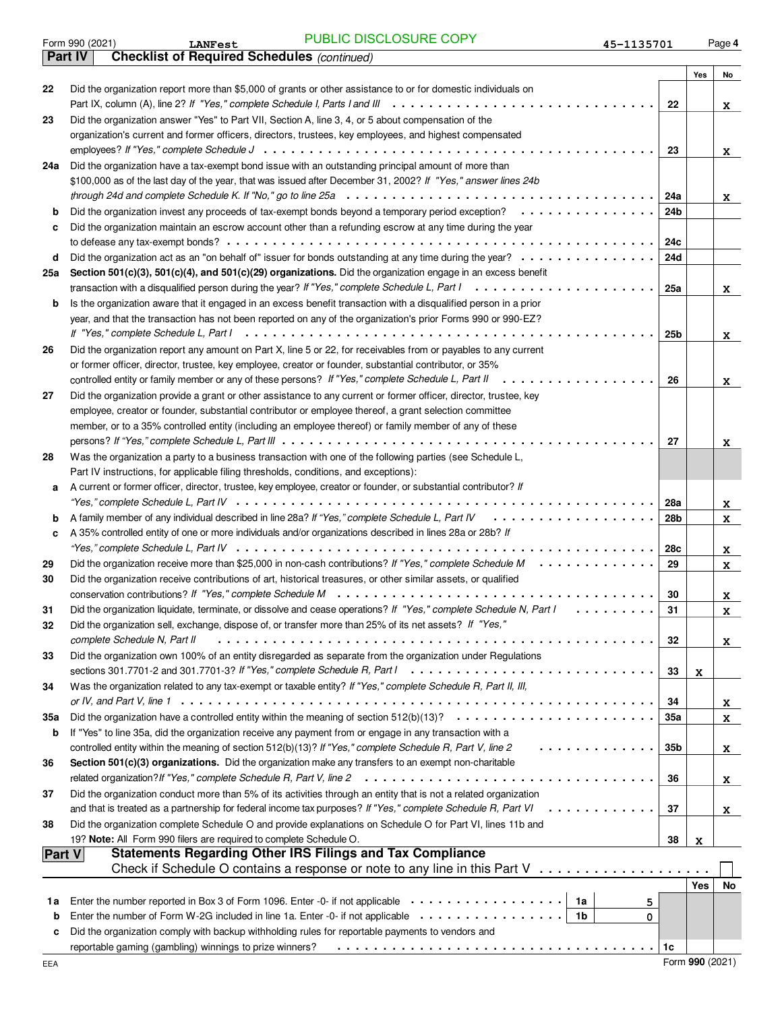|            | Part IV<br><b>Checklist of Required Schedules (continued)</b>                                                                                             |                 |
|------------|-----------------------------------------------------------------------------------------------------------------------------------------------------------|-----------------|
|            |                                                                                                                                                           |                 |
| 22         | Did the organization report more than \$5,000 of grants or other assistance to or for domestic individuals on                                             |                 |
|            |                                                                                                                                                           | 22              |
| 23         | Did the organization answer "Yes" to Part VII, Section A, line 3, 4, or 5 about compensation of the                                                       |                 |
|            | organization's current and former officers, directors, trustees, key employees, and highest compensated                                                   |                 |
|            |                                                                                                                                                           | 23              |
| 24a        | Did the organization have a tax-exempt bond issue with an outstanding principal amount of more than                                                       |                 |
|            | \$100,000 as of the last day of the year, that was issued after December 31, 2002? If "Yes," answer lines 24b                                             |                 |
|            | through 24d and complete Schedule K. If "No," go to line 25a $\ldots \ldots \ldots \ldots \ldots \ldots \ldots \ldots \ldots \ldots \ldots \ldots \ldots$ | 24a             |
| b          | Did the organization invest any proceeds of tax-exempt bonds beyond a temporary period exception?                                                         | 24 <sub>b</sub> |
| c          | Did the organization maintain an escrow account other than a refunding escrow at any time during the year                                                 |                 |
|            |                                                                                                                                                           | 24c             |
| d          | Did the organization act as an "on behalf of" issuer for bonds outstanding at any time during the year?                                                   | 24d             |
| 25a        | Section 501(c)(3), 501(c)(4), and 501(c)(29) organizations. Did the organization engage in an excess benefit                                              |                 |
|            |                                                                                                                                                           | 25a             |
| b          | Is the organization aware that it engaged in an excess benefit transaction with a disqualified person in a prior                                          |                 |
|            | year, and that the transaction has not been reported on any of the organization's prior Forms 990 or 990-EZ?                                              |                 |
|            |                                                                                                                                                           | 25 <sub>b</sub> |
| 26         | Did the organization report any amount on Part X, line 5 or 22, for receivables from or payables to any current                                           |                 |
|            | or former officer, director, trustee, key employee, creator or founder, substantial contributor, or 35%                                                   |                 |
|            |                                                                                                                                                           | 26              |
| 27         | Did the organization provide a grant or other assistance to any current or former officer, director, trustee, key                                         |                 |
|            | employee, creator or founder, substantial contributor or employee thereof, a grant selection committee                                                    |                 |
|            | member, or to a 35% controlled entity (including an employee thereof) or family member of any of these                                                    |                 |
|            |                                                                                                                                                           | 27              |
| 28         | Was the organization a party to a business transaction with one of the following parties (see Schedule L,                                                 |                 |
|            | Part IV instructions, for applicable filing thresholds, conditions, and exceptions):                                                                      |                 |
| a          | A current or former officer, director, trustee, key employee, creator or founder, or substantial contributor? If                                          |                 |
|            |                                                                                                                                                           | 28a             |
| b          |                                                                                                                                                           | 28 <sub>b</sub> |
|            | A 35% controlled entity of one or more individuals and/or organizations described in lines 28a or 28b? If                                                 |                 |
| c          |                                                                                                                                                           |                 |
|            | Did the organization receive more than \$25,000 in non-cash contributions? If "Yes," complete Schedule M                                                  | 28c             |
| 29         |                                                                                                                                                           | 29              |
| 30         | Did the organization receive contributions of art, historical treasures, or other similar assets, or qualified                                            |                 |
|            |                                                                                                                                                           | 30              |
| 31         | Did the organization liquidate, terminate, or dissolve and cease operations? If "Yes," complete Schedule N, Part                                          | 31              |
| 32         | Did the organization sell, exchange, dispose of, or transfer more than 25% of its net assets? If "Yes,"                                                   |                 |
|            | complete Schedule N, Part II                                                                                                                              | 32              |
| 33         | Did the organization own 100% of an entity disregarded as separate from the organization under Regulations                                                |                 |
|            | sections 301.7701-2 and 301.7701-3? If "Yes," complete Schedule R, Part $1, \ldots, \ldots, \ldots, \ldots, \ldots, \ldots, \ldots, \ldots, \ldots$       | 33              |
| 34         | Was the organization related to any tax-exempt or taxable entity? If "Yes," complete Schedule R, Part II, III,                                            |                 |
|            |                                                                                                                                                           | 34              |
| <b>35a</b> |                                                                                                                                                           | 35a             |
| b          | If "Yes" to line 35a, did the organization receive any payment from or engage in any transaction with a                                                   |                 |
|            | controlled entity within the meaning of section 512(b)(13)? If "Yes," complete Schedule R, Part V, line 2<br>.                                            | 35 <sub>b</sub> |
| 36         | Section 501(c)(3) organizations. Did the organization make any transfers to an exempt non-charitable                                                      |                 |
|            |                                                                                                                                                           | 36              |
| 37         | Did the organization conduct more than 5% of its activities through an entity that is not a related organization                                          |                 |
|            | and that is treated as a partnership for federal income tax purposes? If "Yes," complete Schedule R, Part VI                                              | 37              |
| 38         | Did the organization complete Schedule O and provide explanations on Schedule O for Part VI, lines 11b and                                                |                 |
|            | 19? Note: All Form 990 filers are required to complete Schedule O.                                                                                        | 38              |

**Part V** Statements Regarding Other IRS Filings and Tax Compliance

#### **1a** Enter the number reported in Box 3 of Form 1096. Enter -0- if not applicable  $\cdots \cdots \cdots \cdots \cdots$ **b** Enter the number of Form W-2G included in line 1a. Enter -0- if not applicable  $\cdots \cdots \cdots \cdots \cdots \cdot \cdot \cdot$ **c 1c** Did the organization comply with backup withholding rules for reportable payments to vendors and reportable gaming (gambling) winnings to prize winners? Form **990** (2021) . . . . . . . . . . . . . . . . . . . . . . . . . . . . . . . . . . . **5 0**

Check if Schedule O contains a response or note to any line in this Part V . . . . . . . . . . . . . . . . . . .

Form 990 (2021) PUBLIC DISCLOSURE COPY **45-1135701** Page 4

**Yes No**

**X**

**X**

**X**

**X**

**X**

**X**

**X**

**X X**

**X X**

**X X**

**X**

**X X**

**X**

**X**

**X**

**X**

**Yes No**

**X**

|  | LANFest |  |
|--|---------|--|
|  |         |  |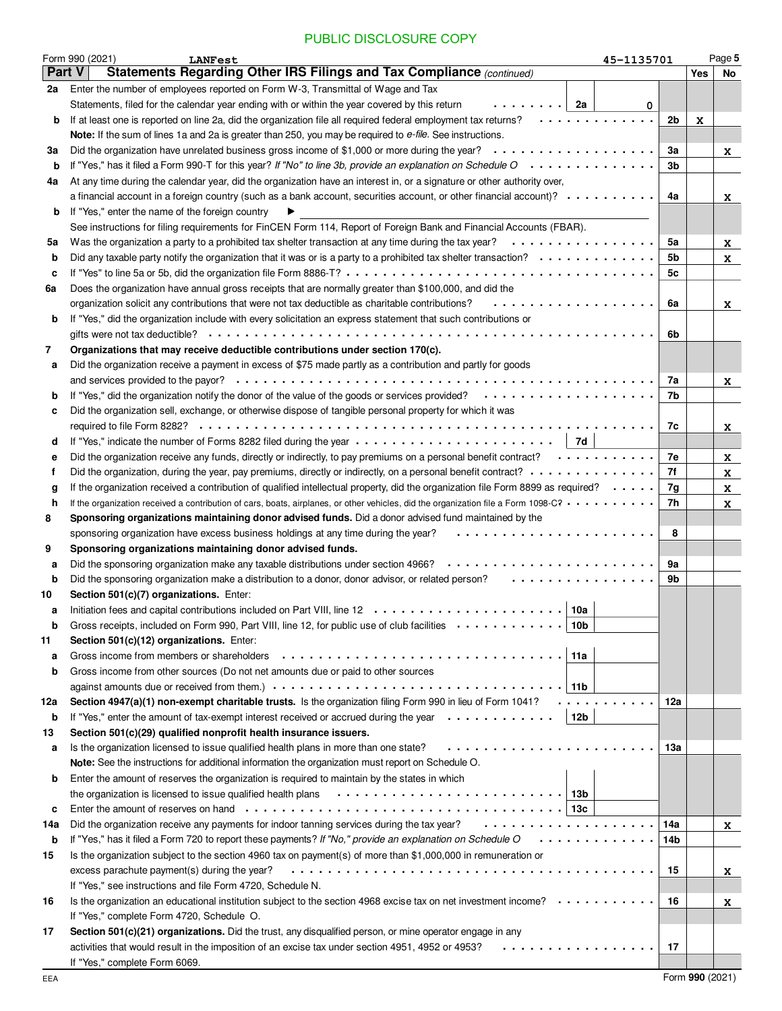|        | Form 990 (2021)<br>LANFest<br>45-1135701                                                                                           |     |     | Page 5 |
|--------|------------------------------------------------------------------------------------------------------------------------------------|-----|-----|--------|
| Part V | Statements Regarding Other IRS Filings and Tax Compliance (continued)                                                              |     | Yes | No     |
| 2a     | Enter the number of employees reported on Form W-3, Transmittal of Wage and Tax                                                    |     |     |        |
|        | Statements, filed for the calendar year ending with or within the year covered by this return<br>2a<br>.<br>0                      |     |     |        |
| b      | .<br>If at least one is reported on line 2a, did the organization file all required federal employment tax returns?                | 2b  | X   |        |
|        | Note: If the sum of lines 1a and 2a is greater than 250, you may be required to e-file. See instructions.                          |     |     |        |
| За     |                                                                                                                                    | За  |     |        |
|        |                                                                                                                                    | 3b  |     | x      |
| b      |                                                                                                                                    |     |     |        |
| 4a     | At any time during the calendar year, did the organization have an interest in, or a signature or other authority over,            |     |     |        |
|        | a financial account in a foreign country (such as a bank account, securities account, or other financial account)?                 | 4a  |     | x      |
| b      | If "Yes," enter the name of the foreign country                                                                                    |     |     |        |
|        | See instructions for filing requirements for FinCEN Form 114, Report of Foreign Bank and Financial Accounts (FBAR).                |     |     |        |
| 5a     | Was the organization a party to a prohibited tax shelter transaction at any time during the tax year?                              | 5a  |     | x      |
| b      | Did any taxable party notify the organization that it was or is a party to a prohibited tax shelter transaction?                   | 5b  |     | x      |
| c      |                                                                                                                                    | 5c  |     |        |
| 6a     | Does the organization have annual gross receipts that are normally greater than \$100,000, and did the                             |     |     |        |
|        | .<br>organization solicit any contributions that were not tax deductible as charitable contributions?                              | 6a  |     | x      |
| b      | If "Yes," did the organization include with every solicitation an express statement that such contributions or                     |     |     |        |
|        |                                                                                                                                    | 6b  |     |        |
| 7      | Organizations that may receive deductible contributions under section 170(c).                                                      |     |     |        |
| a      | Did the organization receive a payment in excess of \$75 made partly as a contribution and partly for goods                        |     |     |        |
|        |                                                                                                                                    | 7a  |     | x      |
| b      |                                                                                                                                    | 7b  |     |        |
|        | Did the organization sell, exchange, or otherwise dispose of tangible personal property for which it was                           |     |     |        |
| c      |                                                                                                                                    |     |     |        |
|        |                                                                                                                                    | 7c  |     | x      |
| d      | 7d                                                                                                                                 |     |     |        |
| е      | Did the organization receive any funds, directly or indirectly, to pay premiums on a personal benefit contract?                    | 7e  |     | x      |
| f      | Did the organization, during the year, pay premiums, directly or indirectly, on a personal benefit contract?                       | 7f  |     | X      |
| g      | If the organization received a contribution of qualified intellectual property, did the organization file Form 8899 as required?   | 7g  |     | X      |
| h      | If the organization received a contribution of cars, boats, airplanes, or other vehicles, did the organization file a Form 1098-C? | 7h  |     | x      |
| 8      | Sponsoring organizations maintaining donor advised funds. Did a donor advised fund maintained by the                               |     |     |        |
|        | sponsoring organization have excess business holdings at any time during the year?                                                 | 8   |     |        |
| 9      | Sponsoring organizations maintaining donor advised funds.                                                                          |     |     |        |
| а      |                                                                                                                                    | 9a  |     |        |
| b      | .<br>Did the sponsoring organization make a distribution to a donor, donor advisor, or related person?                             | 9b  |     |        |
| 10     | Section 501(c)(7) organizations. Enter:                                                                                            |     |     |        |
| а      | 10a                                                                                                                                |     |     |        |
|        | 10 <sub>b</sub><br>Gross receipts, included on Form 990, Part VIII, line 12, for public use of club facilities                     |     |     |        |
| 11     | Section 501(c)(12) organizations. Enter:                                                                                           |     |     |        |
| a      | Gross income from members or shareholders<br>11a                                                                                   |     |     |        |
| b      | Gross income from other sources (Do not net amounts due or paid to other sources                                                   |     |     |        |
|        | 11 <sub>b</sub>                                                                                                                    |     |     |        |
| 12a    | Section 4947(a)(1) non-exempt charitable trusts. Is the organization filing Form 990 in lieu of Form 1041?                         | 12a |     |        |
| b      | 12 <sub>b</sub><br>If "Yes," enter the amount of tax-exempt interest received or accrued during the year                           |     |     |        |
| 13     | Section 501(c)(29) qualified nonprofit health insurance issuers.                                                                   |     |     |        |
| а      | Is the organization licensed to issue qualified health plans in more than one state?                                               | 13a |     |        |
|        | Note: See the instructions for additional information the organization must report on Schedule O.                                  |     |     |        |
|        |                                                                                                                                    |     |     |        |
| b      | Enter the amount of reserves the organization is required to maintain by the states in which                                       |     |     |        |
|        | 13b                                                                                                                                |     |     |        |
| c      | 13 <sub>c</sub>                                                                                                                    |     |     |        |
| 14a    | Did the organization receive any payments for indoor tanning services during the tax year?                                         | 14a |     | x      |
| b      | If "Yes," has it filed a Form 720 to report these payments? If "No," provide an explanation on Schedule O<br>.                     | 14b |     |        |
| 15     | Is the organization subject to the section 4960 tax on payment(s) of more than \$1,000,000 in remuneration or                      |     |     |        |
|        | excess parachute payment(s) during the year?                                                                                       | 15  |     | x      |
|        | If "Yes," see instructions and file Form 4720, Schedule N.                                                                         |     |     |        |
| 16     | Is the organization an educational institution subject to the section 4968 excise tax on net investment income?                    | 16  |     | x      |
|        | If "Yes," complete Form 4720, Schedule O.                                                                                          |     |     |        |
| 17     | Section 501(c)(21) organizations. Did the trust, any disqualified person, or mine operator engage in any                           |     |     |        |
|        | .<br>activities that would result in the imposition of an excise tax under section 4951, 4952 or 4953?                             | 17  |     |        |
|        | If "Yes," complete Form 6069.                                                                                                      |     |     |        |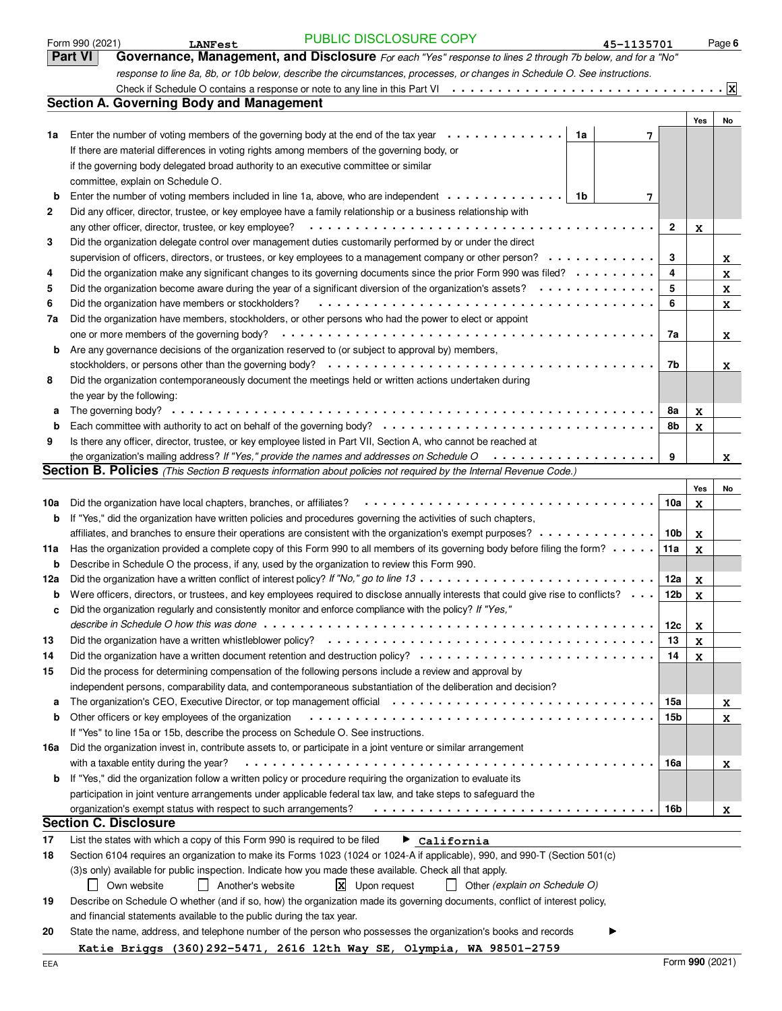|         | <b>Section A. Governing Body and Management</b>                                                                                                               |                 |                 |    |
|---------|---------------------------------------------------------------------------------------------------------------------------------------------------------------|-----------------|-----------------|----|
|         |                                                                                                                                                               |                 | Yes             | No |
| 1a      | Enter the number of voting members of the governing body at the end of the tax year $\dots \dots$<br>1a<br>7                                                  |                 |                 |    |
|         | If there are material differences in voting rights among members of the governing body, or                                                                    |                 |                 |    |
|         | if the governing body delegated broad authority to an executive committee or similar                                                                          |                 |                 |    |
|         | committee, explain on Schedule O.                                                                                                                             |                 |                 |    |
| b       | Enter the number of voting members included in line 1a, above, who are independent<br>∣ 1b<br>7                                                               |                 |                 |    |
| 2       | Did any officer, director, trustee, or key employee have a family relationship or a business relationship with                                                |                 |                 |    |
|         | any other officer, director, trustee, or key employee?                                                                                                        | 2               | X               |    |
| 3       | Did the organization delegate control over management duties customarily performed by or under the direct                                                     |                 |                 |    |
|         | supervision of officers, directors, or trustees, or key employees to a management company or other person? $\cdots \cdots \cdots$                             | 3               |                 | x  |
| 4       | Did the organization make any significant changes to its governing documents since the prior Form 990 was filed?                                              | 4               |                 | X  |
| 5       | Did the organization become aware during the year of a significant diversion of the organization's assets? $\cdots \cdots \cdots \cdots$                      | 5<br>6          |                 | X  |
| 6<br>7a | Did the organization have members or stockholders?<br>Did the organization have members, stockholders, or other persons who had the power to elect or appoint |                 |                 | x  |
|         |                                                                                                                                                               | 7a              |                 | x  |
| b       | Are any governance decisions of the organization reserved to (or subject to approval by) members,                                                             |                 |                 |    |
|         |                                                                                                                                                               | 7b              |                 | x  |
| 8       | Did the organization contemporaneously document the meetings held or written actions undertaken during                                                        |                 |                 |    |
|         | the year by the following:                                                                                                                                    |                 |                 |    |
| а       |                                                                                                                                                               | 8а              | X               |    |
| b       |                                                                                                                                                               | 8b              | X               |    |
| 9       | Is there any officer, director, trustee, or key employee listed in Part VII, Section A, who cannot be reached at                                              |                 |                 |    |
|         | the organization's mailing address? If "Yes," provide the names and addresses on Schedule O<br>. <b>.</b>                                                     | 9               |                 | x  |
|         | Section B. Policies (This Section B requests information about policies not required by the Internal Revenue Code.)                                           |                 |                 |    |
|         |                                                                                                                                                               |                 | Yes             | No |
| 10a     | Did the organization have local chapters, branches, or affiliates?                                                                                            | 10a             | x               |    |
| b       | If "Yes," did the organization have written policies and procedures governing the activities of such chapters,                                                |                 |                 |    |
|         | affiliates, and branches to ensure their operations are consistent with the organization's exempt purposes?                                                   | 10 <sub>b</sub> | $\mathbf x$     |    |
| 11a     | Has the organization provided a complete copy of this Form 990 to all members of its governing body before filing the form?                                   | 11a             | $\mathbf x$     |    |
| b       | Describe in Schedule O the process, if any, used by the organization to review this Form 990.                                                                 |                 |                 |    |
| 12a     |                                                                                                                                                               | 12a             | X               |    |
| b       | Were officers, directors, or trustees, and key employees required to disclose annually interests that could give rise to conflicts?                           | 12b             | $\mathbf x$     |    |
| c       | Did the organization regularly and consistently monitor and enforce compliance with the policy? If "Yes,"                                                     |                 |                 |    |
|         |                                                                                                                                                               | 12c             | x               |    |
| 13      |                                                                                                                                                               | 13              | $\mathbf x$     |    |
| 14      | Did the process for determining compensation of the following persons include a review and approval by                                                        | 14              | X               |    |
| 15      | independent persons, comparability data, and contemporaneous substantiation of the deliberation and decision?                                                 |                 |                 |    |
| а       |                                                                                                                                                               | 15a             |                 | X  |
| b       | Other officers or key employees of the organization                                                                                                           | 15 <sub>b</sub> |                 | x  |
|         | If "Yes" to line 15a or 15b, describe the process on Schedule O. See instructions.                                                                            |                 |                 |    |
| 16a     | Did the organization invest in, contribute assets to, or participate in a joint venture or similar arrangement                                                |                 |                 |    |
|         | with a taxable entity during the year?                                                                                                                        | 16a             |                 | x  |
| b       | If "Yes," did the organization follow a written policy or procedure requiring the organization to evaluate its                                                |                 |                 |    |
|         | participation in joint venture arrangements under applicable federal tax law, and take steps to safeguard the                                                 |                 |                 |    |
|         | organization's exempt status with respect to such arrangements?                                                                                               | 16b             |                 | X  |
|         | <b>Section C. Disclosure</b>                                                                                                                                  |                 |                 |    |
| 17      | List the states with which a copy of this Form 990 is required to be filed<br>$\blacktriangleright$ California                                                |                 |                 |    |
| 18      | Section 6104 requires an organization to make its Forms 1023 (1024 or 1024-A if applicable), 990, and 990-T (Section 501(c)                                   |                 |                 |    |
|         | (3)s only) available for public inspection. Indicate how you made these available. Check all that apply.                                                      |                 |                 |    |
|         | X Upon request<br>Other (explain on Schedule O)<br>Own website<br>Another's website<br>$\mathsf{L}$                                                           |                 |                 |    |
| 19      | Describe on Schedule O whether (and if so, how) the organization made its governing documents, conflict of interest policy,                                   |                 |                 |    |
|         | and financial statements available to the public during the tax year.                                                                                         |                 |                 |    |
| 20      | State the name, address, and telephone number of the person who possesses the organization's books and records                                                |                 |                 |    |
|         | Katie Briggs (360) 292-5471, 2616 12th Way SE, Olympia, WA 98501-2759                                                                                         |                 |                 |    |
| EEA     |                                                                                                                                                               |                 | Form 990 (2021) |    |
|         |                                                                                                                                                               |                 |                 |    |

Form 990 (2021) Page **6 LANFest 45-1135701** PUBLIC DISCLOSURE COPY

response to line 8a, 8b, or 10b below, describe the circumstances, processes, or changes in Schedule O. See instructions.

Check if Schedule O contains a response or note to any line in this Part VI *marroof particle in the section* of the contains a response or note to any line in this Part VI **marroof and the container and the section**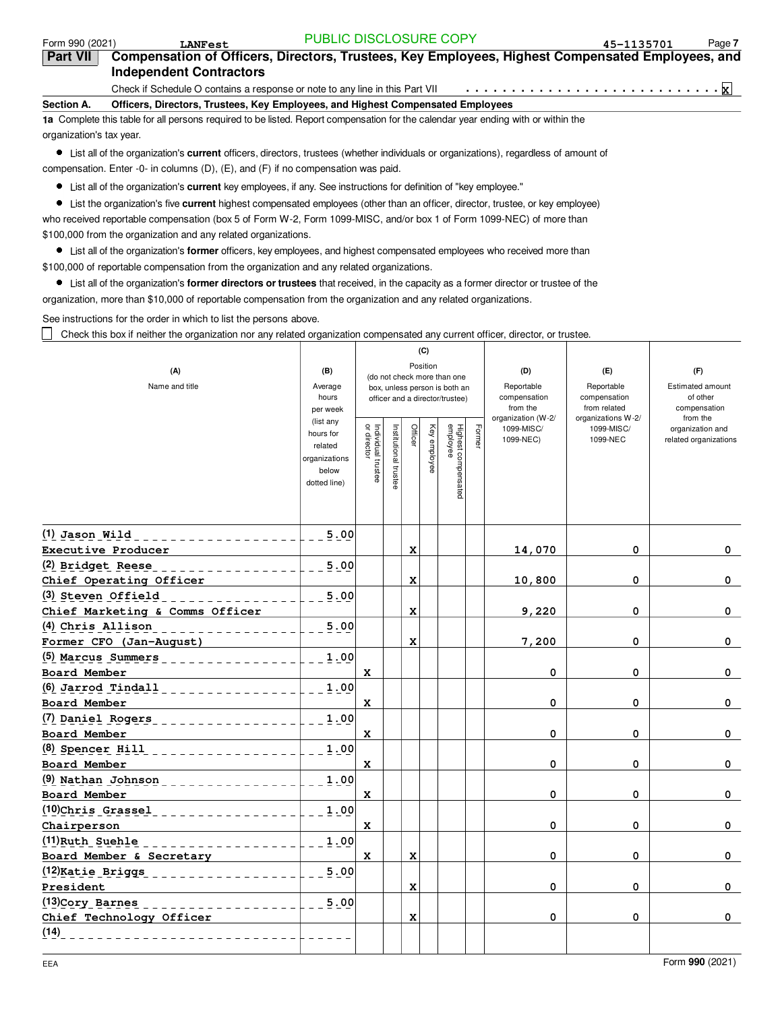#### Form 990 (2021) **LANFest** PUBLIC DISCLOSURE COPY **45-1135701** Page **7 LANFest 45-1135701**

|            | <b>Part VII</b> Compensation of Officers, Directors, Trustees, Key Employees, Highest Compensated Employees, and<br><b>Independent Contractors</b> |  |
|------------|----------------------------------------------------------------------------------------------------------------------------------------------------|--|
|            | Check if Schedule O contains a response or note to any line in this Part VII                                                                       |  |
| Section A. | Officers, Directors, Trustees, Key Employees, and Highest Compensated Employees                                                                    |  |

**1a** Complete this table for all persons required to be listed. Report compensation for the calendar year ending with or within the organization's tax year.

List all of the organization's **current** officers, directors, trustees (whether individuals or organizations), regardless of amount of compensation. Enter -0- in columns (D), (E), and (F) if no compensation was paid.

List all of the organization's **current** key employees, if any. See instructions for definition of "key employee."

List the organization's five **current** highest compensated employees (other than an officer, director, trustee, or key employee) who received reportable compensation (box 5 of Form W-2, Form 1099-MISC, and/or box 1 of Form 1099-NEC) of more than \$100,000 from the organization and any related organizations.

List all of the organization's **former** officers, key employees, and highest compensated employees who received more than

\$100,000 of reportable compensation from the organization and any related organizations.

List all of the organization's **former directors or trustees** that received, in the capacity as a former director or trustee of the organization, more than \$10,000 of reportable compensation from the organization and any related organizations.

See instructions for the order in which to list the persons above.

Check this box if neither the organization nor any related organization compensated any current officer, director, or trustee.

 $\mathbf{I}$ 

 $\mathbf{I}$ 

|                                                |                      |                                   |                                                              |             | (C)          |                                 |        |                                  |                                  |                              |
|------------------------------------------------|----------------------|-----------------------------------|--------------------------------------------------------------|-------------|--------------|---------------------------------|--------|----------------------------------|----------------------------------|------------------------------|
| (A)                                            | (B)                  | Position                          |                                                              |             |              |                                 |        | (D)                              | (E)                              | (F)                          |
| Name and title                                 | Average              |                                   | (do not check more than one<br>box, unless person is both an |             |              |                                 |        | Reportable                       | Reportable                       | Estimated amount             |
|                                                | hours                |                                   |                                                              |             |              | officer and a director/trustee) |        | compensation                     | compensation                     | of other                     |
|                                                | per week             |                                   |                                                              |             |              |                                 |        | from the                         | from related                     | compensation                 |
|                                                | (list any            |                                   |                                                              |             |              |                                 |        | organization (W-2/<br>1099-MISC/ | organizations W-2/<br>1099-MISC/ | from the<br>organization and |
|                                                | hours for<br>related | Individual trustee<br>or director | Institutional trustee                                        | Office      | Key employee | Highest compensated<br>employee | Former | 1099-NEC)                        | 1099-NEC                         | related organizations        |
|                                                | organizations        |                                   |                                                              |             |              |                                 |        |                                  |                                  |                              |
|                                                | below                |                                   |                                                              |             |              |                                 |        |                                  |                                  |                              |
|                                                | dotted line)         |                                   |                                                              |             |              |                                 |        |                                  |                                  |                              |
|                                                |                      |                                   |                                                              |             |              |                                 |        |                                  |                                  |                              |
|                                                |                      |                                   |                                                              |             |              |                                 |        |                                  |                                  |                              |
| (1) Jason Wild<br>_ _ _ _ _ _ _ _ _ _ _ _      | 5.00                 |                                   |                                                              |             |              |                                 |        |                                  |                                  |                              |
| Executive Producer                             |                      |                                   |                                                              | X           |              |                                 |        | 14,070                           | 0                                | 0                            |
| (2) Bridget Reese<br>_ _ _ _ _ _ _ _ _ _ _ _ _ | 5.00                 |                                   |                                                              |             |              |                                 |        |                                  |                                  |                              |
| Chief Operating Officer                        |                      |                                   |                                                              | X           |              |                                 |        | 10,800                           | $\Omega$                         | 0                            |
| (3) Steven Offield                             | 5.00                 |                                   |                                                              |             |              |                                 |        |                                  |                                  |                              |
| Chief Marketing & Comms Officer                |                      |                                   |                                                              | $\mathbf x$ |              |                                 |        | 9,220                            | 0                                | 0                            |
| (4) Chris Allison<br>_ _ _ _ _ _ _ _ _ _ _ _   | 5.00                 |                                   |                                                              |             |              |                                 |        |                                  |                                  |                              |
| Former CFO (Jan-August)                        |                      |                                   |                                                              | X           |              |                                 |        | 7,200                            | 0                                | 0                            |
| (5) Marcus Summers _ _ _ _ _ _ _ _ _ _ _ _ _   | 1.00                 |                                   |                                                              |             |              |                                 |        |                                  |                                  |                              |
| Board Member                                   |                      | X                                 |                                                              |             |              |                                 |        | 0                                | 0                                | 0                            |
| (6) Jarrod Tindall                             | 1.00                 |                                   |                                                              |             |              |                                 |        |                                  |                                  |                              |
| Board Member                                   |                      | X                                 |                                                              |             |              |                                 |        | 0                                | 0                                | 0                            |
| (7) Daniel Rogers                              | 1.00                 |                                   |                                                              |             |              |                                 |        |                                  |                                  |                              |
| Board Member                                   |                      | x                                 |                                                              |             |              |                                 |        | 0                                | 0                                | 0                            |
| (8) Spencer Hill<br><u>.</u>                   | 1.00                 |                                   |                                                              |             |              |                                 |        |                                  |                                  |                              |
| Board Member                                   |                      | x                                 |                                                              |             |              |                                 |        | 0                                | 0                                | 0                            |
| (9) Nathan Johnson                             | 1.00                 |                                   |                                                              |             |              |                                 |        |                                  |                                  |                              |
| Board Member                                   |                      | x                                 |                                                              |             |              |                                 |        | 0                                | 0                                | 0                            |
| $(10)$ Chris Grassel _____________             | 1.00                 |                                   |                                                              |             |              |                                 |        |                                  |                                  |                              |
| Chairperson                                    |                      | x                                 |                                                              |             |              |                                 |        | 0                                | 0                                | 0                            |
| (11) Ruth Suehle<br><u>a a a a a a a</u>       | 1.00                 |                                   |                                                              |             |              |                                 |        |                                  |                                  |                              |
| Board Member & Secretary                       |                      | X                                 |                                                              | X           |              |                                 |        | 0                                | 0                                | 0                            |
| $(12)$ Katie Briggs<br>------------            | 5.00                 |                                   |                                                              |             |              |                                 |        |                                  |                                  |                              |
| President                                      |                      |                                   |                                                              | X           |              |                                 |        | 0                                | 0                                | 0                            |
| (13) Cory Barnes _______________               | 5.00                 |                                   |                                                              |             |              |                                 |        |                                  |                                  |                              |
| Chief Technology Officer                       |                      |                                   |                                                              | X           |              |                                 |        | 0                                | 0                                | 0                            |
| (14)                                           |                      |                                   |                                                              |             |              |                                 |        |                                  |                                  |                              |
|                                                |                      |                                   |                                                              |             |              |                                 |        |                                  |                                  |                              |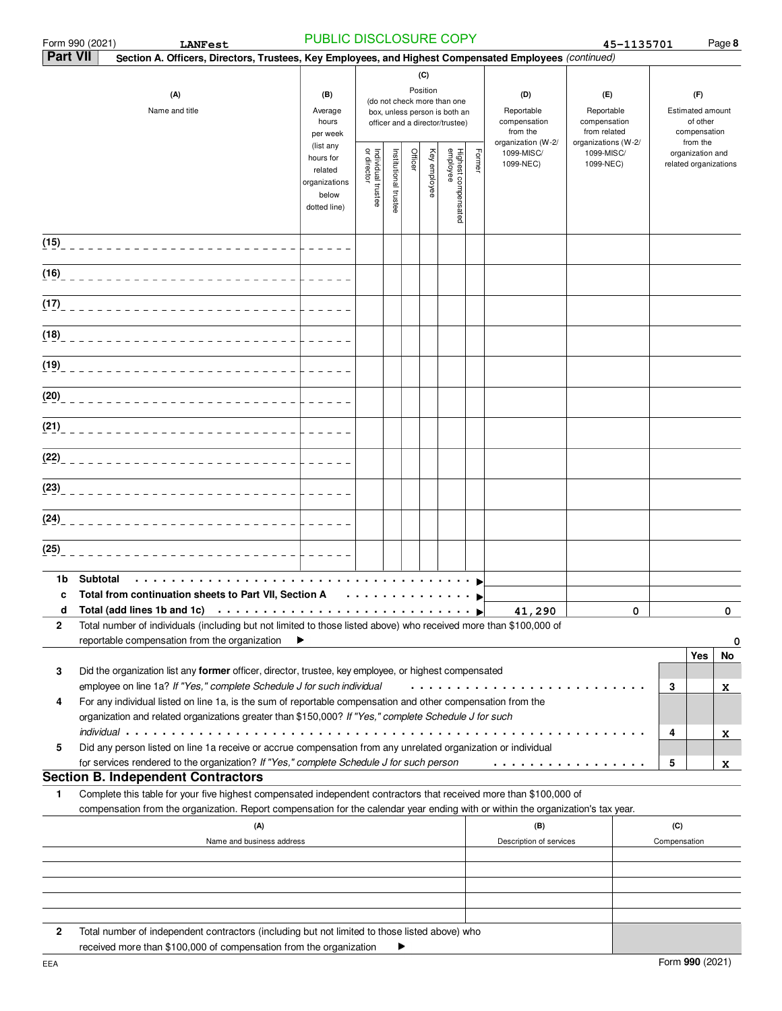## Form 990 (2021) Page **8 LANFest 45-1135701** PUBLIC DISCLOSURE COPY

| <b>Part VII</b> | Section A. Officers, Directors, Trustees, Key Employees, and Highest Compensated Employees (continued)                                                                                                                                                                                              |                                                                             |                                   |                       |         |                 |                                                                                                 |        |                                                                     |                                                                          |              |                     |                                                       |              |
|-----------------|-----------------------------------------------------------------------------------------------------------------------------------------------------------------------------------------------------------------------------------------------------------------------------------------------------|-----------------------------------------------------------------------------|-----------------------------------|-----------------------|---------|-----------------|-------------------------------------------------------------------------------------------------|--------|---------------------------------------------------------------------|--------------------------------------------------------------------------|--------------|---------------------|-------------------------------------------------------|--------------|
|                 | (A)<br>Name and title                                                                                                                                                                                                                                                                               | (B)<br>Average<br>hours<br>per week                                         |                                   |                       |         | (C)<br>Position | (do not check more than one<br>box, unless person is both an<br>officer and a director/trustee) |        | (D)<br>Reportable<br>compensation<br>from the<br>organization (W-2/ | (E)<br>Reportable<br>compensation<br>from related<br>organizations (W-2/ |              | Estimated amount    | of other<br>compensation                              |              |
|                 |                                                                                                                                                                                                                                                                                                     | (list any<br>hours for<br>related<br>organizations<br>below<br>dotted line) | Individual trustee<br>or director | Institutional trustee | Officer | Key employee    | Highest compensated<br>employee                                                                 | Former | 1099-MISC/<br>1099-NEC)                                             | 1099-MISC/<br>1099-NEC)                                                  |              |                     | from the<br>organization and<br>related organizations |              |
|                 | (15)                                                                                                                                                                                                                                                                                                |                                                                             |                                   |                       |         |                 |                                                                                                 |        |                                                                     |                                                                          |              |                     |                                                       |              |
|                 | (16)                                                                                                                                                                                                                                                                                                |                                                                             |                                   |                       |         |                 |                                                                                                 |        |                                                                     |                                                                          |              |                     |                                                       |              |
|                 | (17)                                                                                                                                                                                                                                                                                                |                                                                             |                                   |                       |         |                 |                                                                                                 |        |                                                                     |                                                                          |              |                     |                                                       |              |
|                 | (18)                                                                                                                                                                                                                                                                                                |                                                                             |                                   |                       |         |                 |                                                                                                 |        |                                                                     |                                                                          |              |                     |                                                       |              |
|                 |                                                                                                                                                                                                                                                                                                     |                                                                             |                                   |                       |         |                 |                                                                                                 |        |                                                                     |                                                                          |              |                     |                                                       |              |
|                 | (20) ________________________________                                                                                                                                                                                                                                                               |                                                                             |                                   |                       |         |                 |                                                                                                 |        |                                                                     |                                                                          |              |                     |                                                       |              |
|                 |                                                                                                                                                                                                                                                                                                     |                                                                             |                                   |                       |         |                 |                                                                                                 |        |                                                                     |                                                                          |              |                     |                                                       |              |
|                 |                                                                                                                                                                                                                                                                                                     |                                                                             |                                   |                       |         |                 |                                                                                                 |        |                                                                     |                                                                          |              |                     |                                                       |              |
|                 |                                                                                                                                                                                                                                                                                                     |                                                                             |                                   |                       |         |                 |                                                                                                 |        |                                                                     |                                                                          |              |                     |                                                       |              |
|                 |                                                                                                                                                                                                                                                                                                     |                                                                             |                                   |                       |         |                 |                                                                                                 |        |                                                                     |                                                                          |              |                     |                                                       |              |
| (25)            |                                                                                                                                                                                                                                                                                                     |                                                                             |                                   |                       |         |                 |                                                                                                 |        |                                                                     |                                                                          |              |                     |                                                       |              |
| 1b<br>C         | Subtotal<br>Total from continuation sheets to Part VII, Section A                                                                                                                                                                                                                                   |                                                                             | . <b>.</b>                        |                       |         |                 |                                                                                                 |        |                                                                     |                                                                          |              |                     |                                                       |              |
| d<br>2          | Total number of individuals (including but not limited to those listed above) who received more than \$100,000 of                                                                                                                                                                                   |                                                                             |                                   |                       |         |                 |                                                                                                 |        | 41,290                                                              |                                                                          | $\mathbf{0}$ |                     |                                                       | $\mathbf{0}$ |
| 3               | reportable compensation from the organization<br>Did the organization list any former officer, director, trustee, key employee, or highest compensated<br>employee on line 1a? If "Yes," complete Schedule J for such individual                                                                    |                                                                             |                                   |                       |         |                 |                                                                                                 |        |                                                                     |                                                                          |              | 3                   | Yes                                                   | 0<br>No      |
| 4               | For any individual listed on line 1a, is the sum of reportable compensation and other compensation from the<br>organization and related organizations greater than \$150,000? If "Yes," complete Schedule J for such                                                                                |                                                                             |                                   |                       |         |                 |                                                                                                 |        |                                                                     |                                                                          |              |                     |                                                       | x            |
| 5               | Did any person listed on line 1a receive or accrue compensation from any unrelated organization or individual<br>for services rendered to the organization? If "Yes," complete Schedule J for such person                                                                                           |                                                                             |                                   |                       |         |                 |                                                                                                 |        | .<br>.                                                              |                                                                          |              | 4<br>5              |                                                       | x<br>x       |
| 1               | <b>Section B. Independent Contractors</b><br>Complete this table for your five highest compensated independent contractors that received more than \$100,000 of<br>compensation from the organization. Report compensation for the calendar year ending with or within the organization's tax year. |                                                                             |                                   |                       |         |                 |                                                                                                 |        |                                                                     |                                                                          |              |                     |                                                       |              |
|                 | (A)<br>Name and business address                                                                                                                                                                                                                                                                    |                                                                             |                                   |                       |         |                 |                                                                                                 |        | (B)<br>Description of services                                      |                                                                          |              | (C)<br>Compensation |                                                       |              |
|                 |                                                                                                                                                                                                                                                                                                     |                                                                             |                                   |                       |         |                 |                                                                                                 |        |                                                                     |                                                                          |              |                     |                                                       |              |
|                 |                                                                                                                                                                                                                                                                                                     |                                                                             |                                   |                       |         |                 |                                                                                                 |        |                                                                     |                                                                          |              |                     |                                                       |              |
| 2               | Total number of independent contractors (including but not limited to those listed above) who                                                                                                                                                                                                       |                                                                             |                                   |                       |         |                 |                                                                                                 |        |                                                                     |                                                                          |              |                     |                                                       |              |

 $\blacktriangleright$ 

received more than \$100,000 of compensation from the organization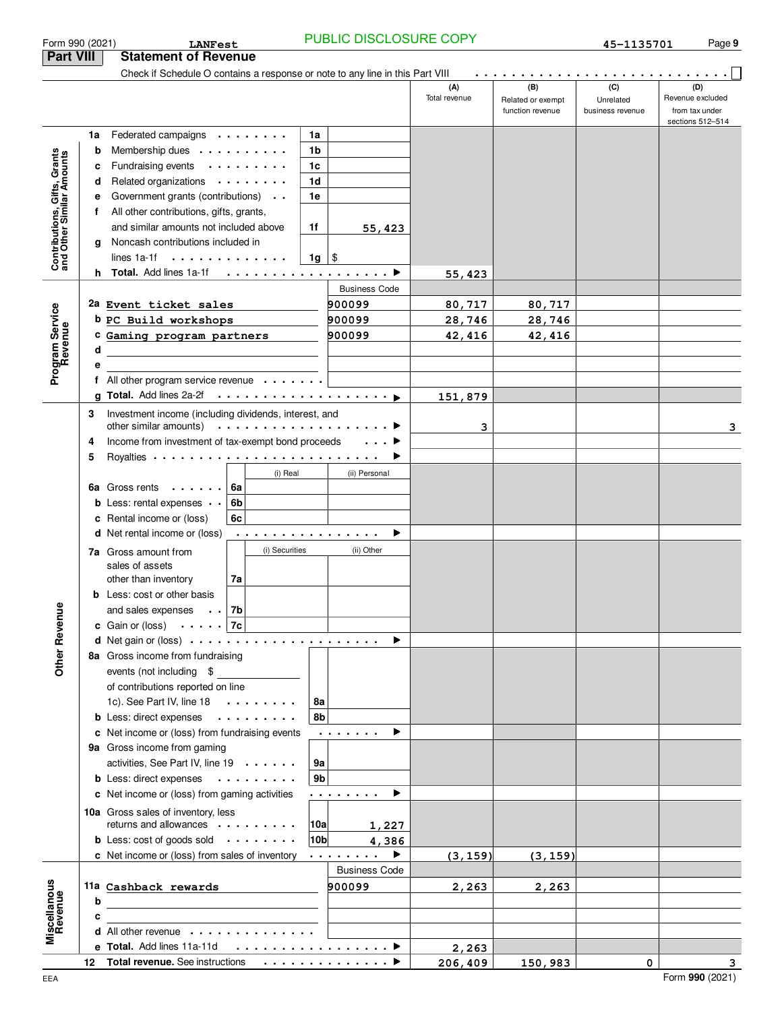| <b>Part VIII</b>                                          |    | <b>Statement of Revenue</b>                     |    |  |
|-----------------------------------------------------------|----|-------------------------------------------------|----|--|
|                                                           |    | Check if Schedule O contains a response or note |    |  |
|                                                           |    |                                                 |    |  |
|                                                           |    |                                                 |    |  |
|                                                           | 1a | Federated campaigns                             | 1a |  |
|                                                           | b  | Membership dues                                 | 1b |  |
|                                                           | c  | Fundraising events<br>.                         | 1c |  |
|                                                           | d  | Related organizations                           | 1d |  |
|                                                           | e  | Government grants (contributions)               | 1e |  |
|                                                           | f  | All other contributions, gifts, grants,         |    |  |
|                                                           |    | and similar amounts not included above          | 1f |  |
| Contributions, Gifts, Grants<br>and Other Similar Amounts | g  | Noncash contributions included in               |    |  |
|                                                           |    | lines 1a-1f                                     | 1g |  |
|                                                           | h  | <b>Total.</b> Add lines 1a-1f                   |    |  |
|                                                           |    |                                                 |    |  |
| Φ                                                         | 2a | Event ticket sales                              |    |  |

# Form 990 (2021) Page **9 LANFest 45-1135701** PUBLIC DISCLOSURE COPY

| <b>Statement of Revenue</b>                                                                                                                                                                     |                      |             |                      |                                              |                                      |                                                               |
|-------------------------------------------------------------------------------------------------------------------------------------------------------------------------------------------------|----------------------|-------------|----------------------|----------------------------------------------|--------------------------------------|---------------------------------------------------------------|
| Check if Schedule O contains a response or note to any line in this Part VIII                                                                                                                   |                      |             |                      |                                              |                                      |                                                               |
|                                                                                                                                                                                                 |                      |             | (A)<br>Total revenue | (B)<br>Related or exempt<br>function revenue | (C)<br>Unrelated<br>business revenue | (D)<br>Revenue excluded<br>from tax under<br>sections 512-514 |
| ederated campaigns $\cdots \cdots$<br>embership dues $\dots \dots \dots$<br>undraising events $\cdots \cdots$<br>elated organizations $\cdots \cdots$                                           | 1a<br>1b<br>1c<br>1d |             |                      |                                              |                                      |                                                               |
| overnment grants (contributions)<br>I other contributions, gifts, grants,<br>d similar amounts not included above<br>oncash contributions included in<br>$es 1a-1f \ldots \ldots \ldots \ldots$ | 1e<br>1f<br>1g       | 55,423<br>8 |                      |                                              |                                      |                                                               |
| <b>otal.</b> Add lines 1a-1f                                                                                                                                                                    |                      |             | 55,423               |                                              |                                      |                                                               |

|                         |                       |                                                                                                                                                                                                                                                                  | <b>Business Code</b> |          |          |   |              |
|-------------------------|-----------------------|------------------------------------------------------------------------------------------------------------------------------------------------------------------------------------------------------------------------------------------------------------------|----------------------|----------|----------|---|--------------|
|                         | 2a Event ticket sales |                                                                                                                                                                                                                                                                  | 900099               | 80,717   | 80,717   |   |              |
|                         |                       | b PC Build workshops                                                                                                                                                                                                                                             | 900099               | 28,746   | 28,746   |   |              |
| Program Service         |                       | c Gaming program partners                                                                                                                                                                                                                                        | 900099               | 42,416   | 42,416   |   |              |
|                         | d                     |                                                                                                                                                                                                                                                                  |                      |          |          |   |              |
|                         | е                     |                                                                                                                                                                                                                                                                  |                      |          |          |   |              |
|                         |                       | f All other program service revenue $\cdots$                                                                                                                                                                                                                     |                      |          |          |   |              |
|                         |                       |                                                                                                                                                                                                                                                                  |                      | 151,879  |          |   |              |
|                         | 3                     | Investment income (including dividends, interest, and                                                                                                                                                                                                            |                      |          |          |   |              |
|                         |                       | other similar amounts) $\cdots$ $\cdots$ $\cdots$ $\cdots$ $\cdots$ $\cdots$ $\cdots$                                                                                                                                                                            |                      | 3        |          |   | 3            |
|                         | 4                     | Income from investment of tax-exempt bond proceeds                                                                                                                                                                                                               | a a a Br             |          |          |   |              |
|                         | 5                     |                                                                                                                                                                                                                                                                  |                      |          |          |   |              |
|                         |                       | (i) Real                                                                                                                                                                                                                                                         | (ii) Personal        |          |          |   |              |
|                         |                       | 6a Gross rents $\cdots$ .<br>∣ 6a                                                                                                                                                                                                                                |                      |          |          |   |              |
|                         |                       | <b>b</b> Less: rental expenses<br>  6b                                                                                                                                                                                                                           |                      |          |          |   |              |
|                         |                       | c Rental income or (loss)<br>6c                                                                                                                                                                                                                                  |                      |          |          |   |              |
|                         |                       | <b>d</b> Net rental income or (loss)<br>.                                                                                                                                                                                                                        |                      |          |          |   |              |
|                         |                       | (i) Securities<br>7a Gross amount from                                                                                                                                                                                                                           | (ii) Other           |          |          |   |              |
|                         |                       | sales of assets                                                                                                                                                                                                                                                  |                      |          |          |   |              |
|                         |                       | other than inventory<br>7a                                                                                                                                                                                                                                       |                      |          |          |   |              |
|                         |                       | <b>b</b> Less: cost or other basis                                                                                                                                                                                                                               |                      |          |          |   |              |
|                         |                       | and sales expenses<br>. . 7b                                                                                                                                                                                                                                     |                      |          |          |   |              |
|                         |                       | c Gain or (loss) $\cdots$ 17c                                                                                                                                                                                                                                    |                      |          |          |   |              |
| <b>Other Revenue</b>    |                       |                                                                                                                                                                                                                                                                  |                      |          |          |   |              |
|                         |                       | 8a Gross income from fundraising                                                                                                                                                                                                                                 |                      |          |          |   |              |
|                         |                       | events (not including \$                                                                                                                                                                                                                                         |                      |          |          |   |              |
|                         |                       | of contributions reported on line                                                                                                                                                                                                                                |                      |          |          |   |              |
|                         |                       | 1c). See Part IV, line 18<br>.<br>8a                                                                                                                                                                                                                             |                      |          |          |   |              |
|                         |                       | <b>b</b> Less: direct expenses<br>$\sim$ 100 km and 100 km and 100 km and 100 km and 100 km and 100 km and 100 km and 100 km and 100 km and 100 km and 100 km and 100 km and 100 km and 100 km and 100 km and 100 km and 100 km and 100 km and 100 km and 100 km | 8b                   |          |          |   |              |
|                         |                       | c Net income or (loss) from fundraising events                                                                                                                                                                                                                   | and a straight and   |          |          |   |              |
|                         |                       | 9a Gross income from gaming                                                                                                                                                                                                                                      |                      |          |          |   |              |
|                         |                       | activities, See Part IV, line 19                                                                                                                                                                                                                                 | 9a                   |          |          |   |              |
|                         |                       | b Less: direct expenses                                                                                                                                                                                                                                          | 9b                   |          |          |   |              |
|                         |                       | c Net income or (loss) from gaming activities                                                                                                                                                                                                                    | .                    |          |          |   |              |
|                         |                       | 10a Gross sales of inventory, less                                                                                                                                                                                                                               |                      |          |          |   |              |
|                         |                       | returns and allowances<br>10a                                                                                                                                                                                                                                    | 1,227                |          |          |   |              |
|                         |                       | b Less: cost of goods sold                                                                                                                                                                                                                                       | 10b<br>4,386         |          |          |   |              |
|                         |                       | c Net income or (loss) from sales of inventory                                                                                                                                                                                                                   | .                    | (3, 159) | (3, 159) |   |              |
|                         |                       |                                                                                                                                                                                                                                                                  | <b>Business Code</b> |          |          |   |              |
|                         |                       | 11a Cashback rewards                                                                                                                                                                                                                                             | 900099               | 2,263    | 2,263    |   |              |
| Miscellanous<br>Revenue | b                     |                                                                                                                                                                                                                                                                  |                      |          |          |   |              |
|                         | c                     |                                                                                                                                                                                                                                                                  |                      |          |          |   |              |
|                         |                       | d All other revenue                                                                                                                                                                                                                                              |                      |          |          |   |              |
|                         |                       |                                                                                                                                                                                                                                                                  |                      | 2,263    |          |   |              |
|                         |                       | <b>12 Total revenue.</b> See instructions                                                                                                                                                                                                                        | .                    | 206,409  | 150,983  | 0 | $\mathbf{3}$ |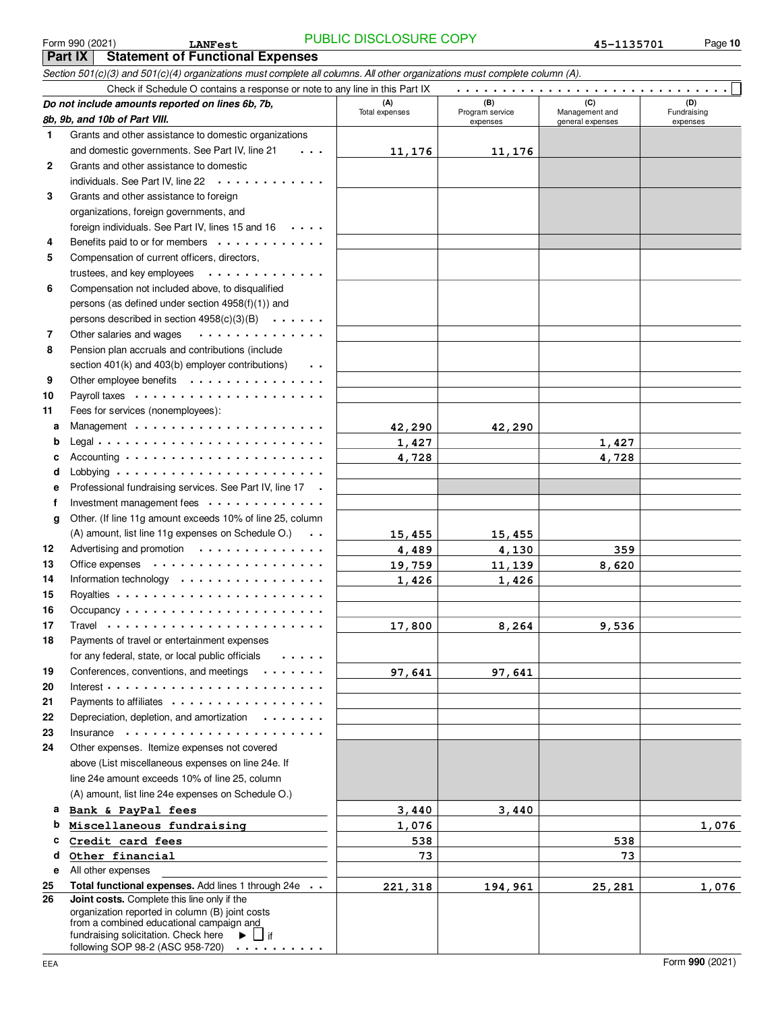| Check if Schedule O contains a response or note to any line in this Part IX<br>(B)<br>(D)<br>(A)<br>(C)<br>Do not include amounts reported on lines 6b, 7b,<br>Program service<br>Fundraising<br>Total expenses<br>Management and<br>8b, 9b, and 10b of Part VIII.<br>expenses<br>general expenses<br>expenses<br>Grants and other assistance to domestic organizations<br>$\mathbf{1}$<br>and domestic governments. See Part IV, line 21<br>$\sim 100$ km s $^{-1}$<br>11,176<br>11,176<br>Grants and other assistance to domestic<br>$\mathbf{2}$<br>individuals. See Part IV, line $22 \cdot \cdot \cdot \cdot \cdot \cdot \cdot \cdot \cdot \cdot \cdot$<br>Grants and other assistance to foreign<br>3<br>organizations, foreign governments, and<br>foreign individuals. See Part IV, lines 15 and 16<br>Benefits paid to or for members<br>4<br>Compensation of current officers, directors,<br>5<br>trustees, and key employees $\cdots$ ,<br>Compensation not included above, to disqualified<br>6<br>persons (as defined under section $4958(f)(1)$ ) and<br>persons described in section $4958(c)(3)(B) \cdot \cdot \cdot \cdot \cdot$<br>Other salaries and wages<br>.<br>7<br>Pension plan accruals and contributions (include<br>8<br>section 401(k) and 403(b) employer contributions)<br>$\sim 10$<br>Other employee benefits<br>9<br>10<br>Fees for services (nonemployees):<br>11<br>42,290<br>42,290<br>а<br>Legal<br>1,427<br>1,427<br>b<br>4,728<br>4,728<br>c<br>d<br>Professional fundraising services. See Part IV, line 17 .<br>е<br>Investment management fees<br>f<br>Other. (If line 11g amount exceeds 10% of line 25, column<br>g<br>(A) amount, list line 11g expenses on Schedule O.)<br>$\sim 10$<br>15,455<br>15,455<br>Advertising and promotion<br>4,489<br>4,130<br>359<br>19,759<br>11,139<br>8,620<br>Information technology<br>1,426<br>1,426<br>16<br>17<br>17,800<br>8,264<br>9,536<br>Payments of travel or entertainment expenses<br>18<br>for any federal, state, or local public officials<br>$\alpha$ , $\alpha$ , $\alpha$ , $\alpha$ , $\alpha$<br>Conferences, conventions, and meetings<br>19<br><b>The State State</b><br>97,641<br>97,641<br>20<br>Payments to affiliates<br>21<br>Depreciation, depletion, and amortization<br>22<br>$insurance \dots \dots \dots \dots \dots \dots \dots \dots$<br>23<br>Other expenses. Itemize expenses not covered<br>24<br>above (List miscellaneous expenses on line 24e. If<br>line 24e amount exceeds 10% of line 25, column<br>(A) amount, list line 24e expenses on Schedule O.)<br>3,440<br>Bank & PayPal fees<br>3,440<br>a<br>Miscellaneous fundraising<br>1,076<br>1,076<br>b<br>538<br>Credit card fees<br>538<br>c<br>Other financial<br>73<br>73<br>d<br>All other expenses<br>е<br>Total functional expenses. Add lines 1 through 24e<br>221,318<br>194,961<br>1,076<br>25<br>25,281<br>Joint costs. Complete this line only if the<br>26<br>organization reported in column (B) joint costs<br>from a combined educational campaign and<br>fundraising solicitation. Check here $\blacktriangleright \bigsqcup_{i=1}^{n}$ if |    | Section 501(c)(3) and 501(c)(4) organizations must complete all columns. All other organizations must complete column (A). |  |  |
|---------------------------------------------------------------------------------------------------------------------------------------------------------------------------------------------------------------------------------------------------------------------------------------------------------------------------------------------------------------------------------------------------------------------------------------------------------------------------------------------------------------------------------------------------------------------------------------------------------------------------------------------------------------------------------------------------------------------------------------------------------------------------------------------------------------------------------------------------------------------------------------------------------------------------------------------------------------------------------------------------------------------------------------------------------------------------------------------------------------------------------------------------------------------------------------------------------------------------------------------------------------------------------------------------------------------------------------------------------------------------------------------------------------------------------------------------------------------------------------------------------------------------------------------------------------------------------------------------------------------------------------------------------------------------------------------------------------------------------------------------------------------------------------------------------------------------------------------------------------------------------------------------------------------------------------------------------------------------------------------------------------------------------------------------------------------------------------------------------------------------------------------------------------------------------------------------------------------------------------------------------------------------------------------------------------------------------------------------------------------------------------------------------------------------------------------------------------------------------------------------------------------------------------------------------------------------------------------------------------------------------------------------------------------------------------------------------------------------------------------------------------------------------------------------------------------------------------------------------------------------------------------------------------------------------------------------------------------------------------------------------------------------------------------------------------------------------------------------------------------------------------|----|----------------------------------------------------------------------------------------------------------------------------|--|--|
|                                                                                                                                                                                                                                                                                                                                                                                                                                                                                                                                                                                                                                                                                                                                                                                                                                                                                                                                                                                                                                                                                                                                                                                                                                                                                                                                                                                                                                                                                                                                                                                                                                                                                                                                                                                                                                                                                                                                                                                                                                                                                                                                                                                                                                                                                                                                                                                                                                                                                                                                                                                                                                                                                                                                                                                                                                                                                                                                                                                                                                                                                                                                       |    |                                                                                                                            |  |  |
|                                                                                                                                                                                                                                                                                                                                                                                                                                                                                                                                                                                                                                                                                                                                                                                                                                                                                                                                                                                                                                                                                                                                                                                                                                                                                                                                                                                                                                                                                                                                                                                                                                                                                                                                                                                                                                                                                                                                                                                                                                                                                                                                                                                                                                                                                                                                                                                                                                                                                                                                                                                                                                                                                                                                                                                                                                                                                                                                                                                                                                                                                                                                       |    |                                                                                                                            |  |  |
|                                                                                                                                                                                                                                                                                                                                                                                                                                                                                                                                                                                                                                                                                                                                                                                                                                                                                                                                                                                                                                                                                                                                                                                                                                                                                                                                                                                                                                                                                                                                                                                                                                                                                                                                                                                                                                                                                                                                                                                                                                                                                                                                                                                                                                                                                                                                                                                                                                                                                                                                                                                                                                                                                                                                                                                                                                                                                                                                                                                                                                                                                                                                       |    |                                                                                                                            |  |  |
|                                                                                                                                                                                                                                                                                                                                                                                                                                                                                                                                                                                                                                                                                                                                                                                                                                                                                                                                                                                                                                                                                                                                                                                                                                                                                                                                                                                                                                                                                                                                                                                                                                                                                                                                                                                                                                                                                                                                                                                                                                                                                                                                                                                                                                                                                                                                                                                                                                                                                                                                                                                                                                                                                                                                                                                                                                                                                                                                                                                                                                                                                                                                       |    |                                                                                                                            |  |  |
|                                                                                                                                                                                                                                                                                                                                                                                                                                                                                                                                                                                                                                                                                                                                                                                                                                                                                                                                                                                                                                                                                                                                                                                                                                                                                                                                                                                                                                                                                                                                                                                                                                                                                                                                                                                                                                                                                                                                                                                                                                                                                                                                                                                                                                                                                                                                                                                                                                                                                                                                                                                                                                                                                                                                                                                                                                                                                                                                                                                                                                                                                                                                       |    |                                                                                                                            |  |  |
|                                                                                                                                                                                                                                                                                                                                                                                                                                                                                                                                                                                                                                                                                                                                                                                                                                                                                                                                                                                                                                                                                                                                                                                                                                                                                                                                                                                                                                                                                                                                                                                                                                                                                                                                                                                                                                                                                                                                                                                                                                                                                                                                                                                                                                                                                                                                                                                                                                                                                                                                                                                                                                                                                                                                                                                                                                                                                                                                                                                                                                                                                                                                       |    |                                                                                                                            |  |  |
|                                                                                                                                                                                                                                                                                                                                                                                                                                                                                                                                                                                                                                                                                                                                                                                                                                                                                                                                                                                                                                                                                                                                                                                                                                                                                                                                                                                                                                                                                                                                                                                                                                                                                                                                                                                                                                                                                                                                                                                                                                                                                                                                                                                                                                                                                                                                                                                                                                                                                                                                                                                                                                                                                                                                                                                                                                                                                                                                                                                                                                                                                                                                       |    |                                                                                                                            |  |  |
|                                                                                                                                                                                                                                                                                                                                                                                                                                                                                                                                                                                                                                                                                                                                                                                                                                                                                                                                                                                                                                                                                                                                                                                                                                                                                                                                                                                                                                                                                                                                                                                                                                                                                                                                                                                                                                                                                                                                                                                                                                                                                                                                                                                                                                                                                                                                                                                                                                                                                                                                                                                                                                                                                                                                                                                                                                                                                                                                                                                                                                                                                                                                       |    |                                                                                                                            |  |  |
|                                                                                                                                                                                                                                                                                                                                                                                                                                                                                                                                                                                                                                                                                                                                                                                                                                                                                                                                                                                                                                                                                                                                                                                                                                                                                                                                                                                                                                                                                                                                                                                                                                                                                                                                                                                                                                                                                                                                                                                                                                                                                                                                                                                                                                                                                                                                                                                                                                                                                                                                                                                                                                                                                                                                                                                                                                                                                                                                                                                                                                                                                                                                       |    |                                                                                                                            |  |  |
|                                                                                                                                                                                                                                                                                                                                                                                                                                                                                                                                                                                                                                                                                                                                                                                                                                                                                                                                                                                                                                                                                                                                                                                                                                                                                                                                                                                                                                                                                                                                                                                                                                                                                                                                                                                                                                                                                                                                                                                                                                                                                                                                                                                                                                                                                                                                                                                                                                                                                                                                                                                                                                                                                                                                                                                                                                                                                                                                                                                                                                                                                                                                       |    |                                                                                                                            |  |  |
|                                                                                                                                                                                                                                                                                                                                                                                                                                                                                                                                                                                                                                                                                                                                                                                                                                                                                                                                                                                                                                                                                                                                                                                                                                                                                                                                                                                                                                                                                                                                                                                                                                                                                                                                                                                                                                                                                                                                                                                                                                                                                                                                                                                                                                                                                                                                                                                                                                                                                                                                                                                                                                                                                                                                                                                                                                                                                                                                                                                                                                                                                                                                       |    |                                                                                                                            |  |  |
|                                                                                                                                                                                                                                                                                                                                                                                                                                                                                                                                                                                                                                                                                                                                                                                                                                                                                                                                                                                                                                                                                                                                                                                                                                                                                                                                                                                                                                                                                                                                                                                                                                                                                                                                                                                                                                                                                                                                                                                                                                                                                                                                                                                                                                                                                                                                                                                                                                                                                                                                                                                                                                                                                                                                                                                                                                                                                                                                                                                                                                                                                                                                       |    |                                                                                                                            |  |  |
|                                                                                                                                                                                                                                                                                                                                                                                                                                                                                                                                                                                                                                                                                                                                                                                                                                                                                                                                                                                                                                                                                                                                                                                                                                                                                                                                                                                                                                                                                                                                                                                                                                                                                                                                                                                                                                                                                                                                                                                                                                                                                                                                                                                                                                                                                                                                                                                                                                                                                                                                                                                                                                                                                                                                                                                                                                                                                                                                                                                                                                                                                                                                       |    |                                                                                                                            |  |  |
|                                                                                                                                                                                                                                                                                                                                                                                                                                                                                                                                                                                                                                                                                                                                                                                                                                                                                                                                                                                                                                                                                                                                                                                                                                                                                                                                                                                                                                                                                                                                                                                                                                                                                                                                                                                                                                                                                                                                                                                                                                                                                                                                                                                                                                                                                                                                                                                                                                                                                                                                                                                                                                                                                                                                                                                                                                                                                                                                                                                                                                                                                                                                       |    |                                                                                                                            |  |  |
|                                                                                                                                                                                                                                                                                                                                                                                                                                                                                                                                                                                                                                                                                                                                                                                                                                                                                                                                                                                                                                                                                                                                                                                                                                                                                                                                                                                                                                                                                                                                                                                                                                                                                                                                                                                                                                                                                                                                                                                                                                                                                                                                                                                                                                                                                                                                                                                                                                                                                                                                                                                                                                                                                                                                                                                                                                                                                                                                                                                                                                                                                                                                       |    |                                                                                                                            |  |  |
|                                                                                                                                                                                                                                                                                                                                                                                                                                                                                                                                                                                                                                                                                                                                                                                                                                                                                                                                                                                                                                                                                                                                                                                                                                                                                                                                                                                                                                                                                                                                                                                                                                                                                                                                                                                                                                                                                                                                                                                                                                                                                                                                                                                                                                                                                                                                                                                                                                                                                                                                                                                                                                                                                                                                                                                                                                                                                                                                                                                                                                                                                                                                       |    |                                                                                                                            |  |  |
|                                                                                                                                                                                                                                                                                                                                                                                                                                                                                                                                                                                                                                                                                                                                                                                                                                                                                                                                                                                                                                                                                                                                                                                                                                                                                                                                                                                                                                                                                                                                                                                                                                                                                                                                                                                                                                                                                                                                                                                                                                                                                                                                                                                                                                                                                                                                                                                                                                                                                                                                                                                                                                                                                                                                                                                                                                                                                                                                                                                                                                                                                                                                       |    |                                                                                                                            |  |  |
|                                                                                                                                                                                                                                                                                                                                                                                                                                                                                                                                                                                                                                                                                                                                                                                                                                                                                                                                                                                                                                                                                                                                                                                                                                                                                                                                                                                                                                                                                                                                                                                                                                                                                                                                                                                                                                                                                                                                                                                                                                                                                                                                                                                                                                                                                                                                                                                                                                                                                                                                                                                                                                                                                                                                                                                                                                                                                                                                                                                                                                                                                                                                       |    |                                                                                                                            |  |  |
|                                                                                                                                                                                                                                                                                                                                                                                                                                                                                                                                                                                                                                                                                                                                                                                                                                                                                                                                                                                                                                                                                                                                                                                                                                                                                                                                                                                                                                                                                                                                                                                                                                                                                                                                                                                                                                                                                                                                                                                                                                                                                                                                                                                                                                                                                                                                                                                                                                                                                                                                                                                                                                                                                                                                                                                                                                                                                                                                                                                                                                                                                                                                       |    |                                                                                                                            |  |  |
|                                                                                                                                                                                                                                                                                                                                                                                                                                                                                                                                                                                                                                                                                                                                                                                                                                                                                                                                                                                                                                                                                                                                                                                                                                                                                                                                                                                                                                                                                                                                                                                                                                                                                                                                                                                                                                                                                                                                                                                                                                                                                                                                                                                                                                                                                                                                                                                                                                                                                                                                                                                                                                                                                                                                                                                                                                                                                                                                                                                                                                                                                                                                       |    |                                                                                                                            |  |  |
|                                                                                                                                                                                                                                                                                                                                                                                                                                                                                                                                                                                                                                                                                                                                                                                                                                                                                                                                                                                                                                                                                                                                                                                                                                                                                                                                                                                                                                                                                                                                                                                                                                                                                                                                                                                                                                                                                                                                                                                                                                                                                                                                                                                                                                                                                                                                                                                                                                                                                                                                                                                                                                                                                                                                                                                                                                                                                                                                                                                                                                                                                                                                       |    |                                                                                                                            |  |  |
|                                                                                                                                                                                                                                                                                                                                                                                                                                                                                                                                                                                                                                                                                                                                                                                                                                                                                                                                                                                                                                                                                                                                                                                                                                                                                                                                                                                                                                                                                                                                                                                                                                                                                                                                                                                                                                                                                                                                                                                                                                                                                                                                                                                                                                                                                                                                                                                                                                                                                                                                                                                                                                                                                                                                                                                                                                                                                                                                                                                                                                                                                                                                       |    |                                                                                                                            |  |  |
|                                                                                                                                                                                                                                                                                                                                                                                                                                                                                                                                                                                                                                                                                                                                                                                                                                                                                                                                                                                                                                                                                                                                                                                                                                                                                                                                                                                                                                                                                                                                                                                                                                                                                                                                                                                                                                                                                                                                                                                                                                                                                                                                                                                                                                                                                                                                                                                                                                                                                                                                                                                                                                                                                                                                                                                                                                                                                                                                                                                                                                                                                                                                       |    |                                                                                                                            |  |  |
|                                                                                                                                                                                                                                                                                                                                                                                                                                                                                                                                                                                                                                                                                                                                                                                                                                                                                                                                                                                                                                                                                                                                                                                                                                                                                                                                                                                                                                                                                                                                                                                                                                                                                                                                                                                                                                                                                                                                                                                                                                                                                                                                                                                                                                                                                                                                                                                                                                                                                                                                                                                                                                                                                                                                                                                                                                                                                                                                                                                                                                                                                                                                       |    |                                                                                                                            |  |  |
|                                                                                                                                                                                                                                                                                                                                                                                                                                                                                                                                                                                                                                                                                                                                                                                                                                                                                                                                                                                                                                                                                                                                                                                                                                                                                                                                                                                                                                                                                                                                                                                                                                                                                                                                                                                                                                                                                                                                                                                                                                                                                                                                                                                                                                                                                                                                                                                                                                                                                                                                                                                                                                                                                                                                                                                                                                                                                                                                                                                                                                                                                                                                       |    |                                                                                                                            |  |  |
|                                                                                                                                                                                                                                                                                                                                                                                                                                                                                                                                                                                                                                                                                                                                                                                                                                                                                                                                                                                                                                                                                                                                                                                                                                                                                                                                                                                                                                                                                                                                                                                                                                                                                                                                                                                                                                                                                                                                                                                                                                                                                                                                                                                                                                                                                                                                                                                                                                                                                                                                                                                                                                                                                                                                                                                                                                                                                                                                                                                                                                                                                                                                       |    |                                                                                                                            |  |  |
|                                                                                                                                                                                                                                                                                                                                                                                                                                                                                                                                                                                                                                                                                                                                                                                                                                                                                                                                                                                                                                                                                                                                                                                                                                                                                                                                                                                                                                                                                                                                                                                                                                                                                                                                                                                                                                                                                                                                                                                                                                                                                                                                                                                                                                                                                                                                                                                                                                                                                                                                                                                                                                                                                                                                                                                                                                                                                                                                                                                                                                                                                                                                       |    |                                                                                                                            |  |  |
|                                                                                                                                                                                                                                                                                                                                                                                                                                                                                                                                                                                                                                                                                                                                                                                                                                                                                                                                                                                                                                                                                                                                                                                                                                                                                                                                                                                                                                                                                                                                                                                                                                                                                                                                                                                                                                                                                                                                                                                                                                                                                                                                                                                                                                                                                                                                                                                                                                                                                                                                                                                                                                                                                                                                                                                                                                                                                                                                                                                                                                                                                                                                       |    |                                                                                                                            |  |  |
|                                                                                                                                                                                                                                                                                                                                                                                                                                                                                                                                                                                                                                                                                                                                                                                                                                                                                                                                                                                                                                                                                                                                                                                                                                                                                                                                                                                                                                                                                                                                                                                                                                                                                                                                                                                                                                                                                                                                                                                                                                                                                                                                                                                                                                                                                                                                                                                                                                                                                                                                                                                                                                                                                                                                                                                                                                                                                                                                                                                                                                                                                                                                       |    |                                                                                                                            |  |  |
|                                                                                                                                                                                                                                                                                                                                                                                                                                                                                                                                                                                                                                                                                                                                                                                                                                                                                                                                                                                                                                                                                                                                                                                                                                                                                                                                                                                                                                                                                                                                                                                                                                                                                                                                                                                                                                                                                                                                                                                                                                                                                                                                                                                                                                                                                                                                                                                                                                                                                                                                                                                                                                                                                                                                                                                                                                                                                                                                                                                                                                                                                                                                       | 12 |                                                                                                                            |  |  |
|                                                                                                                                                                                                                                                                                                                                                                                                                                                                                                                                                                                                                                                                                                                                                                                                                                                                                                                                                                                                                                                                                                                                                                                                                                                                                                                                                                                                                                                                                                                                                                                                                                                                                                                                                                                                                                                                                                                                                                                                                                                                                                                                                                                                                                                                                                                                                                                                                                                                                                                                                                                                                                                                                                                                                                                                                                                                                                                                                                                                                                                                                                                                       | 13 |                                                                                                                            |  |  |
|                                                                                                                                                                                                                                                                                                                                                                                                                                                                                                                                                                                                                                                                                                                                                                                                                                                                                                                                                                                                                                                                                                                                                                                                                                                                                                                                                                                                                                                                                                                                                                                                                                                                                                                                                                                                                                                                                                                                                                                                                                                                                                                                                                                                                                                                                                                                                                                                                                                                                                                                                                                                                                                                                                                                                                                                                                                                                                                                                                                                                                                                                                                                       | 14 |                                                                                                                            |  |  |
|                                                                                                                                                                                                                                                                                                                                                                                                                                                                                                                                                                                                                                                                                                                                                                                                                                                                                                                                                                                                                                                                                                                                                                                                                                                                                                                                                                                                                                                                                                                                                                                                                                                                                                                                                                                                                                                                                                                                                                                                                                                                                                                                                                                                                                                                                                                                                                                                                                                                                                                                                                                                                                                                                                                                                                                                                                                                                                                                                                                                                                                                                                                                       | 15 |                                                                                                                            |  |  |
|                                                                                                                                                                                                                                                                                                                                                                                                                                                                                                                                                                                                                                                                                                                                                                                                                                                                                                                                                                                                                                                                                                                                                                                                                                                                                                                                                                                                                                                                                                                                                                                                                                                                                                                                                                                                                                                                                                                                                                                                                                                                                                                                                                                                                                                                                                                                                                                                                                                                                                                                                                                                                                                                                                                                                                                                                                                                                                                                                                                                                                                                                                                                       |    |                                                                                                                            |  |  |
|                                                                                                                                                                                                                                                                                                                                                                                                                                                                                                                                                                                                                                                                                                                                                                                                                                                                                                                                                                                                                                                                                                                                                                                                                                                                                                                                                                                                                                                                                                                                                                                                                                                                                                                                                                                                                                                                                                                                                                                                                                                                                                                                                                                                                                                                                                                                                                                                                                                                                                                                                                                                                                                                                                                                                                                                                                                                                                                                                                                                                                                                                                                                       |    |                                                                                                                            |  |  |
|                                                                                                                                                                                                                                                                                                                                                                                                                                                                                                                                                                                                                                                                                                                                                                                                                                                                                                                                                                                                                                                                                                                                                                                                                                                                                                                                                                                                                                                                                                                                                                                                                                                                                                                                                                                                                                                                                                                                                                                                                                                                                                                                                                                                                                                                                                                                                                                                                                                                                                                                                                                                                                                                                                                                                                                                                                                                                                                                                                                                                                                                                                                                       |    |                                                                                                                            |  |  |
|                                                                                                                                                                                                                                                                                                                                                                                                                                                                                                                                                                                                                                                                                                                                                                                                                                                                                                                                                                                                                                                                                                                                                                                                                                                                                                                                                                                                                                                                                                                                                                                                                                                                                                                                                                                                                                                                                                                                                                                                                                                                                                                                                                                                                                                                                                                                                                                                                                                                                                                                                                                                                                                                                                                                                                                                                                                                                                                                                                                                                                                                                                                                       |    |                                                                                                                            |  |  |
|                                                                                                                                                                                                                                                                                                                                                                                                                                                                                                                                                                                                                                                                                                                                                                                                                                                                                                                                                                                                                                                                                                                                                                                                                                                                                                                                                                                                                                                                                                                                                                                                                                                                                                                                                                                                                                                                                                                                                                                                                                                                                                                                                                                                                                                                                                                                                                                                                                                                                                                                                                                                                                                                                                                                                                                                                                                                                                                                                                                                                                                                                                                                       |    |                                                                                                                            |  |  |
|                                                                                                                                                                                                                                                                                                                                                                                                                                                                                                                                                                                                                                                                                                                                                                                                                                                                                                                                                                                                                                                                                                                                                                                                                                                                                                                                                                                                                                                                                                                                                                                                                                                                                                                                                                                                                                                                                                                                                                                                                                                                                                                                                                                                                                                                                                                                                                                                                                                                                                                                                                                                                                                                                                                                                                                                                                                                                                                                                                                                                                                                                                                                       |    |                                                                                                                            |  |  |
|                                                                                                                                                                                                                                                                                                                                                                                                                                                                                                                                                                                                                                                                                                                                                                                                                                                                                                                                                                                                                                                                                                                                                                                                                                                                                                                                                                                                                                                                                                                                                                                                                                                                                                                                                                                                                                                                                                                                                                                                                                                                                                                                                                                                                                                                                                                                                                                                                                                                                                                                                                                                                                                                                                                                                                                                                                                                                                                                                                                                                                                                                                                                       |    |                                                                                                                            |  |  |
|                                                                                                                                                                                                                                                                                                                                                                                                                                                                                                                                                                                                                                                                                                                                                                                                                                                                                                                                                                                                                                                                                                                                                                                                                                                                                                                                                                                                                                                                                                                                                                                                                                                                                                                                                                                                                                                                                                                                                                                                                                                                                                                                                                                                                                                                                                                                                                                                                                                                                                                                                                                                                                                                                                                                                                                                                                                                                                                                                                                                                                                                                                                                       |    |                                                                                                                            |  |  |
|                                                                                                                                                                                                                                                                                                                                                                                                                                                                                                                                                                                                                                                                                                                                                                                                                                                                                                                                                                                                                                                                                                                                                                                                                                                                                                                                                                                                                                                                                                                                                                                                                                                                                                                                                                                                                                                                                                                                                                                                                                                                                                                                                                                                                                                                                                                                                                                                                                                                                                                                                                                                                                                                                                                                                                                                                                                                                                                                                                                                                                                                                                                                       |    |                                                                                                                            |  |  |
|                                                                                                                                                                                                                                                                                                                                                                                                                                                                                                                                                                                                                                                                                                                                                                                                                                                                                                                                                                                                                                                                                                                                                                                                                                                                                                                                                                                                                                                                                                                                                                                                                                                                                                                                                                                                                                                                                                                                                                                                                                                                                                                                                                                                                                                                                                                                                                                                                                                                                                                                                                                                                                                                                                                                                                                                                                                                                                                                                                                                                                                                                                                                       |    |                                                                                                                            |  |  |
|                                                                                                                                                                                                                                                                                                                                                                                                                                                                                                                                                                                                                                                                                                                                                                                                                                                                                                                                                                                                                                                                                                                                                                                                                                                                                                                                                                                                                                                                                                                                                                                                                                                                                                                                                                                                                                                                                                                                                                                                                                                                                                                                                                                                                                                                                                                                                                                                                                                                                                                                                                                                                                                                                                                                                                                                                                                                                                                                                                                                                                                                                                                                       |    |                                                                                                                            |  |  |
|                                                                                                                                                                                                                                                                                                                                                                                                                                                                                                                                                                                                                                                                                                                                                                                                                                                                                                                                                                                                                                                                                                                                                                                                                                                                                                                                                                                                                                                                                                                                                                                                                                                                                                                                                                                                                                                                                                                                                                                                                                                                                                                                                                                                                                                                                                                                                                                                                                                                                                                                                                                                                                                                                                                                                                                                                                                                                                                                                                                                                                                                                                                                       |    |                                                                                                                            |  |  |
|                                                                                                                                                                                                                                                                                                                                                                                                                                                                                                                                                                                                                                                                                                                                                                                                                                                                                                                                                                                                                                                                                                                                                                                                                                                                                                                                                                                                                                                                                                                                                                                                                                                                                                                                                                                                                                                                                                                                                                                                                                                                                                                                                                                                                                                                                                                                                                                                                                                                                                                                                                                                                                                                                                                                                                                                                                                                                                                                                                                                                                                                                                                                       |    |                                                                                                                            |  |  |
|                                                                                                                                                                                                                                                                                                                                                                                                                                                                                                                                                                                                                                                                                                                                                                                                                                                                                                                                                                                                                                                                                                                                                                                                                                                                                                                                                                                                                                                                                                                                                                                                                                                                                                                                                                                                                                                                                                                                                                                                                                                                                                                                                                                                                                                                                                                                                                                                                                                                                                                                                                                                                                                                                                                                                                                                                                                                                                                                                                                                                                                                                                                                       |    |                                                                                                                            |  |  |
|                                                                                                                                                                                                                                                                                                                                                                                                                                                                                                                                                                                                                                                                                                                                                                                                                                                                                                                                                                                                                                                                                                                                                                                                                                                                                                                                                                                                                                                                                                                                                                                                                                                                                                                                                                                                                                                                                                                                                                                                                                                                                                                                                                                                                                                                                                                                                                                                                                                                                                                                                                                                                                                                                                                                                                                                                                                                                                                                                                                                                                                                                                                                       |    |                                                                                                                            |  |  |
|                                                                                                                                                                                                                                                                                                                                                                                                                                                                                                                                                                                                                                                                                                                                                                                                                                                                                                                                                                                                                                                                                                                                                                                                                                                                                                                                                                                                                                                                                                                                                                                                                                                                                                                                                                                                                                                                                                                                                                                                                                                                                                                                                                                                                                                                                                                                                                                                                                                                                                                                                                                                                                                                                                                                                                                                                                                                                                                                                                                                                                                                                                                                       |    |                                                                                                                            |  |  |
|                                                                                                                                                                                                                                                                                                                                                                                                                                                                                                                                                                                                                                                                                                                                                                                                                                                                                                                                                                                                                                                                                                                                                                                                                                                                                                                                                                                                                                                                                                                                                                                                                                                                                                                                                                                                                                                                                                                                                                                                                                                                                                                                                                                                                                                                                                                                                                                                                                                                                                                                                                                                                                                                                                                                                                                                                                                                                                                                                                                                                                                                                                                                       |    |                                                                                                                            |  |  |
|                                                                                                                                                                                                                                                                                                                                                                                                                                                                                                                                                                                                                                                                                                                                                                                                                                                                                                                                                                                                                                                                                                                                                                                                                                                                                                                                                                                                                                                                                                                                                                                                                                                                                                                                                                                                                                                                                                                                                                                                                                                                                                                                                                                                                                                                                                                                                                                                                                                                                                                                                                                                                                                                                                                                                                                                                                                                                                                                                                                                                                                                                                                                       |    |                                                                                                                            |  |  |
|                                                                                                                                                                                                                                                                                                                                                                                                                                                                                                                                                                                                                                                                                                                                                                                                                                                                                                                                                                                                                                                                                                                                                                                                                                                                                                                                                                                                                                                                                                                                                                                                                                                                                                                                                                                                                                                                                                                                                                                                                                                                                                                                                                                                                                                                                                                                                                                                                                                                                                                                                                                                                                                                                                                                                                                                                                                                                                                                                                                                                                                                                                                                       |    |                                                                                                                            |  |  |
|                                                                                                                                                                                                                                                                                                                                                                                                                                                                                                                                                                                                                                                                                                                                                                                                                                                                                                                                                                                                                                                                                                                                                                                                                                                                                                                                                                                                                                                                                                                                                                                                                                                                                                                                                                                                                                                                                                                                                                                                                                                                                                                                                                                                                                                                                                                                                                                                                                                                                                                                                                                                                                                                                                                                                                                                                                                                                                                                                                                                                                                                                                                                       |    |                                                                                                                            |  |  |
|                                                                                                                                                                                                                                                                                                                                                                                                                                                                                                                                                                                                                                                                                                                                                                                                                                                                                                                                                                                                                                                                                                                                                                                                                                                                                                                                                                                                                                                                                                                                                                                                                                                                                                                                                                                                                                                                                                                                                                                                                                                                                                                                                                                                                                                                                                                                                                                                                                                                                                                                                                                                                                                                                                                                                                                                                                                                                                                                                                                                                                                                                                                                       |    |                                                                                                                            |  |  |
|                                                                                                                                                                                                                                                                                                                                                                                                                                                                                                                                                                                                                                                                                                                                                                                                                                                                                                                                                                                                                                                                                                                                                                                                                                                                                                                                                                                                                                                                                                                                                                                                                                                                                                                                                                                                                                                                                                                                                                                                                                                                                                                                                                                                                                                                                                                                                                                                                                                                                                                                                                                                                                                                                                                                                                                                                                                                                                                                                                                                                                                                                                                                       |    | following SOP 98-2 (ASC 958-720) $\cdots$ $\cdots$ $\cdots$                                                                |  |  |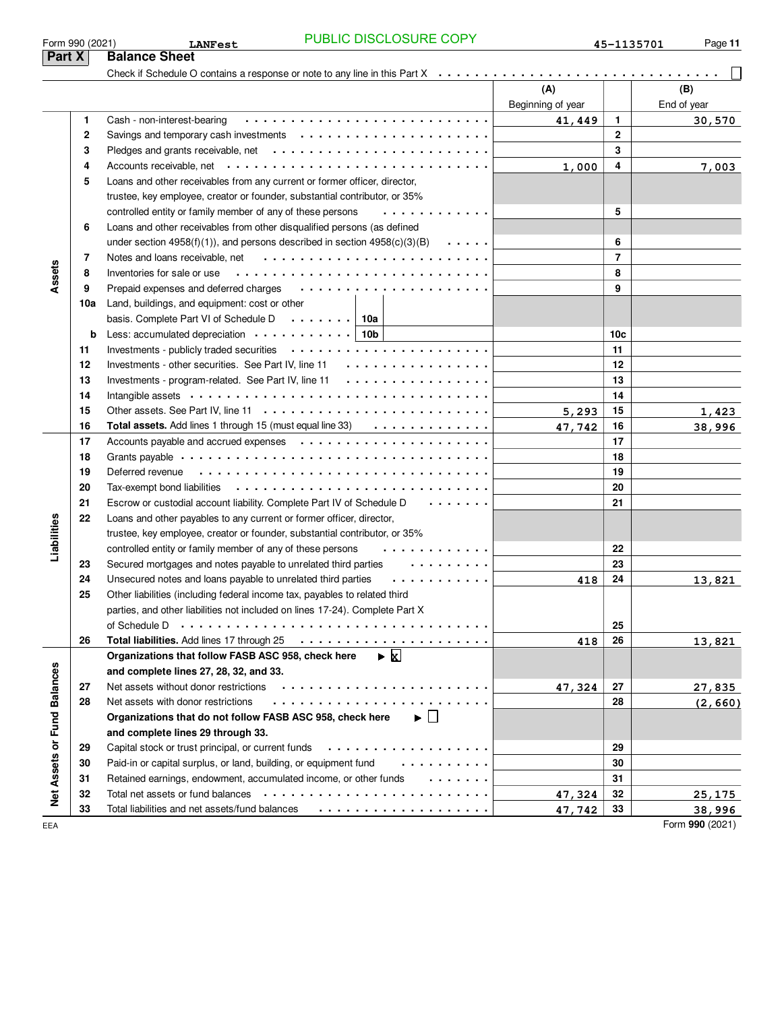| Form 990 (2021) | <b>LANFest</b> | ר UB∟.<br><b>COPY</b><br>DIOULUOUNE | l <b>135701</b><br>ر د 15<br>-- | Page 11 |
|-----------------|----------------|-------------------------------------|---------------------------------|---------|
|                 |                |                                     |                                 |         |

| r<br>ıc |  |
|---------|--|
|         |  |

| Part $X$                    |              | <b>Balance Sheet</b>                                                                                                                                                 |                   |                 |                    |
|-----------------------------|--------------|----------------------------------------------------------------------------------------------------------------------------------------------------------------------|-------------------|-----------------|--------------------|
|                             |              | Check if Schedule O contains a response or note to any line in this Part X                                                                                           | (A)               |                 |                    |
|                             |              |                                                                                                                                                                      | Beginning of year |                 | (B)<br>End of year |
|                             | 1            | Cash - non-interest-bearing                                                                                                                                          | 41,449            | $\mathbf{1}$    | 30,570             |
|                             | $\mathbf{2}$ |                                                                                                                                                                      |                   | $\overline{2}$  |                    |
|                             | 3            |                                                                                                                                                                      |                   | 3               |                    |
|                             | 4            |                                                                                                                                                                      | 1,000             | 4               | 7,003              |
|                             | 5            | Loans and other receivables from any current or former officer, director,                                                                                            |                   |                 |                    |
|                             |              | trustee, key employee, creator or founder, substantial contributor, or 35%                                                                                           |                   |                 |                    |
|                             |              | controlled entity or family member of any of these persons<br>.                                                                                                      |                   | 5               |                    |
|                             | 6            | Loans and other receivables from other disqualified persons (as defined                                                                                              |                   |                 |                    |
|                             |              | under section 4958(f)(1)), and persons described in section 4958(c)(3)(B) $\cdots \cdots$                                                                            |                   | 6               |                    |
|                             | 7            | Notes and loans receivable, net                                                                                                                                      |                   | $\overline{7}$  |                    |
|                             | 8            | Inventories for sale or use                                                                                                                                          |                   | 8               |                    |
| Assets                      | 9            | Prepaid expenses and deferred charges                                                                                                                                |                   | 9               |                    |
|                             | 10a          | Land, buildings, and equipment: cost or other                                                                                                                        |                   |                 |                    |
|                             |              | basis. Complete Part VI of Schedule D $\cdots$   10a                                                                                                                 |                   |                 |                    |
|                             | b            | Less: accumulated depreciation $\cdots \cdots \cdots$ 10b                                                                                                            |                   | 10 <sub>c</sub> |                    |
|                             | 11           |                                                                                                                                                                      |                   | 11              |                    |
|                             | 12           | Investments - other securities. See Part IV, line $11 \cdot \cdot \cdot \cdot \cdot \cdot \cdot \cdot \cdot \cdot \cdot \cdot \cdot \cdot \cdot \cdot$               |                   | 12              |                    |
|                             | 13           | Investments - program-related. See Part IV, line 11                                                                                                                  |                   | 13              |                    |
|                             | 14           |                                                                                                                                                                      |                   | 14              |                    |
|                             | 15           |                                                                                                                                                                      | 5,293             | 15              | 1,423              |
|                             | 16           | Total assets. Add lines 1 through 15 (must equal line 33)                                                                                                            | 47,742            | 16              | 38,996             |
|                             | 17           |                                                                                                                                                                      |                   | 17              |                    |
|                             | 18           |                                                                                                                                                                      |                   | 18              |                    |
|                             | 19           | Deferred revenue                                                                                                                                                     |                   | 19              |                    |
|                             | 20           |                                                                                                                                                                      |                   | 20              |                    |
|                             | 21           | Escrow or custodial account liability. Complete Part IV of Schedule D<br>.                                                                                           |                   | 21              |                    |
|                             | 22           | Loans and other payables to any current or former officer, director,                                                                                                 |                   |                 |                    |
| Liabilities                 |              | trustee, key employee, creator or founder, substantial contributor, or 35%                                                                                           |                   |                 |                    |
|                             |              | controlled entity or family member of any of these persons<br>.                                                                                                      |                   | 22              |                    |
|                             | 23           | Secured mortgages and notes payable to unrelated third parties<br>.                                                                                                  |                   | 23              |                    |
|                             | 24           | .<br>Unsecured notes and loans payable to unrelated third parties                                                                                                    | 418               | 24              | 13,821             |
|                             | 25           | Other liabilities (including federal income tax, payables to related third                                                                                           |                   |                 |                    |
|                             |              | parties, and other liabilities not included on lines 17-24). Complete Part X                                                                                         |                   |                 |                    |
|                             |              |                                                                                                                                                                      |                   | 25              |                    |
|                             | 26           | Total liabilities. Add lines 17 through 25                                                                                                                           | 418               | 26              | 13,821             |
|                             |              | $\blacktriangleright$ <b>x</b><br>Organizations that follow FASB ASC 958, check here                                                                                 |                   |                 |                    |
|                             |              | and complete lines 27, 28, 32, and 33.                                                                                                                               |                   |                 |                    |
|                             | 27           | Net assets without donor restrictions                                                                                                                                | 47,324            | 27              | 27,835             |
|                             | 28           | Net assets with donor restrictions                                                                                                                                   |                   | 28              | (2, 660)           |
|                             |              | ▶□<br>Organizations that do not follow FASB ASC 958, check here                                                                                                      |                   |                 |                    |
|                             |              | and complete lines 29 through 33.                                                                                                                                    |                   |                 |                    |
|                             | 29           | Capital stock or trust principal, or current funds<br>.                                                                                                              |                   | 29              |                    |
|                             | 30           | Paid-in or capital surplus, or land, building, or equipment fund<br>.                                                                                                |                   | 30              |                    |
|                             | 31           | Retained earnings, endowment, accumulated income, or other funds<br>$\label{eq:reduced} \mathbf{r} = \mathbf{r} + \mathbf{r} + \mathbf{r} + \mathbf{r} + \mathbf{r}$ |                   | 31              |                    |
| Net Assets or Fund Balances | 32           |                                                                                                                                                                      | 47,324            | 32              | 25,175             |
|                             | 33           | Total liabilities and net assets/fund balances entirally resource to resource and resource of the lines.                                                             | 47,742            | 33              | 38,996             |
| EEA                         |              |                                                                                                                                                                      |                   |                 | Form 990 (2021)    |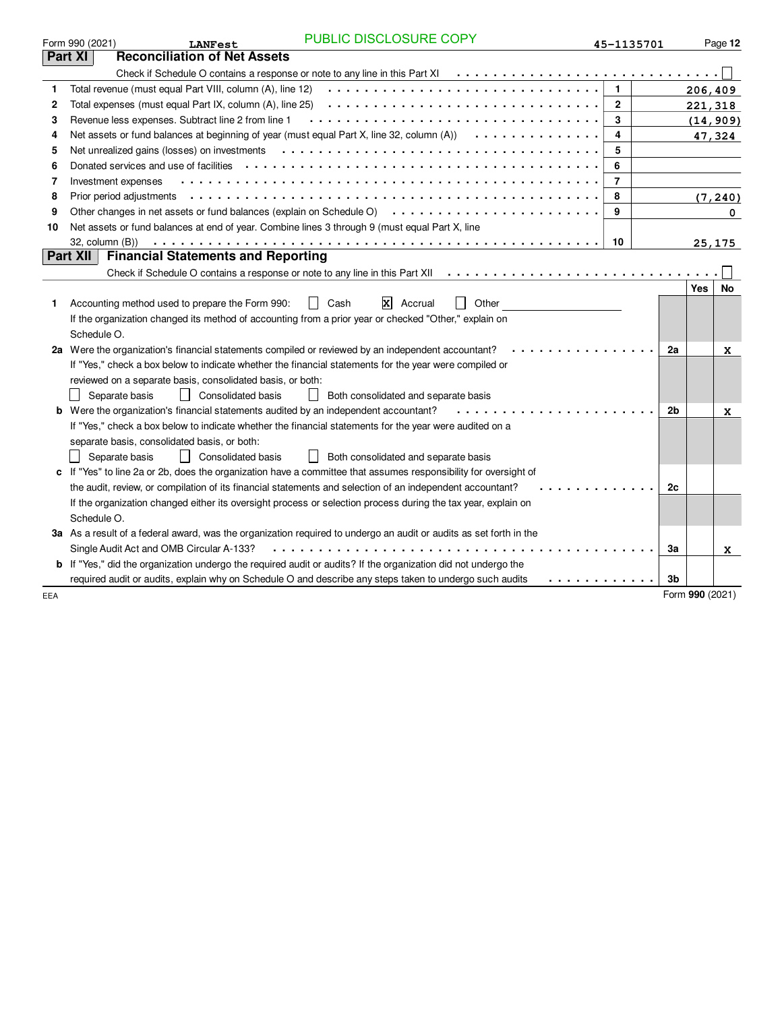| 190 (2021) |  |
|------------|--|
|            |  |

# Form 990 (2021) Page **12 LANFest 45-1135701** PUBLIC DISCLOSURE COPY

| -1135701 | Pag |
|----------|-----|
|----------|-----|

|     | Part XI<br><b>Reconciliation of Net Assets</b>                                                                                                       |                |    |                 |           |
|-----|------------------------------------------------------------------------------------------------------------------------------------------------------|----------------|----|-----------------|-----------|
|     | Check if Schedule O contains a response or note to any line in this Part XI                                                                          |                |    |                 | المنابذ   |
| 1   | Total revenue (must equal Part VIII, column $(A)$ , line 12) $\cdots \cdots \cdots \cdots \cdots \cdots \cdots \cdots \cdots \cdots \cdots$          | $\mathbf{1}$   |    |                 | 206,409   |
| 2   |                                                                                                                                                      | $\mathbf{2}$   |    |                 | 221,318   |
| 3   | Revenue less expenses. Subtract line 2 from line 1                                                                                                   | 3              |    |                 | (14, 909) |
| 4   | Net assets or fund balances at beginning of year (must equal Part X, line 32, column (A))                                                            | 4              |    |                 | 47,324    |
| 5   | Net unrealized gains (losses) on investments                                                                                                         | 5              |    |                 |           |
| 6   |                                                                                                                                                      | 6              |    |                 |           |
| 7   | Investment expenses                                                                                                                                  | $\overline{7}$ |    |                 |           |
| 8   |                                                                                                                                                      | 8              |    |                 | (7, 240)  |
| 9   |                                                                                                                                                      | 9              |    |                 | 0         |
| 10  | Net assets or fund balances at end of year. Combine lines 3 through 9 (must equal Part X, line                                                       |                |    |                 |           |
|     | $32$ , column $(B)$ )                                                                                                                                | 10             |    |                 | 25,175    |
|     | <b>Financial Statements and Reporting</b><br>Part XII                                                                                                |                |    |                 |           |
|     | Check if Schedule O contains a response or note to any line in this Part XII $\cdots \cdots \cdots \cdots \cdots \cdots \cdots \cdots \cdots \cdots$ |                |    |                 |           |
|     |                                                                                                                                                      |                |    | <b>Yes</b>      | No        |
| 1   | x<br>Cash<br>Accrual<br>Accounting method used to prepare the Form 990:<br>Other                                                                     |                |    |                 |           |
|     | If the organization changed its method of accounting from a prior year or checked "Other," explain on                                                |                |    |                 |           |
|     | Schedule O.                                                                                                                                          |                |    |                 |           |
|     | 2a Were the organization's financial statements compiled or reviewed by an independent accountant?                                                   |                | 2a |                 | x         |
|     | If "Yes," check a box below to indicate whether the financial statements for the year were compiled or                                               |                |    |                 |           |
|     | reviewed on a separate basis, consolidated basis, or both:                                                                                           |                |    |                 |           |
|     | Separate basis<br><b>Consolidated basis</b><br>Both consolidated and separate basis<br>$\blacksquare$<br>$\perp$<br>$\perp$                          |                |    |                 |           |
|     | <b>b</b> Were the organization's financial statements audited by an independent accountant?                                                          |                | 2b |                 | x         |
|     | If "Yes," check a box below to indicate whether the financial statements for the year were audited on a                                              |                |    |                 |           |
|     | separate basis, consolidated basis, or both:                                                                                                         |                |    |                 |           |
|     | Separate basis<br><b>Consolidated basis</b><br>Both consolidated and separate basis<br>$\perp$                                                       |                |    |                 |           |
|     | c If "Yes" to line 2a or 2b, does the organization have a committee that assumes responsibility for oversight of                                     |                |    |                 |           |
|     | the audit, review, or compilation of its financial statements and selection of an independent accountant?                                            |                | 2c |                 |           |
|     | If the organization changed either its oversight process or selection process during the tax year, explain on                                        |                |    |                 |           |
|     | Schedule O.                                                                                                                                          |                |    |                 |           |
|     | 3a As a result of a federal award, was the organization required to undergo an audit or audits as set forth in the                                   |                |    |                 |           |
|     | Single Audit Act and OMB Circular A-133?<br>.                                                                                                        |                | За |                 | X         |
|     | b If "Yes," did the organization undergo the required audit or audits? If the organization did not undergo the                                       |                |    |                 |           |
|     | required audit or audits, explain why on Schedule O and describe any steps taken to undergo such audits                                              |                | 3b |                 |           |
| EEA |                                                                                                                                                      |                |    | Form 990 (2021) |           |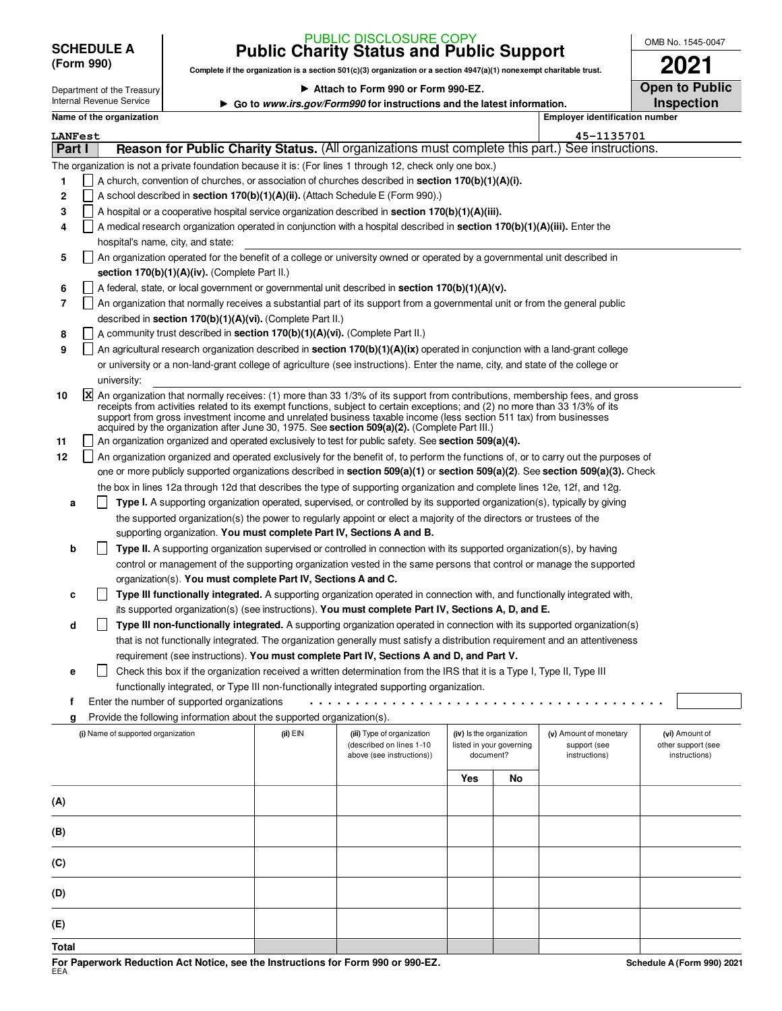| <b>SCHEDULE A</b> |  |
|-------------------|--|
| (Form 990)        |  |

| OMB No. 1545-0047 |
|-------------------|
|                   |

Public Charity Status and Public Support<br>**2021 Complete if the organization is a section 501(c)(3) organization or a section 4947(a)(1) nonexempt charitable trust. Open to Public Attach to Form 990 or Form 990-EZ.** Department of the Treasury Internal Revenue Service **Inspection Go to www.irs.gov/Form990 for instructions and the latest information. Name of the organization Employer identification number LANFest 45-1135701 Part I Reason for Public Charity Status.** (All organizations must complete this part.) See instructions. The organization is not a private foundation because it is: (For lines 1 through 12, check only one box.) **1** A church, convention of churches, or association of churches described in **section 170(b)(1)(A)(i). 2** A school described in **section 170(b)(1)(A)(ii).** (Attach Schedule E (Form 990).) **3** A hospital or a cooperative hospital service organization described in **section 170(b)(1)(A)(iii). 4** A medical research organization operated in conjunction with a hospital described in **section 170(b)(1)(A)(iii).** Enter the hospital's name, city, and state: An organization operated for the benefit of a college or university owned or operated by a governmental unit described in **5 section 170(b)(1)(A)(iv).** (Complete Part II.) A federal, state, or local government or governmental unit described in **section 170(b)(1)(A)(v). 6** An organization that normally receives a substantial part of its support from a governmental unit or from the general public **7** described in **section 170(b)(1)(A)(vi).** (Complete Part II.) A community trust described in **section 170(b)(1)(A)(vi).** (Complete Part II.) **8 9** An agricultural research organization described in **section 170(b)(1)(A)(ix)** operated in conjunction with a land-grant college or university or a non-land-grant college of agriculture (see instructions). Enter the name, city, and state of the college or university: **10** An organization that normally receives: (1) more than 33 1/3% of its support from contributions, membership fees, and gross **X** receipts from activities related to its exempt functions, subject to certain exceptions; and (2) no more than 33 1/3% of its support from gross investment income and unrelated business taxable income (less section 511 tax) from businesses acquired by the organization after June 30, 1975. See **section 509(a)(2).** (Complete Part III.) An organization organized and operated exclusively to test for public safety. See **section 509(a)(4). 11 12** An organization organized and operated exclusively for the benefit of, to perform the functions of, or to carry out the purposes of one or more publicly supported organizations described in **section 509(a)(1)** or **section 509(a)(2)**. See **section 509(a)(3).** Check the box in lines 12a through 12d that describes the type of supporting organization and complete lines 12e, 12f, and 12g. **a Type I.** A supporting organization operated, supervised, or controlled by its supported organization(s), typically by giving the supported organization(s) the power to regularly appoint or elect a majority of the directors or trustees of the supporting organization. **You must complete Part IV, Sections A and B. Type II.** A supporting organization supervised or controlled in connection with its supported organization(s), by having **b** control or management of the supporting organization vested in the same persons that control or manage the supported organization(s). **You must complete Part IV, Sections A and C.**  $\Box$ **Type III functionally integrated.** A supporting organization operated in connection with, and functionally integrated with, **c** its supported organization(s) (see instructions). **You must complete Part IV, Sections A, D, and E.**  $\perp$ **Type III non-functionally integrated.** A supporting organization operated in connection with its supported organization(s) **d** that is not functionally integrated. The organization generally must satisfy a distribution requirement and an attentiveness requirement (see instructions). **You must complete Part IV, Sections A and D, and Part V.**  $\perp$ Check this box if the organization received a written determination from the IRS that it is a Type I, Type II, Type III **e** functionally integrated, or Type III non-functionally integrated supporting organization. Enter the number of supported organizations **f** . . . . . . . . . . . . . . . . . . . . . . . . . . . . . . . . . . . . . . . Provide the following information about the supported organization(s). **g (i)** Name of supported organization **(ii)** EIN **(iii)** Type of organization **(iv)** Is the organization **(v)** Amount of monetary **(vi)** Amount of (described on lines 1-10 | listed in your governing | support (see | other support (see above (see instructions) document? instructions instructions) instructions) Yes | No **(A) (B) (C) (D)**

**Total For Paperwork Reduction Act Notice, see the Instructions for Form 990 or 990-EZ.** EEA

**(E)**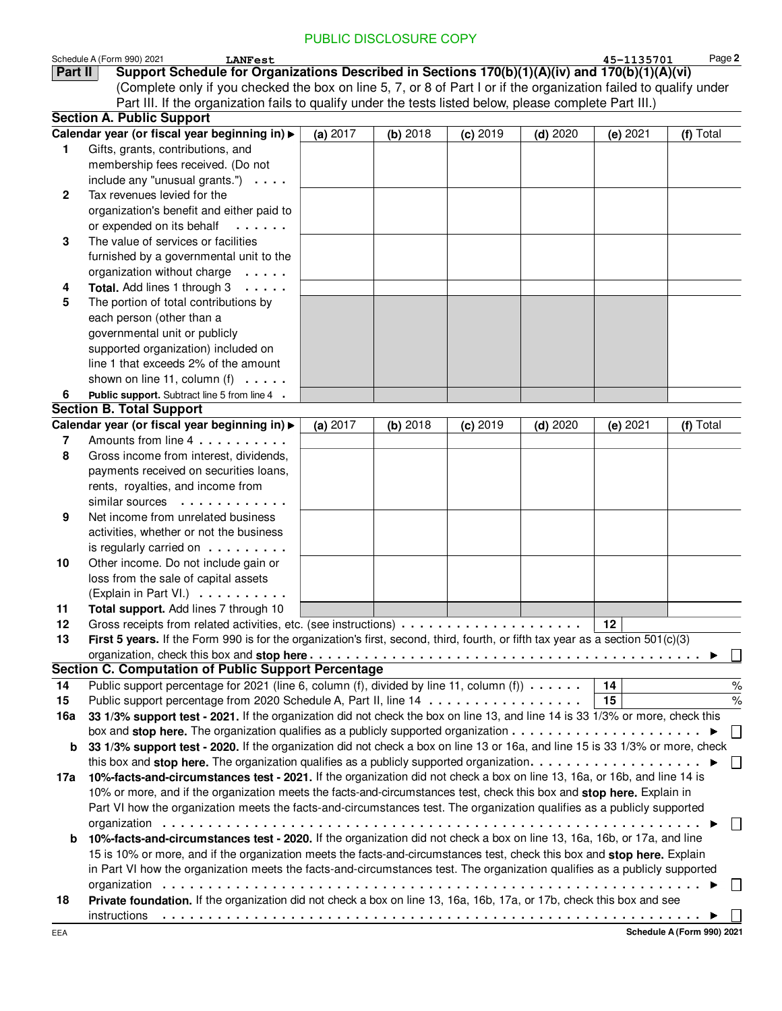| Part II | Schedule A (Form 990) 2021<br>LANFest<br>Support Schedule for Organizations Described in Sections 170(b)(1)(A)(iv) and 170(b)(1)(A)(vi)                                                                                      |          |          |            |            | 45-1135701 | Page 2                      |
|---------|------------------------------------------------------------------------------------------------------------------------------------------------------------------------------------------------------------------------------|----------|----------|------------|------------|------------|-----------------------------|
|         | (Complete only if you checked the box on line 5, 7, or 8 of Part I or if the organization failed to qualify under<br>Part III. If the organization fails to qualify under the tests listed below, please complete Part III.) |          |          |            |            |            |                             |
|         | <b>Section A. Public Support</b>                                                                                                                                                                                             |          |          |            |            |            |                             |
|         | Calendar year (or fiscal year beginning in) ►                                                                                                                                                                                | (a) 2017 | (b) 2018 | $(c)$ 2019 | $(d)$ 2020 | (e) 2021   | (f) Total                   |
| 1       | Gifts, grants, contributions, and                                                                                                                                                                                            |          |          |            |            |            |                             |
|         | membership fees received. (Do not                                                                                                                                                                                            |          |          |            |            |            |                             |
|         | include any "unusual grants.") $\cdots$                                                                                                                                                                                      |          |          |            |            |            |                             |
| 2       | Tax revenues levied for the                                                                                                                                                                                                  |          |          |            |            |            |                             |
|         | organization's benefit and either paid to                                                                                                                                                                                    |          |          |            |            |            |                             |
|         | or expended on its behalf                                                                                                                                                                                                    |          |          |            |            |            |                             |
| 3       | The value of services or facilities                                                                                                                                                                                          |          |          |            |            |            |                             |
|         | furnished by a governmental unit to the                                                                                                                                                                                      |          |          |            |            |            |                             |
|         | organization without charge                                                                                                                                                                                                  |          |          |            |            |            |                             |
| 4       | Total. Add lines 1 through 3                                                                                                                                                                                                 |          |          |            |            |            |                             |
| 5       | The portion of total contributions by                                                                                                                                                                                        |          |          |            |            |            |                             |
|         | each person (other than a                                                                                                                                                                                                    |          |          |            |            |            |                             |
|         | governmental unit or publicly                                                                                                                                                                                                |          |          |            |            |            |                             |
|         | supported organization) included on                                                                                                                                                                                          |          |          |            |            |            |                             |
|         | line 1 that exceeds 2% of the amount                                                                                                                                                                                         |          |          |            |            |            |                             |
|         | shown on line 11, column $(f) \ldots$ .                                                                                                                                                                                      |          |          |            |            |            |                             |
| 6       | Public support. Subtract line 5 from line 4 .                                                                                                                                                                                |          |          |            |            |            |                             |
|         | <b>Section B. Total Support</b>                                                                                                                                                                                              |          |          |            |            |            |                             |
|         | Calendar year (or fiscal year beginning in) ►                                                                                                                                                                                | (a) 2017 | (b) 2018 | $(c)$ 2019 | $(d)$ 2020 | (e) 2021   | (f) Total                   |
| 7       | Amounts from line 4                                                                                                                                                                                                          |          |          |            |            |            |                             |
| 8       | Gross income from interest, dividends,                                                                                                                                                                                       |          |          |            |            |            |                             |
|         | payments received on securities loans,                                                                                                                                                                                       |          |          |            |            |            |                             |
|         | rents, royalties, and income from                                                                                                                                                                                            |          |          |            |            |            |                             |
|         | similar sources                                                                                                                                                                                                              |          |          |            |            |            |                             |
| 9       | Net income from unrelated business                                                                                                                                                                                           |          |          |            |            |            |                             |
|         | activities, whether or not the business                                                                                                                                                                                      |          |          |            |            |            |                             |
|         | is regularly carried on $\dots \dots$                                                                                                                                                                                        |          |          |            |            |            |                             |
| 10      | Other income. Do not include gain or                                                                                                                                                                                         |          |          |            |            |            |                             |
|         | loss from the sale of capital assets                                                                                                                                                                                         |          |          |            |            |            |                             |
|         | (Explain in Part VI.)                                                                                                                                                                                                        |          |          |            |            |            |                             |
| 11      | Total support. Add lines 7 through 10                                                                                                                                                                                        |          |          |            |            |            |                             |
| 12      | Gross receipts from related activities, etc. (see instructions) $\dots \dots \dots \dots \dots \dots$                                                                                                                        |          |          |            |            | 12         |                             |
| 13      | First 5 years. If the Form 990 is for the organization's first, second, third, fourth, or fifth tax year as a section 501(c)(3)                                                                                              |          |          |            |            |            |                             |
|         |                                                                                                                                                                                                                              |          |          |            |            |            | ⊔                           |
|         | <b>Section C. Computation of Public Support Percentage</b>                                                                                                                                                                   |          |          |            |            |            |                             |
| 14      | Public support percentage for 2021 (line 6, column (f), divided by line 11, column (f)) $\dots \dots$                                                                                                                        |          |          |            |            | 14         | $\%$                        |
| 15      | Public support percentage from 2020 Schedule A, Part II, line 14                                                                                                                                                             |          |          |            |            | 15         | $\frac{1}{2}$               |
| 16a     | 33 1/3% support test - 2021. If the organization did not check the box on line 13, and line 14 is 33 1/3% or more, check this                                                                                                |          |          |            |            |            |                             |
|         |                                                                                                                                                                                                                              |          |          |            |            |            | $\Box$                      |
| b       | 33 1/3% support test - 2020. If the organization did not check a box on line 13 or 16a, and line 15 is 33 1/3% or more, check                                                                                                |          |          |            |            |            |                             |
|         | this box and stop here. The organization qualifies as a publicly supported organization. $\dots \dots \dots \dots \dots \dots$                                                                                               |          |          |            |            |            | $\mathcal{L}_{\mathcal{A}}$ |
| 17a     | 10%-facts-and-circumstances test - 2021. If the organization did not check a box on line 13, 16a, or 16b, and line 14 is                                                                                                     |          |          |            |            |            |                             |
|         | 10% or more, and if the organization meets the facts-and-circumstances test, check this box and stop here. Explain in                                                                                                        |          |          |            |            |            |                             |
|         | Part VI how the organization meets the facts-and-circumstances test. The organization qualifies as a publicly supported                                                                                                      |          |          |            |            |            |                             |
|         |                                                                                                                                                                                                                              |          |          |            |            |            | $\Box$                      |
| b       | 10%-facts-and-circumstances test - 2020. If the organization did not check a box on line 13, 16a, 16b, or 17a, and line                                                                                                      |          |          |            |            |            |                             |
|         | 15 is 10% or more, and if the organization meets the facts-and-circumstances test, check this box and stop here. Explain                                                                                                     |          |          |            |            |            |                             |
|         | in Part VI how the organization meets the facts-and-circumstances test. The organization qualifies as a publicly supported                                                                                                   |          |          |            |            |            |                             |
|         |                                                                                                                                                                                                                              |          |          |            |            |            | $\Box$                      |
| 18      | Private foundation. If the organization did not check a box on line 13, 16a, 16b, 17a, or 17b, check this box and see                                                                                                        |          |          |            |            |            |                             |
|         |                                                                                                                                                                                                                              |          |          |            |            |            |                             |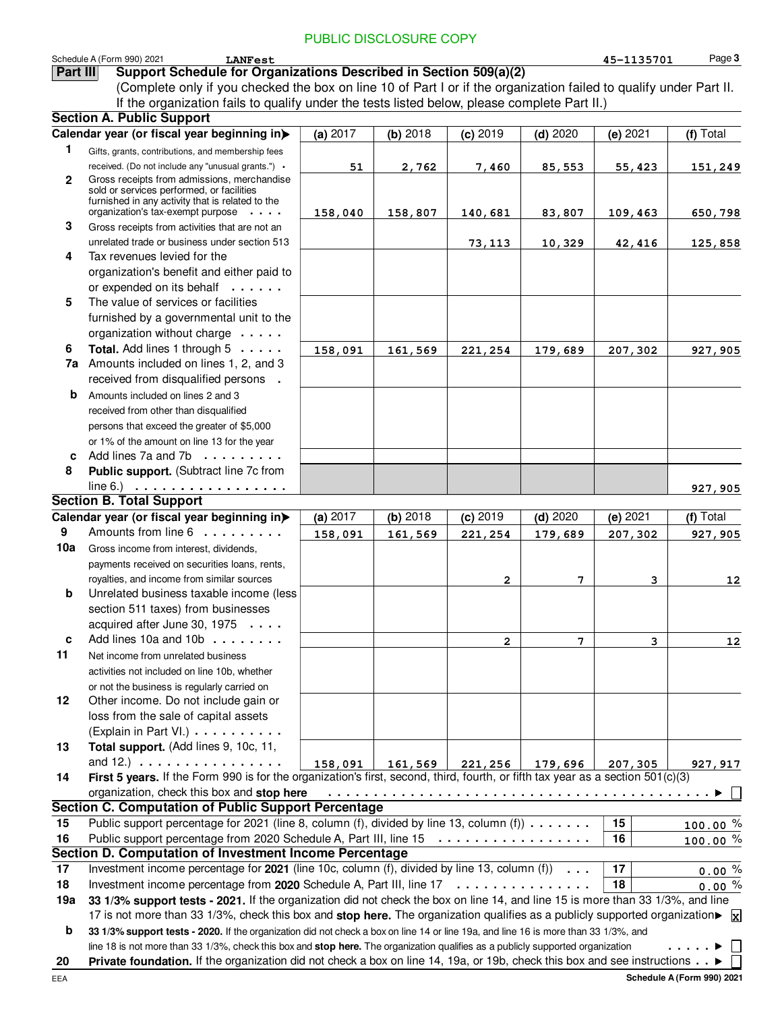|              | Schedule A (Form 990) 2021<br>LANFest                                                                                                   |          |          |                |            | 45-1135701 | Page 3      |
|--------------|-----------------------------------------------------------------------------------------------------------------------------------------|----------|----------|----------------|------------|------------|-------------|
| Part III     | Support Schedule for Organizations Described in Section 509(a)(2)                                                                       |          |          |                |            |            |             |
|              | (Complete only if you checked the box on line 10 of Part I or if the organization failed to qualify under Part II.                      |          |          |                |            |            |             |
|              | If the organization fails to qualify under the tests listed below, please complete Part II.)                                            |          |          |                |            |            |             |
|              | <b>Section A. Public Support</b>                                                                                                        |          |          |                |            |            |             |
|              | Calendar year (or fiscal year beginning in)                                                                                             | (a) 2017 | (b) 2018 | $(c)$ 2019     | $(d)$ 2020 | (e) 2021   | $(f)$ Total |
| $\mathbf 1$  | Gifts, grants, contributions, and membership fees                                                                                       |          |          |                |            |            |             |
|              | received. (Do not include any "unusual grants.") .                                                                                      | 51       |          |                |            |            |             |
| $\mathbf{2}$ | Gross receipts from admissions, merchandise                                                                                             |          | 2,762    | 7,460          | 85,553     | 55,423     | 151,249     |
|              | sold or services performed, or facilities                                                                                               |          |          |                |            |            |             |
|              | furnished in any activity that is related to the                                                                                        |          |          |                |            |            |             |
|              | organization's tax-exempt purpose                                                                                                       | 158,040  | 158,807  | 140,681        | 83,807     | 109,463    | 650,798     |
| 3            | Gross receipts from activities that are not an                                                                                          |          |          |                |            |            |             |
|              | unrelated trade or business under section 513                                                                                           |          |          | 73,113         | 10,329     | 42,416     | 125,858     |
| 4            | Tax revenues levied for the                                                                                                             |          |          |                |            |            |             |
|              | organization's benefit and either paid to                                                                                               |          |          |                |            |            |             |
|              | or expended on its behalf                                                                                                               |          |          |                |            |            |             |
| 5            | The value of services or facilities                                                                                                     |          |          |                |            |            |             |
|              | furnished by a governmental unit to the                                                                                                 |          |          |                |            |            |             |
|              | organization without charge                                                                                                             |          |          |                |            |            |             |
| 6            | Total. Add lines 1 through 5                                                                                                            | 158,091  | 161,569  | 221,254        | 179,689    | 207,302    | 927,905     |
|              | 7a Amounts included on lines 1, 2, and 3                                                                                                |          |          |                |            |            |             |
|              | received from disqualified persons.                                                                                                     |          |          |                |            |            |             |
|              |                                                                                                                                         |          |          |                |            |            |             |
| b            | Amounts included on lines 2 and 3                                                                                                       |          |          |                |            |            |             |
|              | received from other than disqualified                                                                                                   |          |          |                |            |            |             |
|              | persons that exceed the greater of \$5,000                                                                                              |          |          |                |            |            |             |
|              | or 1% of the amount on line 13 for the year                                                                                             |          |          |                |            |            |             |
|              | c Add lines 7a and 7b $\ldots$                                                                                                          |          |          |                |            |            |             |
| 8            | Public support. (Subtract line 7c from                                                                                                  |          |          |                |            |            |             |
|              | line 6.) $\ldots \ldots \ldots \ldots \ldots$                                                                                           |          |          |                |            |            | 927, 905    |
|              | <b>Section B. Total Support</b>                                                                                                         |          |          |                |            |            |             |
|              | Calendar year (or fiscal year beginning in)                                                                                             | (a) 2017 | (b) 2018 | $(c)$ 2019     | $(d)$ 2020 | (e) 2021   | (f) Total   |
| 9            | Amounts from line 6                                                                                                                     | 158,091  | 161,569  | 221,254        | 179,689    | 207,302    | 927,905     |
| 10a          | Gross income from interest, dividends,                                                                                                  |          |          |                |            |            |             |
|              | payments received on securities loans, rents,                                                                                           |          |          |                |            |            |             |
|              | royalties, and income from similar sources                                                                                              |          |          | 2              | 7          | 3          | 12          |
| b            | Unrelated business taxable income (less                                                                                                 |          |          |                |            |            |             |
|              | section 511 taxes) from businesses                                                                                                      |          |          |                |            |            |             |
|              | acquired after June 30, 1975                                                                                                            |          |          |                |            |            |             |
|              | Add lines 10a and 10b $\ldots \ldots$                                                                                                   |          |          |                |            |            |             |
| c            |                                                                                                                                         |          |          | $\overline{a}$ | 7          | 3          | 12          |
| 11           | Net income from unrelated business                                                                                                      |          |          |                |            |            |             |
|              | activities not included on line 10b, whether                                                                                            |          |          |                |            |            |             |
|              | or not the business is regularly carried on                                                                                             |          |          |                |            |            |             |
| 12           | Other income. Do not include gain or                                                                                                    |          |          |                |            |            |             |
|              | loss from the sale of capital assets                                                                                                    |          |          |                |            |            |             |
|              | (Explain in Part VI.)                                                                                                                   |          |          |                |            |            |             |
| 13           | Total support. (Add lines 9, 10c, 11,                                                                                                   |          |          |                |            |            |             |
|              | and $12.$ ) $\ldots$ $\ldots$ $\ldots$ $\ldots$ $\ldots$                                                                                | 158,091  | 161,569  | 221,256        | 179,696    | 207,305    | 927, 917    |
| 14           | First 5 years. If the Form 990 is for the organization's first, second, third, fourth, or fifth tax year as a section 501(c)(3)         |          |          |                |            |            |             |
|              | organization, check this box and stop here                                                                                              |          |          |                |            |            |             |
|              | <b>Section C. Computation of Public Support Percentage</b>                                                                              |          |          |                |            |            |             |
| 15           | Public support percentage for 2021 (line 8, column (f), divided by line 13, column (f)) $\dots \dots$                                   |          |          |                |            | 15         | 100.00 %    |
| 16           | Public support percentage from 2020 Schedule A, Part III, line 15                                                                       |          |          |                |            | 16         | 100.00 %    |
|              | Section D. Computation of Investment Income Percentage                                                                                  |          |          |                |            |            |             |
| 17           | Investment income percentage for 2021 (line 10c, column (f), divided by line 13, column (f) $\ldots$                                    |          |          |                |            | 17         | 0.00%       |
| 18           | Investment income percentage from 2020 Schedule A, Part III, line 17                                                                    |          |          |                |            | 18         |             |
| 19a          | 33 1/3% support tests - 2021. If the organization did not check the box on line 14, and line 15 is more than 33 1/3%, and line          |          |          |                |            |            | 0.00%       |
|              |                                                                                                                                         |          |          |                |            |            |             |
|              | 17 is not more than 33 1/3%, check this box and stop here. The organization qualifies as a publicly supported organization $\mathbb{R}$ |          |          |                |            |            |             |
| b            | 33 1/3% support tests - 2020. If the organization did not check a box on line 14 or line 19a, and line 16 is more than 33 1/3%, and     |          |          |                |            |            |             |
|              | line 18 is not more than 33 1/3%, check this box and stop here. The organization qualifies as a publicly supported organization         |          |          |                |            |            |             |
| 20           | Private foundation. If the organization did not check a box on line 14, 19a, or 19b, check this box and see instructions                |          |          |                |            |            |             |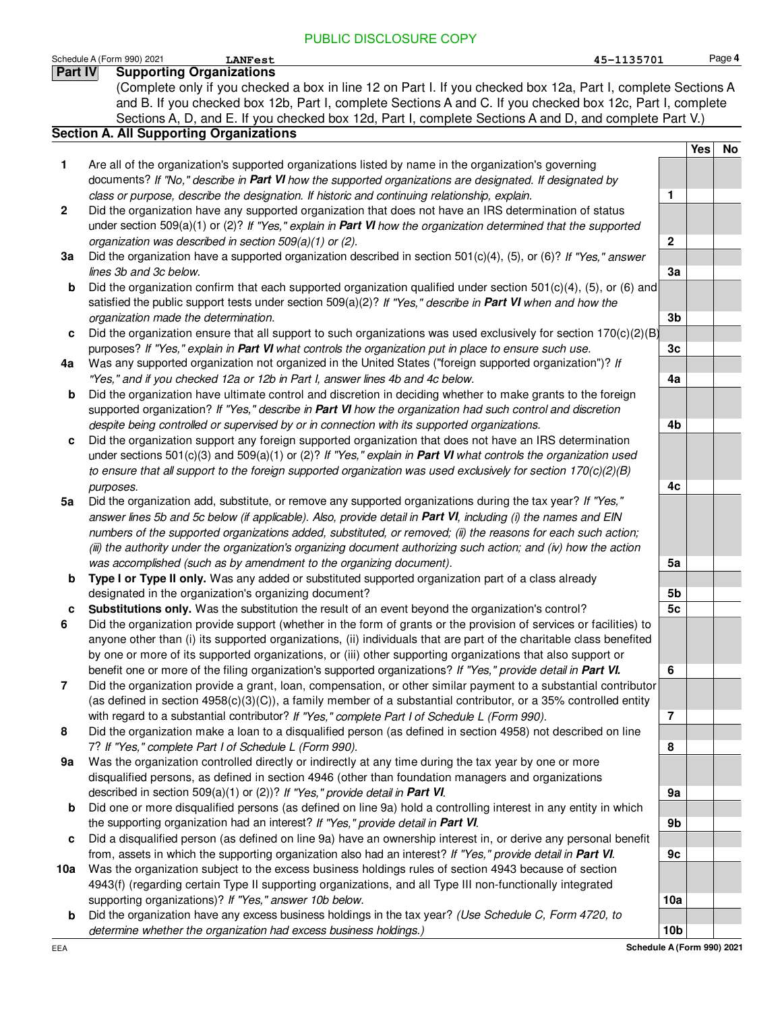#### Schedule A (Form 990) 2021 Yes No **1 1 2 2 3a 3a b** Did the organization confirm that each supported organization qualified under section 501(c)(4), (5), or (6) and **3b c 3c 4a 4a b** Did the organization have ultimate control and discretion in deciding whether to make grants to the foreign **4b c** Did the organization support any foreign supported organization that does not have an IRS determination **4c 5a 5a b 5b c 5c Substitutions only.** Was the substitution the result of an event beyond the organization's control? **6 6 7 7 8 8 9a 9a b 9b c 9c 10a** Was the organization subject to the excess business holdings rules of section 4943 because of section **10a b** Are all of the organization's supported organizations listed by name in the organization's governing documents? If "No," describe in **Part VI** how the supported organizations are designated. If designated by class or purpose, describe the designation. If historic and continuing relationship, explain. Did the organization have any supported organization that does not have an IRS determination of status under section 509(a)(1) or (2)? If "Yes," explain in **Part VI** how the organization determined that the supported organization was described in section 509(a)(1) or (2). Did the organization have a supported organization described in section  $501(c)(4)$ ,  $(5)$ , or  $(6)$ ? If "Yes," answer lines 3b and 3c below. satisfied the public support tests under section 509(a)(2)? If "Yes," describe in **Part VI** when and how the organization made the determination. Did the organization ensure that all support to such organizations was used exclusively for section 170(c)(2)(B) purposes? If "Yes," explain in **Part VI** what controls the organization put in place to ensure such use. Was any supported organization not organized in the United States ("foreign supported organization")? If "Yes," and if you checked 12a or 12b in Part I, answer lines 4b and 4c below. supported organization? If "Yes," describe in **Part VI** how the organization had such control and discretion despite being controlled or supervised by or in connection with its supported organizations. under sections 501(c)(3) and 509(a)(1) or (2)? If "Yes," explain in **Part VI** what controls the organization used to ensure that all support to the foreign supported organization was used exclusively for section 170(c)(2)(B) purposes. Did the organization add, substitute, or remove any supported organizations during the tax year? If "Yes," answer lines 5b and 5c below (if applicable). Also, provide detail in **Part VI**, including (i) the names and EIN numbers of the supported organizations added, substituted, or removed*;* (ii) the reasons for each such action*;* (iii) the authority under the organization's organizing document authorizing such action*;* and (iv) how the action was accomplished (such as by amendment to the organizing document). **Type I or Type II only.** Was any added or substituted supported organization part of a class already designated in the organization's organizing document? Did the organization provide support (whether in the form of grants or the provision of services or facilities) to anyone other than (i) its supported organizations, (ii) individuals that are part of the charitable class benefited by one or more of its supported organizations, or (iii) other supporting organizations that also support or benefit one or more of the filing organization's supported organizations? If "Yes," provide detail in **Part VI.** Did the organization provide a grant, loan, compensation, or other similar payment to a substantial contributor (as defined in section 4958(c)(3)(C)), a family member of a substantial contributor, or a 35% controlled entity with regard to a substantial contributor? If "Yes," complete Part I of Schedule L (Form 990). Did the organization make a loan to a disqualified person (as defined in section 4958) not described on line 7? If "Yes," complete Part I of Schedule L (Form 990). Was the organization controlled directly or indirectly at any time during the tax year by one or more disqualified persons, as defined in section 4946 (other than foundation managers and organizations described in section 509(a)(1) or (2))? If "Yes," provide detail in **Part VI**. Did one or more disqualified persons (as defined on line 9a) hold a controlling interest in any entity in which the supporting organization had an interest? If "Yes," provide detail in **Part VI**. Did a disqualified person (as defined on line 9a) have an ownership interest in, or derive any personal benefit from, assets in which the supporting organization also had an interest? If "Yes," provide detail in **Part VI**. 4943(f) (regarding certain Type II supporting organizations, and all Type III non-functionally integrated supporting organizations)? If "Yes," answer 10b below. Did the organization have any excess business holdings in the tax year? (Use Schedule C, Form 4720, to **Part IV** Supporting Organizations **Section A. All Supporting Organizations** (Complete only if you checked a box in line 12 on Part I. If you checked box 12a, Part I, complete Sections A and B. If you checked box 12b, Part I, complete Sections A and C. If you checked box 12c, Part I, complete Sections A, D, and E. If you checked box 12d, Part I, complete Sections A and D, and complete Part V.) **LANFest 45-1135701**

**10b** determine whether the organization had excess business holdings.)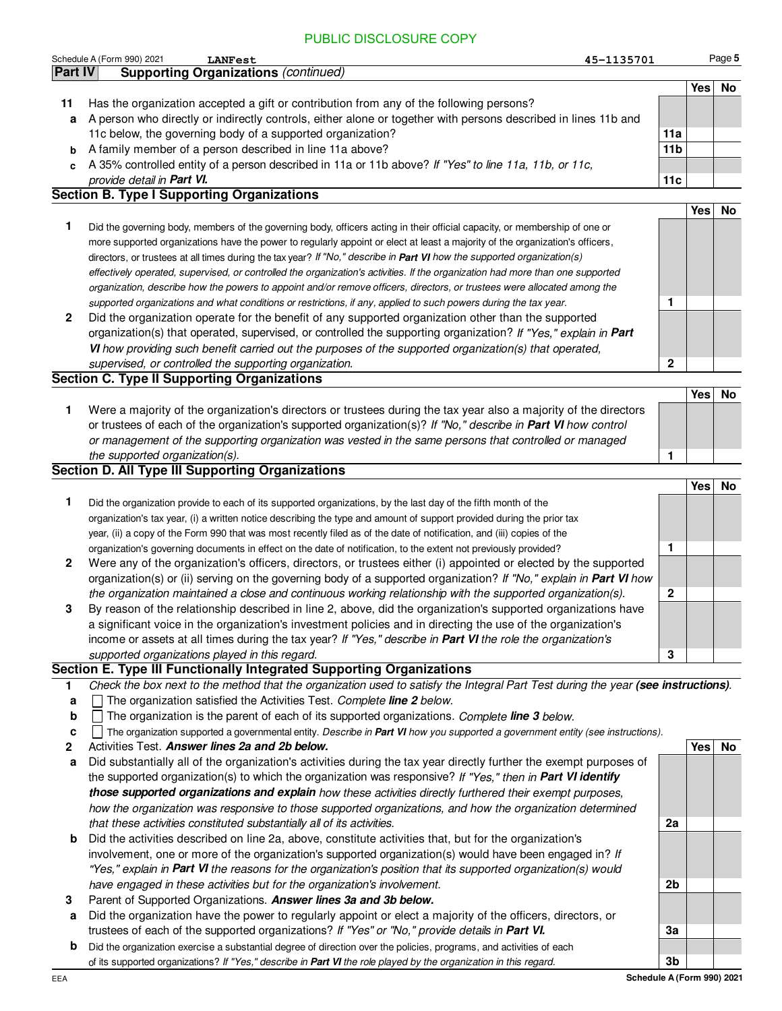|                | 45-1135701<br>Schedule A (Form 990) 2021<br>LANFest                                                                               |                 |     | Page 5 |
|----------------|-----------------------------------------------------------------------------------------------------------------------------------|-----------------|-----|--------|
| <b>Part IV</b> | <b>Supporting Organizations (continued)</b>                                                                                       |                 |     |        |
|                |                                                                                                                                   |                 | Yes | No     |
| 11             | Has the organization accepted a gift or contribution from any of the following persons?                                           |                 |     |        |
| а              | A person who directly or indirectly controls, either alone or together with persons described in lines 11b and                    |                 |     |        |
|                | 11c below, the governing body of a supported organization?                                                                        | 11a             |     |        |
| b              | A family member of a person described in line 11a above?                                                                          | 11 <sub>b</sub> |     |        |
|                |                                                                                                                                   |                 |     |        |
| c              | A 35% controlled entity of a person described in 11a or 11b above? If "Yes" to line 11a, 11b, or 11c,                             |                 |     |        |
|                | provide detail in Part VI.                                                                                                        | 11c             |     |        |
|                | <b>Section B. Type I Supporting Organizations</b>                                                                                 |                 |     |        |
|                |                                                                                                                                   |                 | Yes | No     |
| 1              | Did the governing body, members of the governing body, officers acting in their official capacity, or membership of one or        |                 |     |        |
|                | more supported organizations have the power to regularly appoint or elect at least a majority of the organization's officers,     |                 |     |        |
|                | directors, or trustees at all times during the tax year? If "No," describe in Part VI how the supported organization(s)           |                 |     |        |
|                | effectively operated, supervised, or controlled the organization's activities. If the organization had more than one supported    |                 |     |        |
|                | organization, describe how the powers to appoint and/or remove officers, directors, or trustees were allocated among the          |                 |     |        |
|                | supported organizations and what conditions or restrictions, if any, applied to such powers during the tax year.                  | 1               |     |        |
| 2              | Did the organization operate for the benefit of any supported organization other than the supported                               |                 |     |        |
|                | organization(s) that operated, supervised, or controlled the supporting organization? If "Yes," explain in Part                   |                 |     |        |
|                |                                                                                                                                   |                 |     |        |
|                | VI how providing such benefit carried out the purposes of the supported organization(s) that operated,                            |                 |     |        |
|                | supervised, or controlled the supporting organization.                                                                            | 2               |     |        |
|                | <b>Section C. Type II Supporting Organizations</b>                                                                                |                 |     |        |
|                |                                                                                                                                   |                 | Yes | No     |
| 1              | Were a majority of the organization's directors or trustees during the tax year also a majority of the directors                  |                 |     |        |
|                | or trustees of each of the organization's supported organization(s)? If "No," describe in Part VI how control                     |                 |     |        |
|                | or management of the supporting organization was vested in the same persons that controlled or managed                            |                 |     |        |
|                | the supported organization(s).                                                                                                    | 1               |     |        |
|                | <b>Section D. All Type III Supporting Organizations</b>                                                                           |                 |     |        |
|                |                                                                                                                                   |                 | Yes | No     |
| 1              |                                                                                                                                   |                 |     |        |
|                | Did the organization provide to each of its supported organizations, by the last day of the fifth month of the                    |                 |     |        |
|                | organization's tax year, (i) a written notice describing the type and amount of support provided during the prior tax             |                 |     |        |
|                | year, (ii) a copy of the Form 990 that was most recently filed as of the date of notification, and (iii) copies of the            |                 |     |        |
|                | organization's governing documents in effect on the date of notification, to the extent not previously provided?                  | 1               |     |        |
| 2              | Were any of the organization's officers, directors, or trustees either (i) appointed or elected by the supported                  |                 |     |        |
|                | organization(s) or (ii) serving on the governing body of a supported organization? If "No," explain in Part VI how                |                 |     |        |
|                | the organization maintained a close and continuous working relationship with the supported organization(s).                       | $\mathbf 2$     |     |        |
| 3              | By reason of the relationship described in line 2, above, did the organization's supported organizations have                     |                 |     |        |
|                | a significant voice in the organization's investment policies and in directing the use of the organization's                      |                 |     |        |
|                | income or assets at all times during the tax year? If "Yes," describe in Part VI the role the organization's                      |                 |     |        |
|                | supported organizations played in this regard.                                                                                    | 3               |     |        |
|                | Section E. Type III Functionally Integrated Supporting Organizations                                                              |                 |     |        |
| 1              | Check the box next to the method that the organization used to satisfy the Integral Part Test during the year (see instructions). |                 |     |        |
|                | The organization satisfied the Activities Test. Complete line 2 below.                                                            |                 |     |        |
| а              |                                                                                                                                   |                 |     |        |
| b              | The organization is the parent of each of its supported organizations. Complete line 3 below.                                     |                 |     |        |
| c              | The organization supported a governmental entity. Describe in Part VI how you supported a government entity (see instructions).   |                 |     |        |
| 2              | Activities Test. Answer lines 2a and 2b below.                                                                                    |                 | Yes | No     |
| а              | Did substantially all of the organization's activities during the tax year directly further the exempt purposes of                |                 |     |        |
|                | the supported organization(s) to which the organization was responsive? If "Yes," then in Part VI identify                        |                 |     |        |
|                | those supported organizations and explain how these activities directly furthered their exempt purposes,                          |                 |     |        |
|                | how the organization was responsive to those supported organizations, and how the organization determined                         |                 |     |        |
|                | that these activities constituted substantially all of its activities.                                                            | 2a              |     |        |
| b              | Did the activities described on line 2a, above, constitute activities that, but for the organization's                            |                 |     |        |
|                | involvement, one or more of the organization's supported organization(s) would have been engaged in? If                           |                 |     |        |
|                | "Yes," explain in Part VI the reasons for the organization's position that its supported organization(s) would                    |                 |     |        |
|                |                                                                                                                                   |                 |     |        |
|                | have engaged in these activities but for the organization's involvement.                                                          | 2b              |     |        |
| 3              | Parent of Supported Organizations. Answer lines 3a and 3b below.                                                                  |                 |     |        |
| а              | Did the organization have the power to regularly appoint or elect a majority of the officers, directors, or                       |                 |     |        |
|                | trustees of each of the supported organizations? If "Yes" or "No," provide details in Part VI.                                    | За              |     |        |
| b              | Did the organization exercise a substantial degree of direction over the policies, programs, and activities of each               |                 |     |        |
|                | of its supported organizations? If "Yes," describe in Part VI the role played by the organization in this regard.                 | 3 <sub>b</sub>  |     |        |
|                | Schodule A (Form 000) 2021                                                                                                        |                 |     |        |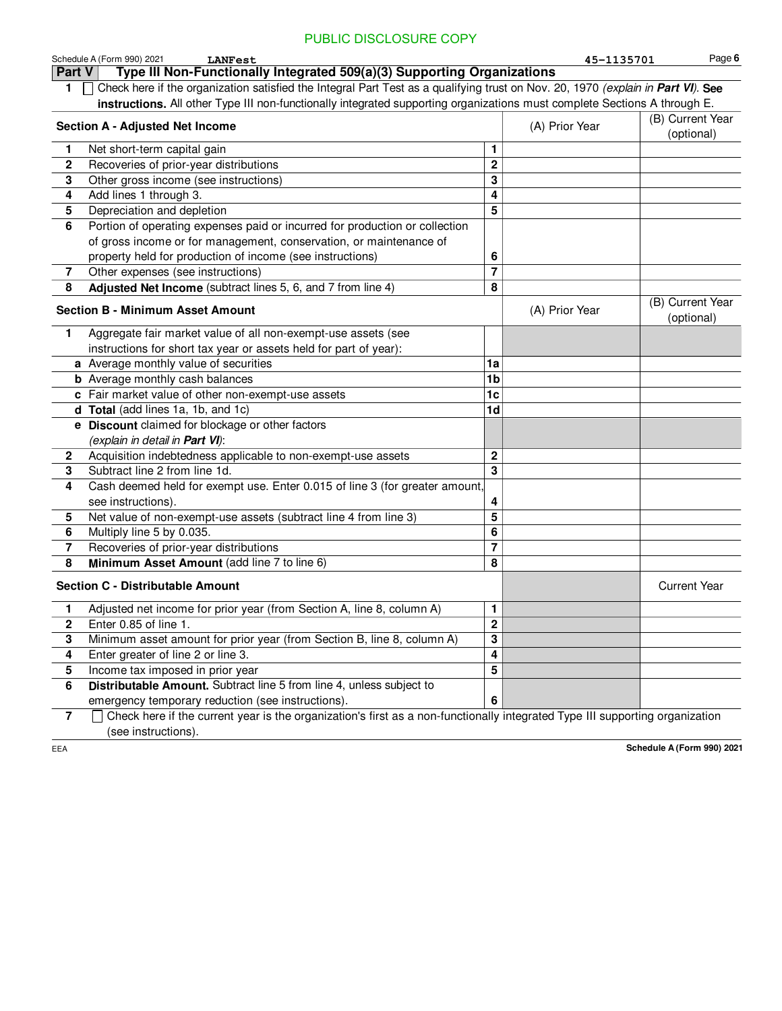|                | Schedule A (Form 990) 2021<br><b>LANFest</b>                                                                                     |                | 45-1135701     | Page 6                         |
|----------------|----------------------------------------------------------------------------------------------------------------------------------|----------------|----------------|--------------------------------|
| <b>Part V</b>  | Type III Non-Functionally Integrated 509(a)(3) Supporting Organizations                                                          |                |                |                                |
| 1              | Check here if the organization satisfied the Integral Part Test as a qualifying trust on Nov. 20, 1970 (explain in Part VI). See |                |                |                                |
|                | instructions. All other Type III non-functionally integrated supporting organizations must complete Sections A through E.        |                |                |                                |
|                | <b>Section A - Adjusted Net Income</b>                                                                                           |                | (A) Prior Year | (B) Current Year<br>(optional) |
| 1              | Net short-term capital gain                                                                                                      | 1              |                |                                |
| $\mathbf 2$    | Recoveries of prior-year distributions                                                                                           | $\mathbf 2$    |                |                                |
| 3              | Other gross income (see instructions)                                                                                            | 3              |                |                                |
| 4              | Add lines 1 through 3.                                                                                                           | 4              |                |                                |
| 5              | Depreciation and depletion                                                                                                       | 5              |                |                                |
| 6              | Portion of operating expenses paid or incurred for production or collection                                                      |                |                |                                |
|                | of gross income or for management, conservation, or maintenance of                                                               |                |                |                                |
|                | property held for production of income (see instructions)                                                                        | 6              |                |                                |
| $\overline{7}$ | Other expenses (see instructions)                                                                                                | 7              |                |                                |
| 8              | Adjusted Net Income (subtract lines 5, 6, and 7 from line 4)                                                                     | 8              |                |                                |
|                | <b>Section B - Minimum Asset Amount</b>                                                                                          |                | (A) Prior Year | (B) Current Year<br>(optional) |
| $\mathbf{1}$   | Aggregate fair market value of all non-exempt-use assets (see                                                                    |                |                |                                |
|                | instructions for short tax year or assets held for part of year):                                                                |                |                |                                |
|                | a Average monthly value of securities                                                                                            | 1a             |                |                                |
|                | <b>b</b> Average monthly cash balances                                                                                           | 1 <sub>b</sub> |                |                                |
|                | c Fair market value of other non-exempt-use assets                                                                               | 1 <sub>c</sub> |                |                                |
|                | d Total (add lines 1a, 1b, and 1c)                                                                                               | 1 <sub>d</sub> |                |                                |
|                | e Discount claimed for blockage or other factors                                                                                 |                |                |                                |
|                | (explain in detail in Part VI):                                                                                                  |                |                |                                |
| $\mathbf{2}$   | Acquisition indebtedness applicable to non-exempt-use assets                                                                     | $\mathbf 2$    |                |                                |
| 3              | Subtract line 2 from line 1d.                                                                                                    | 3              |                |                                |
| 4              | Cash deemed held for exempt use. Enter 0.015 of line 3 (for greater amount,                                                      |                |                |                                |
|                | see instructions).                                                                                                               | 4              |                |                                |
| 5              | Net value of non-exempt-use assets (subtract line 4 from line 3)                                                                 | 5              |                |                                |
| 6              | Multiply line 5 by 0.035.                                                                                                        | 6              |                |                                |
| $\overline{7}$ | Recoveries of prior-year distributions                                                                                           | 7              |                |                                |
| 8              | Minimum Asset Amount (add line 7 to line 6)                                                                                      | 8              |                |                                |
|                | <b>Section C - Distributable Amount</b>                                                                                          |                |                | <b>Current Year</b>            |
| 1.             | Adjusted net income for prior year (from Section A, line 8, column A)                                                            | 1              |                |                                |
| $\mathbf{2}$   | Enter 0.85 of line 1.                                                                                                            | $\mathbf 2$    |                |                                |
| 3              | Minimum asset amount for prior year (from Section B, line 8, column A)                                                           | 3              |                |                                |
| 4              | Enter greater of line 2 or line 3.                                                                                               | 4              |                |                                |
| 5              | Income tax imposed in prior year                                                                                                 | 5              |                |                                |
| 6              | Distributable Amount. Subtract line 5 from line 4, unless subject to                                                             |                |                |                                |
|                | emergency temporary reduction (see instructions).                                                                                | 6              |                |                                |
| $\overline{7}$ | Check here if the current year is the organization's first as a non-functionally integrated Type III supporting organization     |                |                |                                |
|                | (see instructions).                                                                                                              |                |                |                                |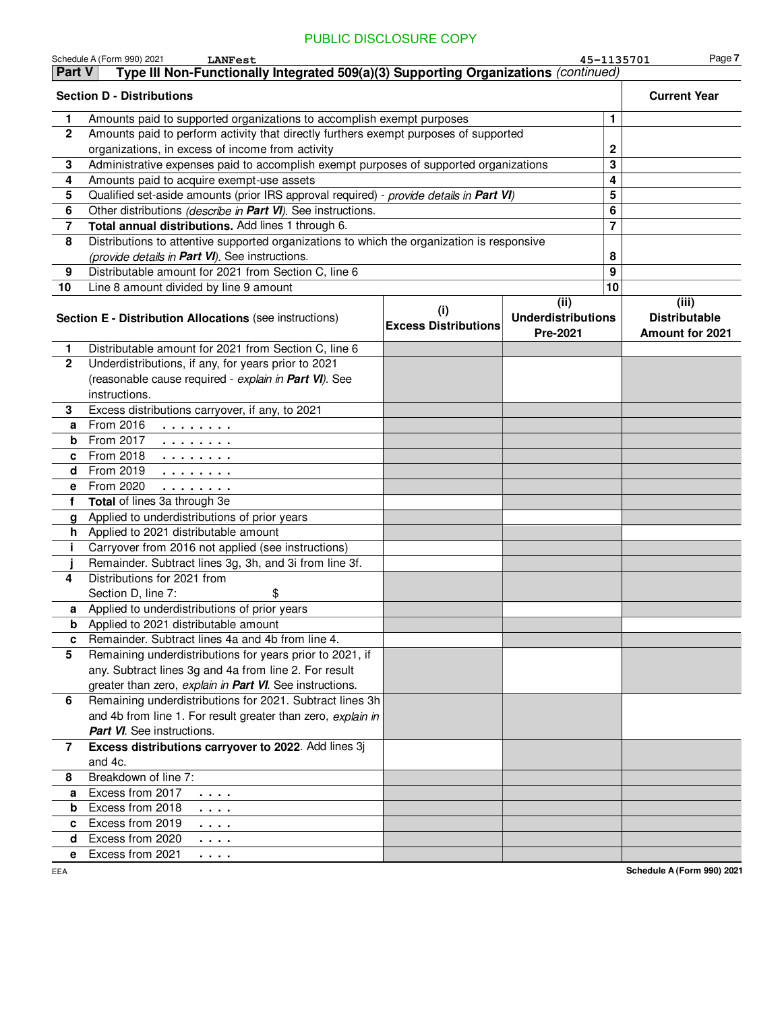|               | Schedule A (Form 990) 2021<br>LANFest                                                      |                                    |                                               |                | Page 7<br>45-1135701                             |
|---------------|--------------------------------------------------------------------------------------------|------------------------------------|-----------------------------------------------|----------------|--------------------------------------------------|
| <b>Part V</b> | Type III Non-Functionally Integrated 509(a)(3) Supporting Organizations (continued)        |                                    |                                               |                |                                                  |
|               | <b>Section D - Distributions</b>                                                           |                                    |                                               |                | <b>Current Year</b>                              |
| $\mathbf{1}$  | Amounts paid to supported organizations to accomplish exempt purposes                      |                                    |                                               | 1              |                                                  |
| $\mathbf{2}$  | Amounts paid to perform activity that directly furthers exempt purposes of supported       |                                    |                                               |                |                                                  |
|               | organizations, in excess of income from activity                                           |                                    |                                               | $\mathbf{2}$   |                                                  |
| 3             | Administrative expenses paid to accomplish exempt purposes of supported organizations      |                                    |                                               | 3              |                                                  |
| 4             | Amounts paid to acquire exempt-use assets                                                  |                                    |                                               | 4              |                                                  |
| 5             | Qualified set-aside amounts (prior IRS approval required) - provide details in Part VI)    |                                    |                                               | 5              |                                                  |
| 6             | Other distributions (describe in Part VI). See instructions.                               |                                    |                                               | 6              |                                                  |
| 7             | Total annual distributions. Add lines 1 through 6.                                         |                                    |                                               | $\overline{7}$ |                                                  |
| 8             | Distributions to attentive supported organizations to which the organization is responsive |                                    |                                               |                |                                                  |
|               | (provide details in Part VI). See instructions.                                            |                                    |                                               | 8              |                                                  |
| 9             | Distributable amount for 2021 from Section C, line 6                                       |                                    |                                               | 9              |                                                  |
| 10            | Line 8 amount divided by line 9 amount                                                     |                                    |                                               | 10             |                                                  |
|               | Section E - Distribution Allocations (see instructions)                                    | (i)<br><b>Excess Distributions</b> | (ii)<br><b>Underdistributions</b><br>Pre-2021 |                | (iii)<br><b>Distributable</b><br>Amount for 2021 |
| 1             | Distributable amount for 2021 from Section C, line 6                                       |                                    |                                               |                |                                                  |
| $\mathbf{2}$  | Underdistributions, if any, for years prior to 2021                                        |                                    |                                               |                |                                                  |
|               | (reasonable cause required - explain in Part VI). See                                      |                                    |                                               |                |                                                  |
|               | instructions.                                                                              |                                    |                                               |                |                                                  |
| 3             | Excess distributions carryover, if any, to 2021                                            |                                    |                                               |                |                                                  |
| a             | From 2016<br>.                                                                             |                                    |                                               |                |                                                  |
| b             | From 2017<br>.                                                                             |                                    |                                               |                |                                                  |
| c             | From 2018<br>.                                                                             |                                    |                                               |                |                                                  |
| d             | From 2019<br>.                                                                             |                                    |                                               |                |                                                  |
| е             | From 2020<br>.                                                                             |                                    |                                               |                |                                                  |
| Ť             | Total of lines 3a through 3e                                                               |                                    |                                               |                |                                                  |
| g             | Applied to underdistributions of prior years                                               |                                    |                                               |                |                                                  |
|               | h Applied to 2021 distributable amount                                                     |                                    |                                               |                |                                                  |
| Ť.            | Carryover from 2016 not applied (see instructions)                                         |                                    |                                               |                |                                                  |
|               | Remainder. Subtract lines 3g, 3h, and 3i from line 3f.                                     |                                    |                                               |                |                                                  |
| 4             | Distributions for 2021 from                                                                |                                    |                                               |                |                                                  |
|               | Section D, line 7:                                                                         |                                    |                                               |                |                                                  |
|               | a Applied to underdistributions of prior years                                             |                                    |                                               |                |                                                  |
|               | <b>b</b> Applied to 2021 distributable amount                                              |                                    |                                               |                |                                                  |
| c             | Remainder. Subtract lines 4a and 4b from line 4.                                           |                                    |                                               |                |                                                  |
| 5.            | Remaining underdistributions for years prior to 2021, if                                   |                                    |                                               |                |                                                  |
|               | any. Subtract lines 3g and 4a from line 2. For result                                      |                                    |                                               |                |                                                  |
|               | greater than zero, explain in Part VI. See instructions.                                   |                                    |                                               |                |                                                  |
| 6             | Remaining underdistributions for 2021. Subtract lines 3h                                   |                                    |                                               |                |                                                  |
|               | and 4b from line 1. For result greater than zero, explain in                               |                                    |                                               |                |                                                  |
|               | <b>Part VI.</b> See instructions.                                                          |                                    |                                               |                |                                                  |
| 7             | Excess distributions carryover to 2022. Add lines 3j                                       |                                    |                                               |                |                                                  |
|               | and 4c.                                                                                    |                                    |                                               |                |                                                  |
| 8             | Breakdown of line 7:                                                                       |                                    |                                               |                |                                                  |
| a             | Excess from 2017<br>$\sim$ 100 $\sim$ 100 $\sim$                                           |                                    |                                               |                |                                                  |
| b             | Excess from 2018<br>.                                                                      |                                    |                                               |                |                                                  |
| c             | Excess from 2019<br>.                                                                      |                                    |                                               |                |                                                  |
| d             | Excess from 2020<br>a series a                                                             |                                    |                                               |                |                                                  |
| е             | Excess from 2021<br>$\sim$ 100 $\sim$ 100 $\sim$                                           |                                    |                                               |                |                                                  |

EEA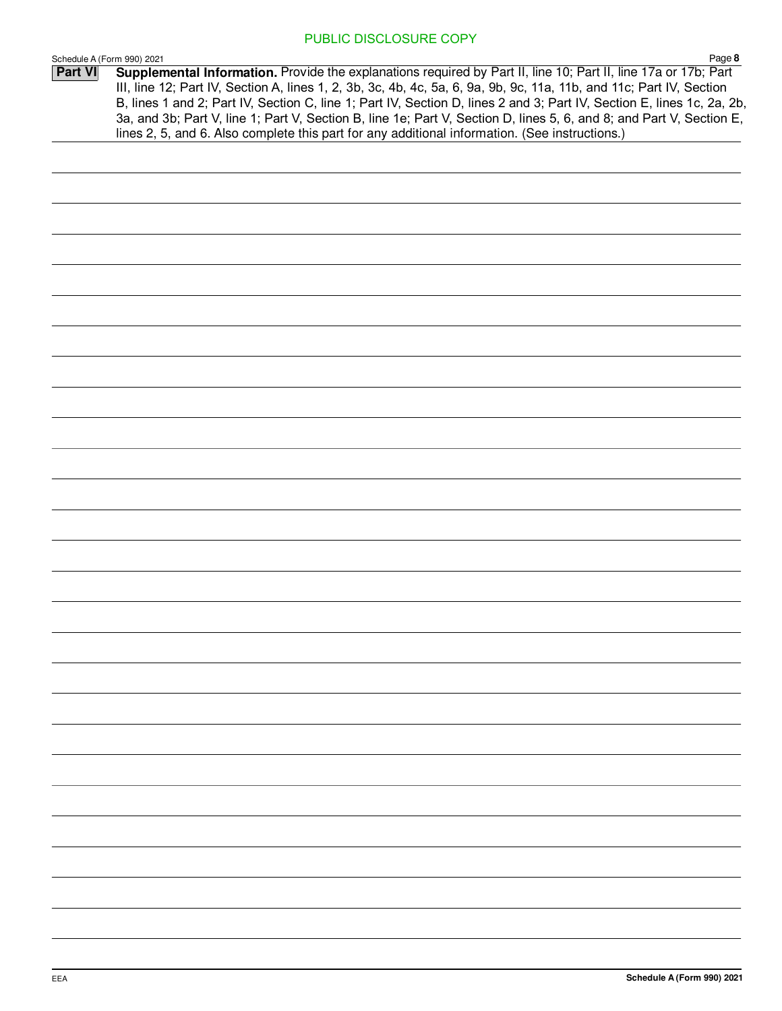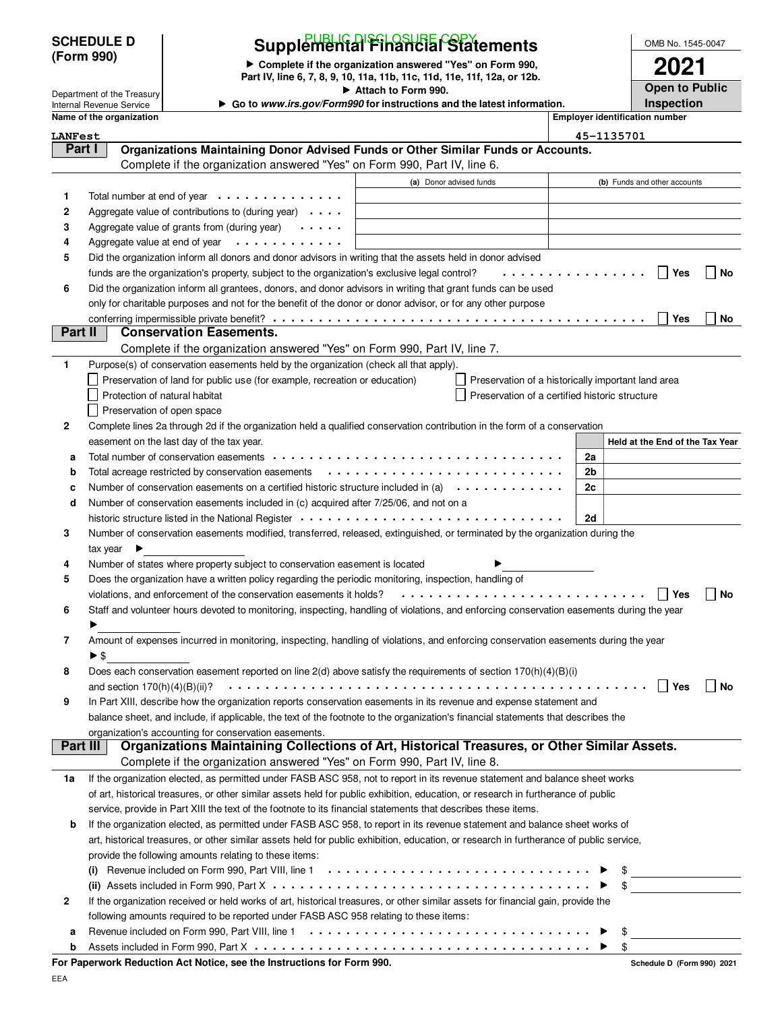#### **SCHEDULE D (Form 990)**

Department of the Treasury Internal Revenue Service

# Supplemental Financial Statements

**Complete if the organization answered "Yes" on Form 990,**

**Part IV, line 6, 7, 8, 9, 10, 11a, 11b, 11c, 11d, 11e, 11f, 12a, or 12b.**

**Attach to Form 990.**

**Open to Public 2021**

OMB No. 1545-0047

| ► Go to www.irs.gov/Form990 for instructions and the latest information. |  |
|--------------------------------------------------------------------------|--|
|                                                                          |  |

|                       | <b>Inspection</b> |  |  |  |  |
|-----------------------|-------------------|--|--|--|--|
| identification number |                   |  |  |  |  |
|                       |                   |  |  |  |  |

|                | Name of the organization                                                                                                                                                                   |                         | <b>Employer identification number</b>              |
|----------------|--------------------------------------------------------------------------------------------------------------------------------------------------------------------------------------------|-------------------------|----------------------------------------------------|
| <b>LANFest</b> |                                                                                                                                                                                            |                         | 45-1135701                                         |
| Part I         | Organizations Maintaining Donor Advised Funds or Other Similar Funds or Accounts.                                                                                                          |                         |                                                    |
|                | Complete if the organization answered "Yes" on Form 990, Part IV, line 6.                                                                                                                  |                         |                                                    |
|                |                                                                                                                                                                                            | (a) Donor advised funds | (b) Funds and other accounts                       |
| 1              | Total number at end of year $\cdots$                                                                                                                                                       |                         |                                                    |
| 2              | Aggregate value of contributions to (during year) $\cdots$                                                                                                                                 |                         |                                                    |
| 3              | Aggregate value of grants from (during year) $\cdots$ .                                                                                                                                    |                         |                                                    |
| 4              | Aggregate value at end of year<br>.                                                                                                                                                        |                         |                                                    |
| 5              | Did the organization inform all donors and donor advisors in writing that the assets held in donor advised                                                                                 |                         |                                                    |
|                | funds are the organization's property, subject to the organization's exclusive legal control?                                                                                              |                         | .<br>l I Yes<br>∣ ∣No                              |
| 6              | Did the organization inform all grantees, donors, and donor advisors in writing that grant funds can be used                                                                               |                         |                                                    |
|                | only for charitable purposes and not for the benefit of the donor or donor advisor, or for any other purpose                                                                               |                         |                                                    |
|                |                                                                                                                                                                                            |                         | ∏ No<br>Yes                                        |
| Part II        | <b>Conservation Easements.</b>                                                                                                                                                             |                         |                                                    |
|                | Complete if the organization answered "Yes" on Form 990, Part IV, line 7.                                                                                                                  |                         |                                                    |
| 1              | Purpose(s) of conservation easements held by the organization (check all that apply).                                                                                                      |                         |                                                    |
|                | Preservation of land for public use (for example, recreation or education)                                                                                                                 |                         | Preservation of a historically important land area |
|                | Protection of natural habitat                                                                                                                                                              |                         | Preservation of a certified historic structure     |
|                | Preservation of open space                                                                                                                                                                 |                         |                                                    |
| 2              | Complete lines 2a through 2d if the organization held a qualified conservation contribution in the form of a conservation                                                                  |                         |                                                    |
|                | easement on the last day of the tax year.                                                                                                                                                  |                         | Held at the End of the Tax Year                    |
| а              |                                                                                                                                                                                            |                         | 2a                                                 |
| b              |                                                                                                                                                                                            |                         | 2b                                                 |
|                | Number of conservation easements on a certified historic structure included in (a) $\cdots$                                                                                                |                         | 2c                                                 |
| c<br>d         | Number of conservation easements included in (c) acquired after 7/25/06, and not on a                                                                                                      |                         |                                                    |
|                |                                                                                                                                                                                            |                         | 2d                                                 |
| 3              | Number of conservation easements modified, transferred, released, extinguished, or terminated by the organization during the                                                               |                         |                                                    |
|                |                                                                                                                                                                                            |                         |                                                    |
|                | tax year $\qquad \blacksquare$                                                                                                                                                             |                         |                                                    |
| 4<br>5         | Number of states where property subject to conservation easement is located                                                                                                                |                         |                                                    |
|                | Does the organization have a written policy regarding the periodic monitoring, inspection, handling of<br>violations, and enforcement of the conservation easements it holds?              |                         | ∣ Yes<br>  No                                      |
| 6              | Staff and volunteer hours devoted to monitoring, inspecting, handling of violations, and enforcing conservation easements during the year                                                  |                         |                                                    |
|                |                                                                                                                                                                                            |                         |                                                    |
|                |                                                                                                                                                                                            |                         |                                                    |
| 7              | Amount of expenses incurred in monitoring, inspecting, handling of violations, and enforcing conservation easements during the year<br>► \$                                                |                         |                                                    |
| 8              | Does each conservation easement reported on line $2(d)$ above satisfy the requirements of section $170(h)(4)(B)(i)$                                                                        |                         |                                                    |
|                |                                                                                                                                                                                            |                         | $\Box$ No                                          |
| 9              |                                                                                                                                                                                            |                         |                                                    |
|                | In Part XIII, describe how the organization reports conservation easements in its revenue and expense statement and                                                                        |                         |                                                    |
|                | balance sheet, and include, if applicable, the text of the footnote to the organization's financial statements that describes the<br>organization's accounting for conservation easements. |                         |                                                    |
| Part III       | Organizations Maintaining Collections of Art, Historical Treasures, or Other Similar Assets.                                                                                               |                         |                                                    |
|                | Complete if the organization answered "Yes" on Form 990, Part IV, line 8.                                                                                                                  |                         |                                                    |
| 1a             | If the organization elected, as permitted under FASB ASC 958, not to report in its revenue statement and balance sheet works                                                               |                         |                                                    |
|                | of art, historical treasures, or other similar assets held for public exhibition, education, or research in furtherance of public                                                          |                         |                                                    |
|                |                                                                                                                                                                                            |                         |                                                    |
|                | service, provide in Part XIII the text of the footnote to its financial statements that describes these items.                                                                             |                         |                                                    |
| b              | If the organization elected, as permitted under FASB ASC 958, to report in its revenue statement and balance sheet works of                                                                |                         |                                                    |
|                | art, historical treasures, or other similar assets held for public exhibition, education, or research in furtherance of public service,                                                    |                         |                                                    |
|                | provide the following amounts relating to these items:                                                                                                                                     |                         |                                                    |
|                |                                                                                                                                                                                            |                         | \$                                                 |
|                |                                                                                                                                                                                            |                         | $\frac{1}{2}$                                      |
| 2              | If the organization received or held works of art, historical treasures, or other similar assets for financial gain, provide the                                                           |                         |                                                    |
|                | following amounts required to be reported under FASB ASC 958 relating to these items:                                                                                                      |                         |                                                    |
| а              |                                                                                                                                                                                            |                         | \$                                                 |
| b              |                                                                                                                                                                                            |                         | \$                                                 |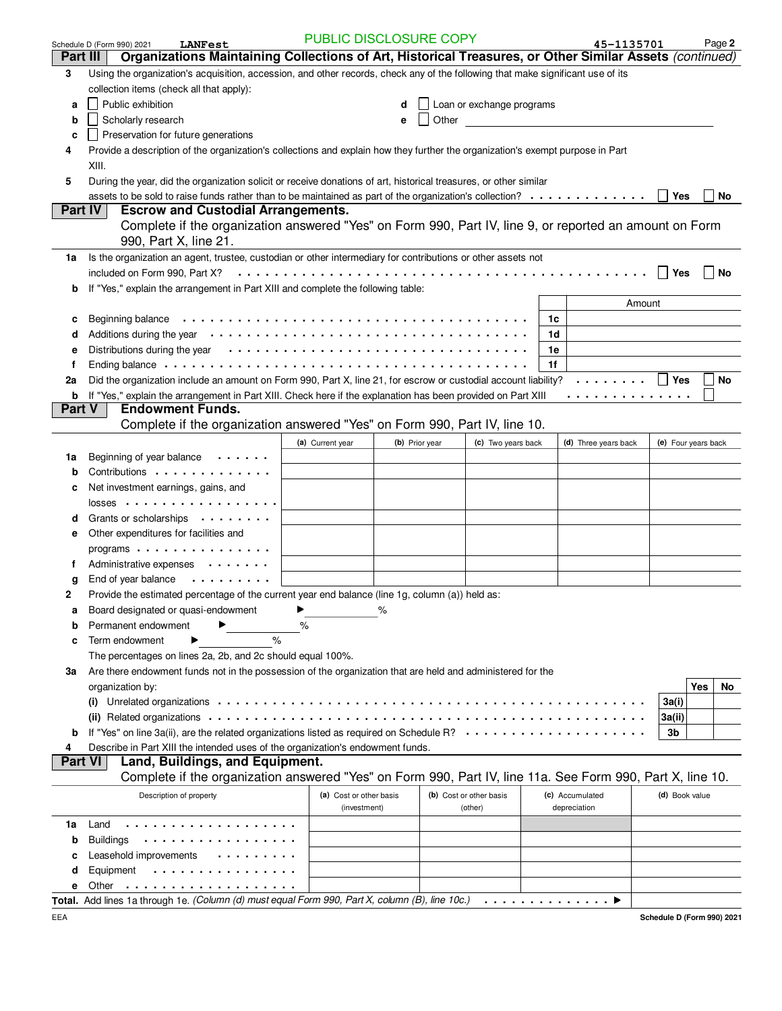|                    | LANFest<br>Schedule D (Form 990) 2021                                                                                                   | <b>PUBLIC DISCLOSURE COPY</b> |   |                |                           |    | 45-1135701           |                     | Page 2           |
|--------------------|-----------------------------------------------------------------------------------------------------------------------------------------|-------------------------------|---|----------------|---------------------------|----|----------------------|---------------------|------------------|
| Part III           | Organizations Maintaining Collections of Art, Historical Treasures, or Other Similar Assets (continued)                                 |                               |   |                |                           |    |                      |                     |                  |
| 3                  | Using the organization's acquisition, accession, and other records, check any of the following that make significant use of its         |                               |   |                |                           |    |                      |                     |                  |
|                    | collection items (check all that apply):                                                                                                |                               |   |                |                           |    |                      |                     |                  |
| a                  | Public exhibition                                                                                                                       |                               | d |                | Loan or exchange programs |    |                      |                     |                  |
| b                  | Scholarly research                                                                                                                      |                               | е | Other          |                           |    |                      |                     |                  |
| c                  | Preservation for future generations                                                                                                     |                               |   |                |                           |    |                      |                     |                  |
| 4                  | Provide a description of the organization's collections and explain how they further the organization's exempt purpose in Part          |                               |   |                |                           |    |                      |                     |                  |
|                    | XIII.                                                                                                                                   |                               |   |                |                           |    |                      |                     |                  |
| 5                  | During the year, did the organization solicit or receive donations of art, historical treasures, or other similar                       |                               |   |                |                           |    |                      |                     |                  |
|                    |                                                                                                                                         |                               |   |                |                           |    |                      | ∣ ∣ Yes             | No               |
|                    | <b>Part IV</b><br><b>Escrow and Custodial Arrangements.</b>                                                                             |                               |   |                |                           |    |                      |                     |                  |
|                    | Complete if the organization answered "Yes" on Form 990, Part IV, line 9, or reported an amount on Form                                 |                               |   |                |                           |    |                      |                     |                  |
|                    | 990, Part X, line 21.                                                                                                                   |                               |   |                |                           |    |                      |                     |                  |
| 1a                 | Is the organization an agent, trustee, custodian or other intermediary for contributions or other assets not                            |                               |   |                |                           |    |                      |                     |                  |
|                    | included on Form 990, Part X?                                                                                                           |                               |   |                |                           |    |                      | Yes                 | No               |
| b                  | If "Yes," explain the arrangement in Part XIII and complete the following table:                                                        |                               |   |                |                           |    |                      |                     |                  |
|                    |                                                                                                                                         |                               |   |                |                           |    |                      | Amount              |                  |
| c                  | Beginning balance                                                                                                                       |                               |   |                |                           | 1c |                      |                     |                  |
| a                  |                                                                                                                                         |                               |   |                |                           | 1d |                      |                     |                  |
| е                  |                                                                                                                                         |                               |   |                |                           | 1e |                      |                     |                  |
| f                  |                                                                                                                                         |                               |   |                |                           | 1f |                      |                     |                  |
| 2a                 | Did the organization include an amount on Form 990, Part X, line 21, for escrow or custodial account liability?                         |                               |   |                |                           |    | .                    | l l Yes             | No               |
| b<br><b>Part V</b> | If "Yes," explain the arrangement in Part XIII. Check here if the explanation has been provided on Part XIII<br><b>Endowment Funds.</b> |                               |   |                |                           |    | .                    |                     |                  |
|                    | Complete if the organization answered "Yes" on Form 990, Part IV, line 10.                                                              |                               |   |                |                           |    |                      |                     |                  |
|                    |                                                                                                                                         |                               |   |                |                           |    |                      |                     |                  |
| 1a                 | Beginning of year balance                                                                                                               | (a) Current year              |   | (b) Prior year | (c) Two years back        |    | (d) Three years back | (e) Four years back |                  |
| b                  | Contributions                                                                                                                           |                               |   |                |                           |    |                      |                     |                  |
| c                  | Net investment earnings, gains, and                                                                                                     |                               |   |                |                           |    |                      |                     |                  |
|                    | $losses$                                                                                                                                |                               |   |                |                           |    |                      |                     |                  |
| a                  | $\sim$ and $\sim$ and $\sim$ and $\sim$<br>Grants or scholarships                                                                       |                               |   |                |                           |    |                      |                     |                  |
| е                  | Other expenditures for facilities and                                                                                                   |                               |   |                |                           |    |                      |                     |                  |
|                    |                                                                                                                                         |                               |   |                |                           |    |                      |                     |                  |
| f                  | Administrative expenses                                                                                                                 |                               |   |                |                           |    |                      |                     |                  |
| g                  | End of year balance                                                                                                                     |                               |   |                |                           |    |                      |                     |                  |
| 2                  | Provide the estimated percentage of the current year end balance (line 1g, column (a)) held as:                                         |                               |   |                |                           |    |                      |                     |                  |
| а                  | Board designated or quasi-endowment                                                                                                     |                               | % |                |                           |    |                      |                     |                  |
| b                  | Permanent endowment                                                                                                                     | %                             |   |                |                           |    |                      |                     |                  |
| c                  | Term endowment<br>$\%$                                                                                                                  |                               |   |                |                           |    |                      |                     |                  |
|                    | The percentages on lines 2a, 2b, and 2c should equal 100%.                                                                              |                               |   |                |                           |    |                      |                     |                  |
| За                 | Are there endowment funds not in the possession of the organization that are held and administered for the                              |                               |   |                |                           |    |                      |                     |                  |
|                    | organization by:                                                                                                                        |                               |   |                |                           |    |                      |                     | <b>Yes</b><br>No |
|                    |                                                                                                                                         |                               |   |                |                           |    |                      | 3a(i)               |                  |
|                    | (ii) Related organizations $\cdots \cdots \cdots$                                                                                       |                               |   |                |                           |    |                      | 3a(ii)              |                  |
| b                  | If "Yes" on line 3a(ii), are the related organizations listed as required on Schedule R? $\dots \dots$                                  |                               |   |                |                           |    |                      | 3b                  |                  |
| 4                  | Describe in Part XIII the intended uses of the organization's endowment funds.                                                          |                               |   |                |                           |    |                      |                     |                  |
|                    | <b>Part VI</b><br>Land, Buildings, and Equipment.                                                                                       |                               |   |                |                           |    |                      |                     |                  |
|                    | Complete if the organization answered "Yes" on Form 990, Part IV, line 11a. See Form 990, Part X, line 10.                              |                               |   |                |                           |    |                      |                     |                  |
|                    | Description of property                                                                                                                 | (a) Cost or other basis       |   |                | (b) Cost or other basis   |    | (c) Accumulated      | (d) Book value      |                  |
|                    |                                                                                                                                         | (investment)                  |   |                | (other)                   |    | depreciation         |                     |                  |
| 1a                 | Land                                                                                                                                    |                               |   |                |                           |    |                      |                     |                  |
| b                  | <b>Buildings</b>                                                                                                                        |                               |   |                |                           |    |                      |                     |                  |
| с                  | Leasehold improvements                                                                                                                  |                               |   |                |                           |    |                      |                     |                  |
| d                  | Equipment                                                                                                                               |                               |   |                |                           |    |                      |                     |                  |
| е                  | Other                                                                                                                                   |                               |   |                |                           |    |                      |                     |                  |
|                    | Total. Add lines 1a through 1e. (Column (d) must equal Form 990, Part X, column (B), line 10c.)                                         |                               |   |                |                           |    | . <b>.</b>           |                     |                  |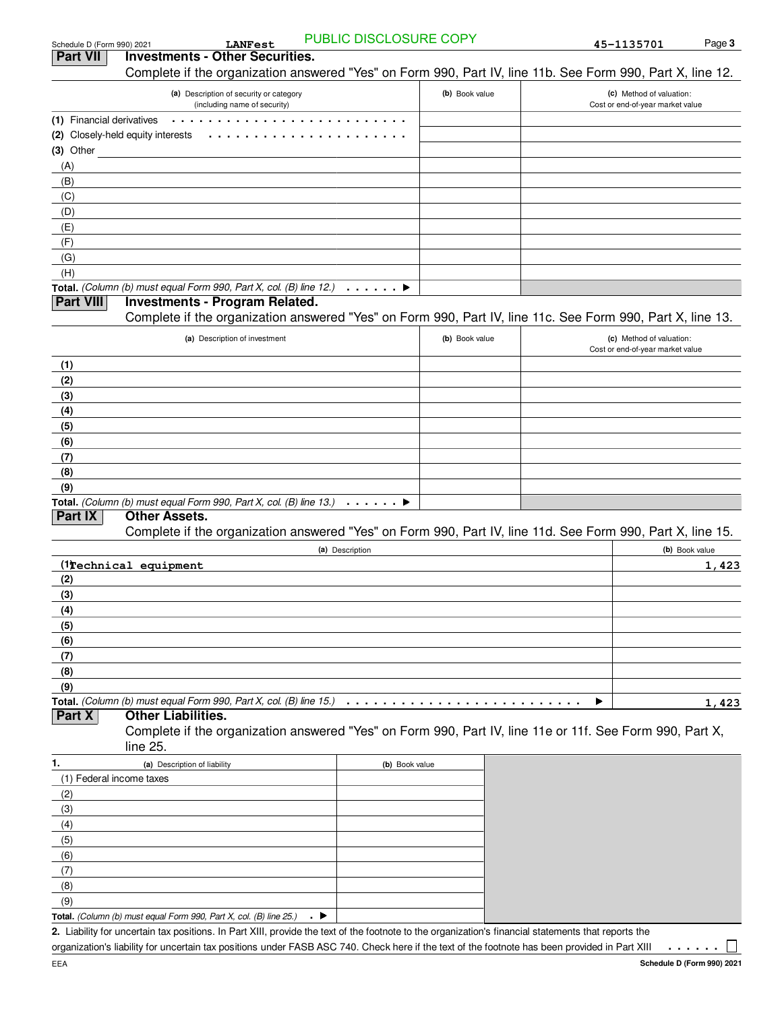| <b>Part VII</b><br><b>Investments - Other Securities.</b><br>Complete if the organization answered "Yes" on Form 990, Part IV, line 11b. See Form 990, Part X, line 12. |                |                                                              |
|-------------------------------------------------------------------------------------------------------------------------------------------------------------------------|----------------|--------------------------------------------------------------|
| (a) Description of security or category<br>(including name of security)                                                                                                 | (b) Book value | (c) Method of valuation:<br>Cost or end-of-year market value |
| (1) Financial derivatives                                                                                                                                               |                |                                                              |
| (2) Closely-held equity interests $\cdots \cdots \cdots \cdots \cdots \cdots \cdots$                                                                                    |                |                                                              |
| $(3)$ Other                                                                                                                                                             |                |                                                              |
| (A)                                                                                                                                                                     |                |                                                              |
| (B)                                                                                                                                                                     |                |                                                              |
| (C)                                                                                                                                                                     |                |                                                              |
| (D)                                                                                                                                                                     |                |                                                              |
| (E)                                                                                                                                                                     |                |                                                              |
| (F)                                                                                                                                                                     |                |                                                              |
| (G)                                                                                                                                                                     |                |                                                              |
| (H)                                                                                                                                                                     |                |                                                              |
| <b>Total.</b> (Column (b) must equal Form 990, Part X, col. (B) line 12.) $\ldots \ldots$                                                                               |                |                                                              |

#### **Part VIII** Investments - Program Related.

Complete if the organization answered "Yes" on Form 990, Part IV, line 11c. See Form 990, Part X, line 13.

| (a) Description of investment                                                      | (b) Book value | (c) Method of valuation:<br>Cost or end-of-year market value |
|------------------------------------------------------------------------------------|----------------|--------------------------------------------------------------|
| (1)                                                                                |                |                                                              |
| (2)                                                                                |                |                                                              |
| (3)                                                                                |                |                                                              |
| (4)                                                                                |                |                                                              |
| (5)                                                                                |                |                                                              |
| (6)                                                                                |                |                                                              |
| (7)                                                                                |                |                                                              |
| (8)                                                                                |                |                                                              |
| (9)                                                                                |                |                                                              |
| Total. (Column (b) must equal Form 990, Part X, col. (B) line 13.) $\ldots \ldots$ |                |                                                              |

#### **Part IX Other Assets.**

Complete if the organization answered "Yes" on Form 990, Part IV, line 11d. See Form 990, Part X, line 15.

| (a) Description         | (b) Book value |
|-------------------------|----------------|
| (1) rechnical equipment | 1,423          |
| (2)                     |                |
| (3)                     |                |
| (4)                     |                |
| (5)                     |                |
| (6)                     |                |
| (7)                     |                |
| (8)                     |                |
| (9)                     |                |
|                         | 1,423          |

#### **Part X** Other Liabilities.

Complete if the organization answered "Yes" on Form 990, Part IV, line 11e or 11f. See Form 990, Part X, line 25.

| 1.  | (a) Description of liability                                       |        | (b) Book value |  |
|-----|--------------------------------------------------------------------|--------|----------------|--|
|     | (1) Federal income taxes                                           |        |                |  |
| (2) |                                                                    |        |                |  |
| (3) |                                                                    |        |                |  |
| (4) |                                                                    |        |                |  |
| (5) |                                                                    |        |                |  |
| (6) |                                                                    |        |                |  |
| (7) |                                                                    |        |                |  |
| (8) |                                                                    |        |                |  |
| (9) |                                                                    |        |                |  |
|     | Total. (Column (b) must equal Form 990, Part X, col. (B) line 25.) | n a bh |                |  |

**2.** Liability for uncertain tax positions. In Part XIII, provide the text of the footnote to the organization's financial statements that reports the organization's liability for uncertain tax positions under FASB ASC 740. Check here if the text of the footnote has been provided in Part XIII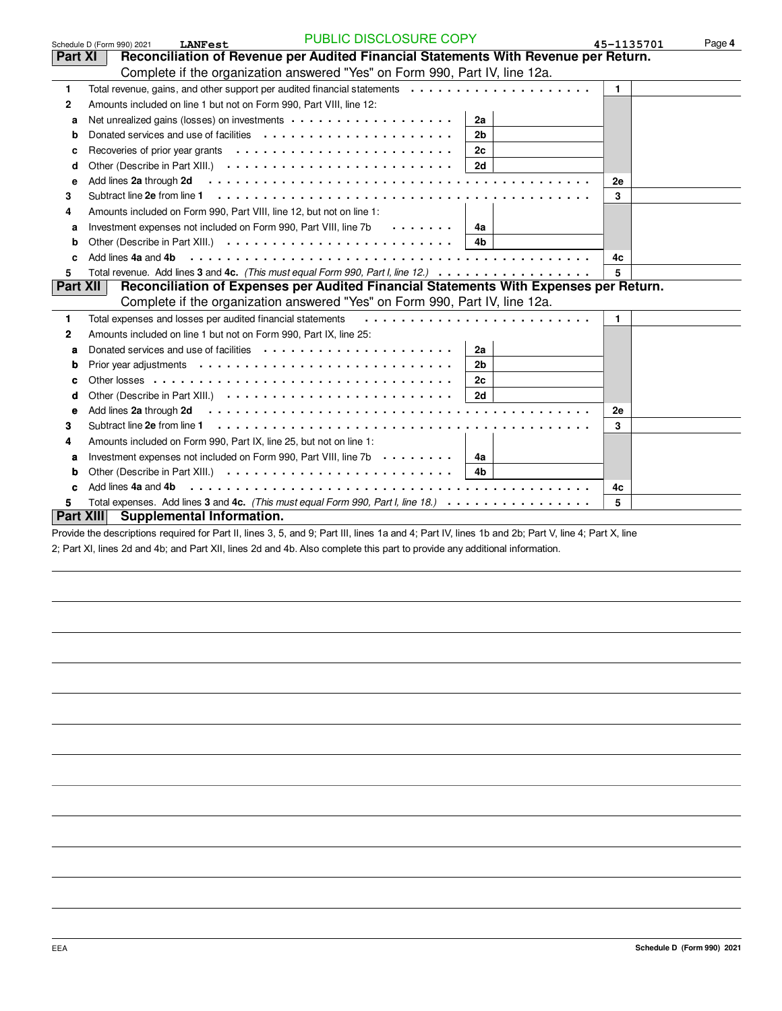|                  | <b>LANFest</b><br>Schedule D (Form 990) 2021                                | <b>PUBLIC DISCLOSURE COPY</b>                                                         |                | 45-1135701 |  | Page 4 |  |  |
|------------------|-----------------------------------------------------------------------------|---------------------------------------------------------------------------------------|----------------|------------|--|--------|--|--|
| <b>Part XI</b>   |                                                                             | Reconciliation of Revenue per Audited Financial Statements With Revenue per Return.   |                |            |  |        |  |  |
|                  | Complete if the organization answered "Yes" on Form 990, Part IV, line 12a. |                                                                                       |                |            |  |        |  |  |
| 1                |                                                                             |                                                                                       |                | 1          |  |        |  |  |
| 2                | Amounts included on line 1 but not on Form 990, Part VIII, line 12:         |                                                                                       |                |            |  |        |  |  |
| a                |                                                                             |                                                                                       | 2a             |            |  |        |  |  |
| b                |                                                                             |                                                                                       | 2 <sub>b</sub> |            |  |        |  |  |
| с                |                                                                             |                                                                                       | 2c             |            |  |        |  |  |
| d                |                                                                             |                                                                                       | 2d             |            |  |        |  |  |
| е                | Add lines 2a through 2d                                                     |                                                                                       |                | 2e         |  |        |  |  |
| 3                |                                                                             |                                                                                       |                | 3          |  |        |  |  |
| 4                | Amounts included on Form 990, Part VIII, line 12, but not on line 1:        |                                                                                       |                |            |  |        |  |  |
| a                | Investment expenses not included on Form 990, Part VIII, line 7b            | <b><i>Charles Committee</i></b>                                                       | 4a             |            |  |        |  |  |
| b                |                                                                             |                                                                                       | 4 <sub>b</sub> |            |  |        |  |  |
| C                | Add lines 4a and 4b                                                         |                                                                                       |                | 4c         |  |        |  |  |
| 5                |                                                                             | Total revenue. Add lines 3 and 4c. (This must equal Form 990, Part I, line 12.)       |                | 5          |  |        |  |  |
| <b>Part XII</b>  |                                                                             | Reconciliation of Expenses per Audited Financial Statements With Expenses per Return. |                |            |  |        |  |  |
|                  |                                                                             | Complete if the organization answered "Yes" on Form 990, Part IV, line 12a.           |                |            |  |        |  |  |
| 1                | Total expenses and losses per audited financial statements                  |                                                                                       |                | 1          |  |        |  |  |
| $\mathbf{2}$     | Amounts included on line 1 but not on Form 990, Part IX, line 25:           |                                                                                       |                |            |  |        |  |  |
| a                |                                                                             |                                                                                       | 2a             |            |  |        |  |  |
| b                |                                                                             |                                                                                       | 2 <sub>b</sub> |            |  |        |  |  |
| c                |                                                                             |                                                                                       | 2c             |            |  |        |  |  |
| d                |                                                                             |                                                                                       | 2d             |            |  |        |  |  |
| е                | Add lines 2a through 2d                                                     |                                                                                       |                | <b>2e</b>  |  |        |  |  |
| 3                | Subtract line 2e from line 1                                                |                                                                                       |                | 3          |  |        |  |  |
| 4                | Amounts included on Form 990, Part IX, line 25, but not on line 1:          |                                                                                       |                |            |  |        |  |  |
| a                |                                                                             | Investment expenses not included on Form 990, Part VIII, line 7b                      | 4a             |            |  |        |  |  |
| b                |                                                                             |                                                                                       | 4b             |            |  |        |  |  |
| c                | Add lines 4a and 4b                                                         |                                                                                       |                | 4c         |  |        |  |  |
| 5                |                                                                             | Total expenses. Add lines 3 and 4c. (This must equal Form 990, Part I, line 18.)      |                | 5          |  |        |  |  |
| <b>Part XIII</b> | Supplemental Information.                                                   |                                                                                       |                |            |  |        |  |  |

Provide the descriptions required for Part II, lines 3, 5, and 9; Part III, lines 1a and 4; Part IV, lines 1b and 2b; Part V, line 4; Part X, line 2; Part XI, lines 2d and 4b; and Part XII, lines 2d and 4b. Also complete this part to provide any additional information.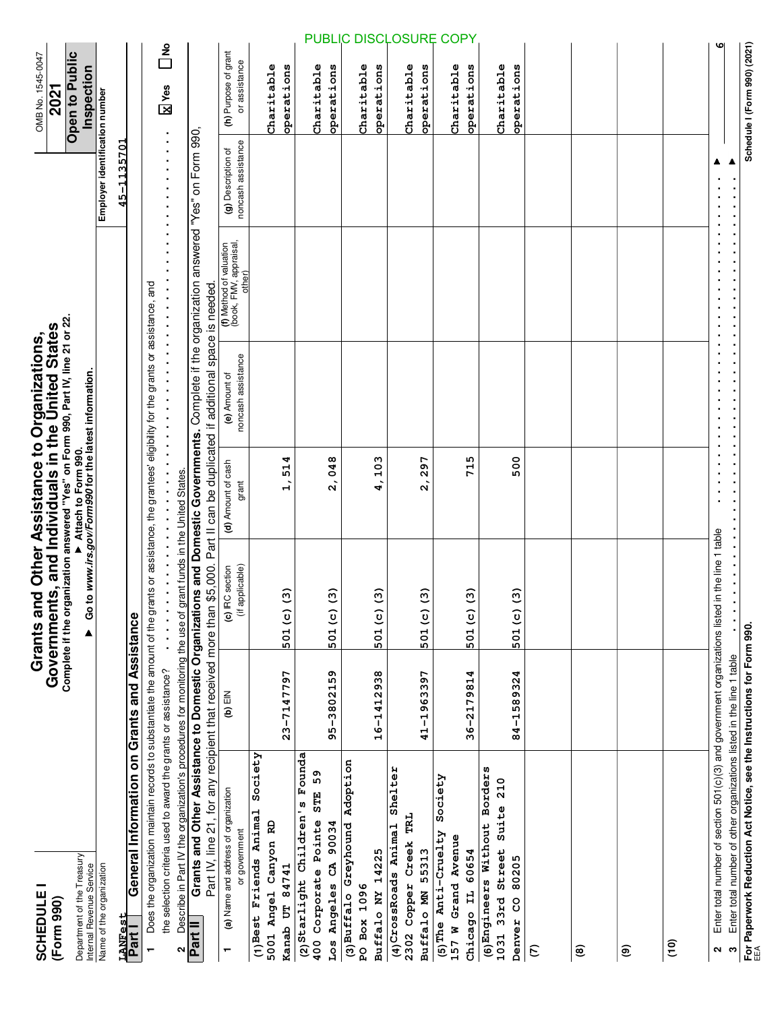| <b>SCHEDULE I</b><br>(Form 990)                                                                                                                                 |            | Complete if the organization answered "Yes" on Form 990, Part IV, line 21 or 22.<br>Grants and Other Assistance to Organizations,<br>Governments, and Individuals in the United States |                                                                              |                                                                                    |                                                                                                             |                                | OMB No. 1545-0047<br>2021               |
|-----------------------------------------------------------------------------------------------------------------------------------------------------------------|------------|----------------------------------------------------------------------------------------------------------------------------------------------------------------------------------------|------------------------------------------------------------------------------|------------------------------------------------------------------------------------|-------------------------------------------------------------------------------------------------------------|--------------------------------|-----------------------------------------|
| Department of the Treasury<br>Internal Revenue Service                                                                                                          |            | Â                                                                                                                                                                                      | Go to www.irs.gov/Form990 for the latest information.<br>Attach to Form 990. |                                                                                    |                                                                                                             |                                | Open to Public<br>Inspection            |
| Name of the organization                                                                                                                                        |            |                                                                                                                                                                                        |                                                                              |                                                                                    |                                                                                                             | Employer identification number |                                         |
| General Information on Grants and Assistance<br><b>LANFest</b><br>Part I                                                                                        |            |                                                                                                                                                                                        |                                                                              |                                                                                    |                                                                                                             | $45 - 1135701$                 |                                         |
| Does the organization maintain records to substantiate the amount of the grants or assistance, the grantees' eligibility for the grants or assistance, and<br>٣ |            |                                                                                                                                                                                        |                                                                              |                                                                                    |                                                                                                             |                                |                                         |
| the selection criteria used to award the grants or assistance?                                                                                                  |            | .<br>$\frac{1}{2}$                                                                                                                                                                     |                                                                              | .                                                                                  | $\frac{1}{2}$<br>$\begin{array}{c} \bullet & \bullet \\ \bullet & \bullet \\ \bullet & \bullet \end{array}$ |                                | $rac{2}{\pi}$<br><b>NN</b>              |
| Describe in Part IV the organization's procedures for monitoring the use of grant funds in the United States.<br>Σ                                              |            |                                                                                                                                                                                        |                                                                              |                                                                                    |                                                                                                             |                                |                                         |
| Grants and Other Assistance to Domestic Organizations and Domestic Governments. Complete if the organization answered<br>Part II                                |            |                                                                                                                                                                                        |                                                                              |                                                                                    |                                                                                                             | "Yes" on Form 990,             |                                         |
| Part IV, line 21, for any recipient that received more than<br>(a) Name and address of organization<br>$\blacksquare$                                           | $(b)$ EN   | (c) IRC section                                                                                                                                                                        | (d) Amount of cash                                                           | \$5,000. Part II can be duplicated if additional space is needed.<br>(e) Amount of | (f) Method of valuation<br>(book, FMV, appraisal,                                                           | (g) Description of             | (h) Purpose of grant                    |
| or government                                                                                                                                                   |            | (if applicable)                                                                                                                                                                        | grant                                                                        | noncash assistance                                                                 | other)                                                                                                      | noncash assistance             | or assistance                           |
| Society<br>(1) Best Friends Animal<br>Canyon RD<br>5001 Angel                                                                                                   |            |                                                                                                                                                                                        |                                                                              |                                                                                    |                                                                                                             |                                | Charitable                              |
| Kanab UT 84741                                                                                                                                                  | 23-7147797 | $\widehat{c}$<br>501(c)                                                                                                                                                                | 514<br>$\ddot{ }$                                                            |                                                                                    |                                                                                                             |                                | operations                              |
| (2) Starlight Children's Founda<br>59<br>STE<br>400 Corporate Pointe                                                                                            |            |                                                                                                                                                                                        |                                                                              |                                                                                    |                                                                                                             |                                | Charitable                              |
| 90034<br>Angeles CA<br><b>Por</b>                                                                                                                               | 95-3802159 | $\widehat{c}$<br>501(c)                                                                                                                                                                | 2,048                                                                        |                                                                                    |                                                                                                             |                                | operations                              |
| (3) Buffalo Greyhound Adoption                                                                                                                                  |            |                                                                                                                                                                                        |                                                                              |                                                                                    |                                                                                                             |                                | PUBLIC DISCLOSURE                       |
| Buffalo NY 14225<br>PO Box 1096                                                                                                                                 | 16-1412938 | $\widehat{c}$<br>501(c)                                                                                                                                                                | 103<br>4.                                                                    |                                                                                    |                                                                                                             |                                | operations<br>Charitable                |
| Shelter<br>(4)CrossRoads Animal                                                                                                                                 |            |                                                                                                                                                                                        |                                                                              |                                                                                    |                                                                                                             |                                |                                         |
| TRL<br>Creek<br>2302 Copper                                                                                                                                     |            |                                                                                                                                                                                        |                                                                              |                                                                                    |                                                                                                             |                                | Charitable                              |
| Buffalo MN 55313                                                                                                                                                | 41-1963397 | $\widehat{\mathbf{e}}$<br>501 (c)                                                                                                                                                      | 297<br>$\ddot{\mathbf{a}}$                                                   |                                                                                    |                                                                                                             |                                | operations                              |
| Society<br>(5) The $Anti-Cruelty$                                                                                                                               |            |                                                                                                                                                                                        |                                                                              |                                                                                    |                                                                                                             |                                |                                         |
| 157 W Grand Avenue<br>60654<br>Chicago IL                                                                                                                       | 36-2179814 | $\widetilde{\mathcal{E}}$<br>501 (c)                                                                                                                                                   | 715                                                                          |                                                                                    |                                                                                                             |                                | <b>COPY</b><br>Charitable<br>operations |
| (6) Engineers Without Borders                                                                                                                                   |            |                                                                                                                                                                                        |                                                                              |                                                                                    |                                                                                                             |                                |                                         |
| Suite 210<br>1031 33rd Street<br>80205                                                                                                                          | 84-1589324 | $\widehat{c}$                                                                                                                                                                          | 500                                                                          |                                                                                    |                                                                                                             |                                | Charitable                              |
| Denver <sub>CO</sub><br>$\epsilon$                                                                                                                              |            | 501 (c)                                                                                                                                                                                |                                                                              |                                                                                    |                                                                                                             |                                | operations                              |
|                                                                                                                                                                 |            |                                                                                                                                                                                        |                                                                              |                                                                                    |                                                                                                             |                                |                                         |
| ම                                                                                                                                                               |            |                                                                                                                                                                                        |                                                                              |                                                                                    |                                                                                                             |                                |                                         |
|                                                                                                                                                                 |            |                                                                                                                                                                                        |                                                                              |                                                                                    |                                                                                                             |                                |                                         |
| $\circledcirc$                                                                                                                                                  |            |                                                                                                                                                                                        |                                                                              |                                                                                    |                                                                                                             |                                |                                         |
| $\widetilde{e}$                                                                                                                                                 |            |                                                                                                                                                                                        |                                                                              |                                                                                    |                                                                                                             |                                |                                         |
|                                                                                                                                                                 |            |                                                                                                                                                                                        |                                                                              |                                                                                    |                                                                                                             |                                |                                         |
| Enter total number of section 501(c)(3) and government organizations listed<br>2                                                                                |            | in the line 1 table                                                                                                                                                                    |                                                                              |                                                                                    |                                                                                                             |                                | o                                       |
| Enter total number of other organizations listed in the line 1 table<br>$\boldsymbol{\mathrm{s}}$                                                               |            |                                                                                                                                                                                        |                                                                              |                                                                                    |                                                                                                             |                                |                                         |
| For Paperwork Reduction Act Notice, see the Instructions for Form 990.                                                                                          |            |                                                                                                                                                                                        |                                                                              |                                                                                    |                                                                                                             |                                | Schedule I (Form 990) (2021)            |

.<br>EEA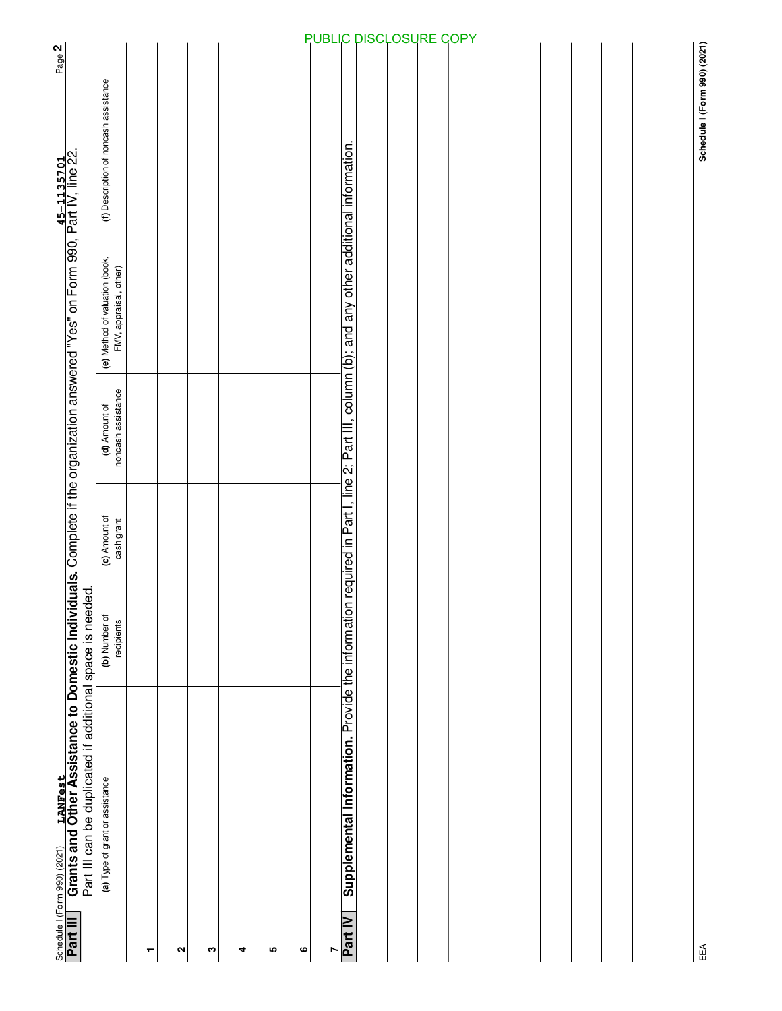| Part III                 | m 990) (2021) <b>LANTest Langue to Domestic Individuals.</b> Complete if the organization answered "Yes" on Form 990, Part IV, line 22.<br><b>Grants and Other Assistance to Domestic Individuals.</b> Complete if the organization answere<br>Schedule I (Form 990) (2021) |                             |                             |                                     |                                                          | Page 2                                |
|--------------------------|-----------------------------------------------------------------------------------------------------------------------------------------------------------------------------------------------------------------------------------------------------------------------------|-----------------------------|-----------------------------|-------------------------------------|----------------------------------------------------------|---------------------------------------|
|                          | Part III can be duplicated if additional space is needed.                                                                                                                                                                                                                   |                             |                             |                                     |                                                          |                                       |
|                          | (a) Type of grant or assistance                                                                                                                                                                                                                                             | (b) Number of<br>recipients | (c) Amount of<br>cash grant | noncash assistance<br>(d) Amount of | (e) Method of valuation (book,<br>FMV, appraisal, other) | (f) Description of noncash assistance |
| $\overline{\phantom{a}}$ |                                                                                                                                                                                                                                                                             |                             |                             |                                     |                                                          |                                       |
| $\sim$                   |                                                                                                                                                                                                                                                                             |                             |                             |                                     |                                                          |                                       |
| S                        |                                                                                                                                                                                                                                                                             |                             |                             |                                     |                                                          |                                       |
| 4                        |                                                                                                                                                                                                                                                                             |                             |                             |                                     |                                                          |                                       |
| <b>LO</b>                |                                                                                                                                                                                                                                                                             |                             |                             |                                     |                                                          |                                       |
| $\circ$                  |                                                                                                                                                                                                                                                                             |                             |                             |                                     |                                                          |                                       |
| N                        |                                                                                                                                                                                                                                                                             |                             |                             |                                     |                                                          |                                       |
| Part IV                  | Supplemental Information. Provide the information required in Part I, line 2; Part III, column (b); and any other additional information.                                                                                                                                   |                             |                             |                                     |                                                          |                                       |
|                          |                                                                                                                                                                                                                                                                             |                             |                             |                                     |                                                          |                                       |
|                          |                                                                                                                                                                                                                                                                             |                             |                             |                                     |                                                          |                                       |
|                          |                                                                                                                                                                                                                                                                             |                             |                             |                                     |                                                          |                                       |
|                          |                                                                                                                                                                                                                                                                             |                             |                             |                                     |                                                          |                                       |
|                          |                                                                                                                                                                                                                                                                             |                             |                             |                                     |                                                          |                                       |
|                          |                                                                                                                                                                                                                                                                             |                             |                             |                                     |                                                          |                                       |
|                          |                                                                                                                                                                                                                                                                             |                             |                             |                                     |                                                          |                                       |
|                          |                                                                                                                                                                                                                                                                             |                             |                             |                                     |                                                          |                                       |
|                          |                                                                                                                                                                                                                                                                             |                             |                             |                                     |                                                          |                                       |
|                          |                                                                                                                                                                                                                                                                             |                             |                             |                                     |                                                          |                                       |
|                          |                                                                                                                                                                                                                                                                             |                             |                             |                                     |                                                          |                                       |
| EEA                      |                                                                                                                                                                                                                                                                             |                             |                             |                                     |                                                          | Schedule I (Form 990) (2021)          |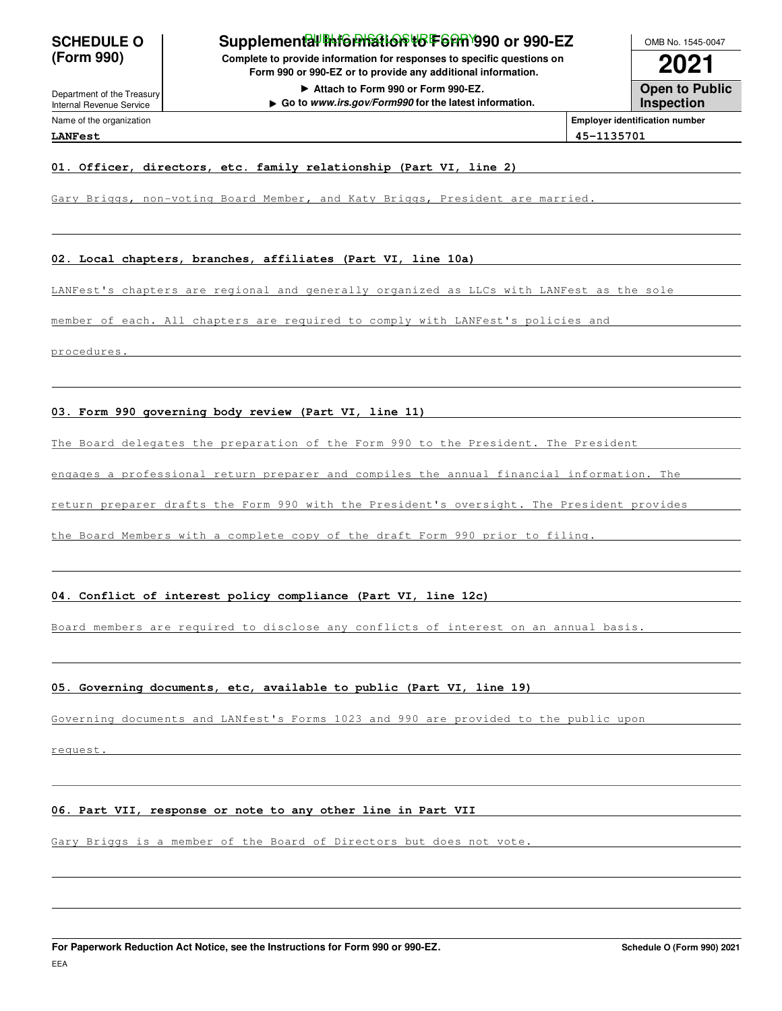# **SCHEDULE O**

Department of the Treasury Internal Revenue Service Name of the organization

## Supplement<mark>al<sup>i</sup>fhformation to F6Ph`9</mark>90 or 990-EZ

**(Form 990) 2021 Complete to provide information for responses to specific questions on Form 990 or 990-EZ or to provide any additional information.**

**Attach to Form 990 or Form 990-EZ.**

**Go to www.irs.gov/Form990 for the latest information.**



**Employer identification number**

**LANFest 45-1135701**

#### **01. Officer, directors, etc. family relationship (Part VI, line 2)**

Gary Briggs, non-voting Board Member, and Katy Briggs, President are married.

#### **02. Local chapters, branches, affiliates (Part VI, line 10a)**

LANFest's chapters are regional and generally organized as LLCs with LANFest as the sole

member of each. All chapters are required to comply with LANFest's policies and

procedures.

#### **03. Form 990 governing body review (Part VI, line 11)**

The Board delegates the preparation of the Form 990 to the President. The President

engages a professional return preparer and compiles the annual financial information. The

return preparer drafts the Form 990 with the President's oversight. The President provides

the Board Members with a complete copy of the draft Form 990 prior to filing.

#### **04. Conflict of interest policy compliance (Part VI, line 12c)**

Board members are required to disclose any conflicts of interest on an annual basis.

#### **05. Governing documents, etc, available to public (Part VI, line 19)**

Governing documents and LANfest's Forms 1023 and 990 are provided to the public upon

request.

#### **06. Part VII, response or note to any other line in Part VII**

Gary Briggs is a member of the Board of Directors but does not vote.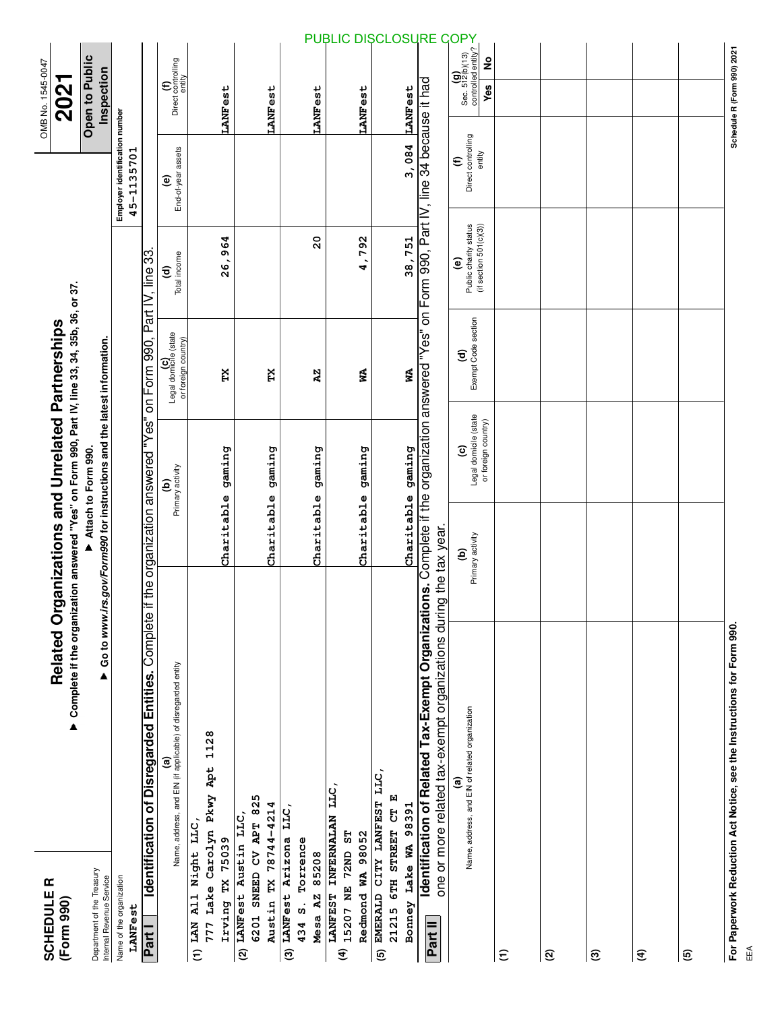| $\mathbf{\alpha}$<br><b>SCHEDULE</b><br>(Form 990)                                               | ▶ Complete if the organization answered "Yes" on Form 990, Part IV, line 33, 34, 35b, 36, or 37.<br><b>Related Organizations and Unrelated Partnerships</b> |                                                                   |                                                                        |                                               |                                                                               |                                                             | OMB No. 1545-0047<br><b>2021</b>                                  |                          |
|--------------------------------------------------------------------------------------------------|-------------------------------------------------------------------------------------------------------------------------------------------------------------|-------------------------------------------------------------------|------------------------------------------------------------------------|-----------------------------------------------|-------------------------------------------------------------------------------|-------------------------------------------------------------|-------------------------------------------------------------------|--------------------------|
| Department of the Treasury<br>Internal Revenue Service                                           | ► Go to www.irs.gov/Form990 for instructions and the latest information.                                                                                    | Attach to Form 990.                                               |                                                                        |                                               |                                                                               |                                                             | Open to Public<br>Inspection                                      |                          |
| Name of the organization<br>LANFest                                                              |                                                                                                                                                             |                                                                   |                                                                        |                                               |                                                                               | Employer identification number<br>45-1135701                |                                                                   |                          |
| Part I                                                                                           | Identification of Disregarded Entities. Complete                                                                                                            | if the organization answered "Yes" on Form 990, Part IV, line 33. |                                                                        |                                               |                                                                               |                                                             |                                                                   |                          |
|                                                                                                  | Name, address, and EIN (if applicable) of disregarded entity $\qquad$                                                                                       | (b)<br>Primary activity                                           |                                                                        | Legal domicile (state<br>or foreign country)  | Total income<br>€                                                             | End-of-year assets<br>©                                     | (f)<br>Direct controlling<br>entity                               |                          |
| $(1)$ LAN All Night LLC,<br>Irving TX 75039<br>Lake<br>777                                       | 1128<br>Apt<br>Carolyn Pkwy                                                                                                                                 | Charitable                                                        | gaming                                                                 | Ř                                             | 26,964                                                                        |                                                             | LANFest                                                           |                          |
| 6201 SNEED CV APT 825<br>Austin TX 78744-4214<br>(2) LANFest Austin LLC,                         |                                                                                                                                                             | Charitable                                                        | gaming                                                                 | Ř                                             |                                                                               |                                                             | LANFest                                                           |                          |
| (3) LANFest Arizona<br>434 S. Torrence<br>85208<br>Mesa AZ                                       | LLC,                                                                                                                                                        | Charitable                                                        | gaming                                                                 | AZ                                            | $\frac{0}{2}$                                                                 |                                                             | LANFest                                                           |                          |
| LANFEST INFERNALAN LLC,<br>15207 NE 72ND ST<br>Redmond WA 98052<br>$\widehat{f}$                 |                                                                                                                                                             | Charitable                                                        | gaming                                                                 | ę                                             | 792<br>4,                                                                     |                                                             | LANFest                                                           |                          |
| (5) EMERALD CITY LANFEST LIC,<br><b>6TH STREET CT E</b><br>Lake WA<br>Bonney<br>21215<br>Part II | Identification of Related Tax-Exempt Organizations. Complete if the organization answered<br>98391                                                          | Charitable                                                        | gaming                                                                 | ß                                             | 38,751                                                                        | "Yes" on Form 990, Part IV, line 34 because it had<br>3,084 | LANFest                                                           | <b>PUBLIC DISCLOSURE</b> |
|                                                                                                  | one or more related tax-exempt organizations during the tax year.<br>Name, address, and EIN of related organization<br>ම                                    | Primary activity<br>ê                                             | Legal domicile (state<br>or foreign country)<br>$\widehat{\mathbf{e}}$ | Exempt Code section<br>$\widehat{\mathbf{e}}$ | Public charity status<br>$(i$ f section $501(c)(3)$<br>$\mathbf{\widehat{e}}$ | Direct controlling<br>entity<br>$\epsilon$                  | Sec. $\frac{1}{2}$<br>controlled entity?<br>ž<br>Yes <sub>1</sub> | <b>COPY</b>              |
| $\widehat{\tau}$                                                                                 |                                                                                                                                                             |                                                                   |                                                                        |                                               |                                                                               |                                                             |                                                                   |                          |
| ତ୍ର                                                                                              |                                                                                                                                                             |                                                                   |                                                                        |                                               |                                                                               |                                                             |                                                                   |                          |
| ම                                                                                                |                                                                                                                                                             |                                                                   |                                                                        |                                               |                                                                               |                                                             |                                                                   |                          |
| $\widehat{f}$                                                                                    |                                                                                                                                                             |                                                                   |                                                                        |                                               |                                                                               |                                                             |                                                                   |                          |
| ම                                                                                                |                                                                                                                                                             |                                                                   |                                                                        |                                               |                                                                               |                                                             |                                                                   |                          |
|                                                                                                  | For Paperwork Reduction Act Notice, see the Instructions for Form 990.                                                                                      |                                                                   |                                                                        |                                               |                                                                               |                                                             | Schedule R (Form 990) 2021                                        |                          |

EEA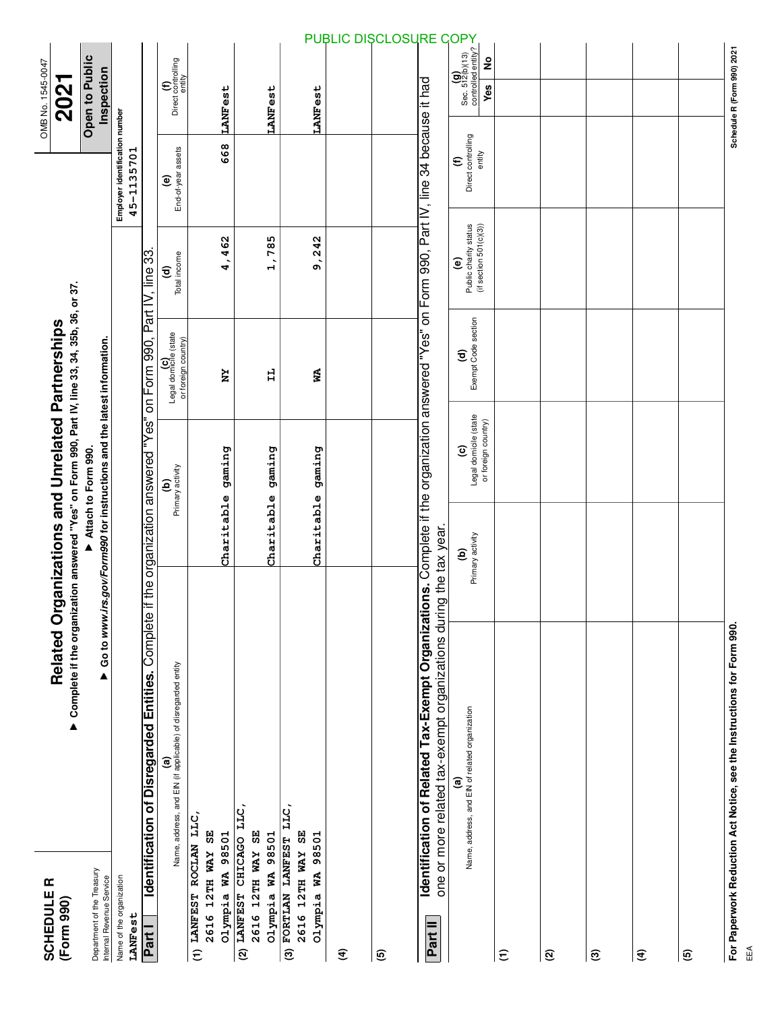| <b>SCHEDULER</b><br>(Form 990)                                         | ▶ Complete if the organization answered "Yes" on Form 990, Part IV, line 33, 34, 35b, 36, or 37.                                                                                                                  | Related Organizations and Unrelated Partnerships                                                |                                                                        |                                               |                                                      |                                              | OMB No. 1545-0047<br>2021                                            |
|------------------------------------------------------------------------|-------------------------------------------------------------------------------------------------------------------------------------------------------------------------------------------------------------------|-------------------------------------------------------------------------------------------------|------------------------------------------------------------------------|-----------------------------------------------|------------------------------------------------------|----------------------------------------------|----------------------------------------------------------------------|
| Department of the Treasury<br>Internal Revenue Service                 |                                                                                                                                                                                                                   | ▶ Go to www.irs.gov/Form990 for instructions and the latest information.<br>Attach to Form 990. |                                                                        |                                               |                                                      |                                              | Open to Public<br>Inspection                                         |
| Name of the organization<br>LANFest                                    |                                                                                                                                                                                                                   |                                                                                                 |                                                                        |                                               |                                                      | Employer identification number<br>45-1135701 |                                                                      |
| Part I                                                                 | Identification of Disregarded Entities. Complete                                                                                                                                                                  | if the organization answered "Yes" on Form 990, Part IV, line 33.                               |                                                                        |                                               |                                                      |                                              |                                                                      |
|                                                                        | Name, address, and EIN (if applicable) of disregarded entity $\qquad$                                                                                                                                             | (b)<br>Primary activity                                                                         |                                                                        | Legal domicile (state<br>or foreign country)  | Total income<br>$\widehat{\mathbf{c}}$               | End-of-year assets<br>$\mathbf{\hat{e}}$     | (f)<br>Direct controlling<br>entity                                  |
| (1) LANFEST ROCLAN LLC,<br>띥<br>2616 12TH WAY                          |                                                                                                                                                                                                                   |                                                                                                 |                                                                        |                                               |                                                      |                                              |                                                                      |
| Olympia WA 98501                                                       |                                                                                                                                                                                                                   | gaming<br>Charitable                                                                            |                                                                        | ž                                             | 4,462                                                | 668                                          | LANFest                                                              |
| (2) LANFEST CHICAGO LLC,<br>2616 12TH WAY SE                           |                                                                                                                                                                                                                   |                                                                                                 |                                                                        |                                               |                                                      |                                              |                                                                      |
| Clympia WA 98501                                                       |                                                                                                                                                                                                                   | gaming<br>Charitable                                                                            |                                                                        | ᆸ                                             | 785<br>$\vec{a}$                                     |                                              | LANFest                                                              |
| LLC,<br>2616 12TH WAY SE<br>98501<br>(3) FORTLAN LANFEST<br>Olympia WA |                                                                                                                                                                                                                   | Charitable gaming                                                                               |                                                                        | ę                                             | 9, 242                                               |                                              | LANFest                                                              |
| E                                                                      |                                                                                                                                                                                                                   |                                                                                                 |                                                                        |                                               |                                                      |                                              |                                                                      |
| $\widehat{\mathbf{e}}$                                                 |                                                                                                                                                                                                                   |                                                                                                 |                                                                        |                                               |                                                      |                                              | <b>PUBLIC DISCLOSURE</b>                                             |
| Part II                                                                | Identification of Related Tax-Exempt Organizations. Complete if the organization answered "Yes" on Form 990, Part IV, line 34 because it had<br>one or more related tax-exempt organizations during the tax year. |                                                                                                 |                                                                        |                                               |                                                      |                                              |                                                                      |
|                                                                        | Name, address, and EIN of related organization<br>ම                                                                                                                                                               | Primary activity<br>ව                                                                           | Legal domicile (state<br>or foreign country)<br>$\widehat{\mathbf{e}}$ | Exempt Code section<br>$\widehat{\mathbf{c}}$ | Public charity status<br>(if section 501(c)(3))<br>© | Direct controlling<br>entity<br>$\epsilon$   | Sec. 512(b)(13)<br>Sec. 512(b)(13)<br>controlled entity?<br>ž<br>Yes |
| $\widehat{\tau}$                                                       |                                                                                                                                                                                                                   |                                                                                                 |                                                                        |                                               |                                                      |                                              |                                                                      |
| $\widehat{\mathfrak{G}}$                                               |                                                                                                                                                                                                                   |                                                                                                 |                                                                        |                                               |                                                      |                                              |                                                                      |
| $\widehat{\mathbf{e}}$                                                 |                                                                                                                                                                                                                   |                                                                                                 |                                                                        |                                               |                                                      |                                              |                                                                      |
| $\widehat{f}$                                                          |                                                                                                                                                                                                                   |                                                                                                 |                                                                        |                                               |                                                      |                                              |                                                                      |
| $\widehat{\mathbf{e}}$                                                 |                                                                                                                                                                                                                   |                                                                                                 |                                                                        |                                               |                                                      |                                              |                                                                      |
|                                                                        | For Paperwork Reduction Act Notice, see the Instructions for Form 990.                                                                                                                                            |                                                                                                 |                                                                        |                                               |                                                      |                                              | Schedule R (Form 990) 2021                                           |

EEA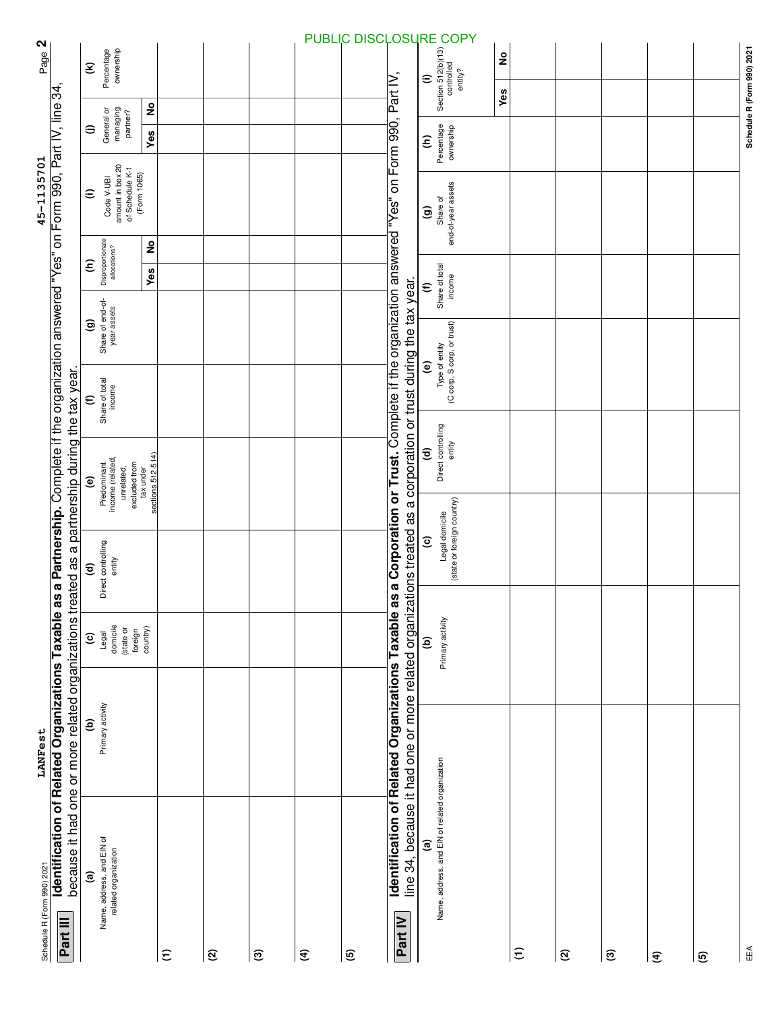| Page 2                     |                                                                                                       | €                      | ownership<br>Percentage                           |                                                 |                      |                          |   |               | PUBLIC DISCLOSURE COPY<br>MELIC DISCLOSURE COPY |                                                                                                                                                                                     |                        |                                                | $\frac{1}{2}$ |                  |                          |                        |               |                        | Schedule R (Form 990) 2021 |
|----------------------------|-------------------------------------------------------------------------------------------------------|------------------------|---------------------------------------------------|-------------------------------------------------|----------------------|--------------------------|---|---------------|-------------------------------------------------|-------------------------------------------------------------------------------------------------------------------------------------------------------------------------------------|------------------------|------------------------------------------------|---------------|------------------|--------------------------|------------------------|---------------|------------------------|----------------------------|
|                            |                                                                                                       |                        | managing<br>General or<br>partner?                | 2                                               |                      |                          |   |               |                                                 |                                                                                                                                                                                     |                        |                                                | Yes           |                  |                          |                        |               |                        |                            |
|                            | on Form 990, Part IV, line 34,                                                                        | $\ominus$              |                                                   | Yes                                             |                      |                          |   |               |                                                 | "Yes" on Form 990, Part                                                                                                                                                             | ε                      | Percentage<br>ownership                        |               |                  |                          |                        |               |                        |                            |
|                            |                                                                                                       |                        |                                                   |                                                 |                      |                          |   |               |                                                 |                                                                                                                                                                                     |                        |                                                |               |                  |                          |                        |               |                        |                            |
| 45-1135701                 |                                                                                                       | $\widehat{\epsilon}$   | amount in box 20<br>of Schedule K-1<br>Code V-UBI | (Form 1065)                                     |                      |                          |   |               |                                                 |                                                                                                                                                                                     | ම                      | end-of-year assets<br>Share of                 |               |                  |                          |                        |               |                        |                            |
|                            |                                                                                                       |                        |                                                   | ş                                               |                      |                          |   |               |                                                 |                                                                                                                                                                                     |                        |                                                |               |                  |                          |                        |               |                        |                            |
|                            |                                                                                                       | ε                      | Disproportionate                                  | Yes                                             |                      |                          |   |               |                                                 |                                                                                                                                                                                     | $\epsilon$             | Share of total<br>income                       |               |                  |                          |                        |               |                        |                            |
|                            |                                                                                                       |                        |                                                   |                                                 |                      |                          |   |               |                                                 |                                                                                                                                                                                     |                        |                                                |               |                  |                          |                        |               |                        |                            |
|                            | as a Partnership. Complete if the organization answered "Yes"                                         | $\widehat{\mathbf{e}}$ | Share of end-of-<br>year assets                   |                                                 |                      |                          |   |               |                                                 | as a Corporation or Trust. Complete if the organization answered<br>line 34, because it had one or more related organizations treated as a corporation or trust during the tax year |                        | Type of entity<br>(C corp, S corp, or trust)   |               |                  |                          |                        |               |                        |                            |
|                            |                                                                                                       |                        |                                                   |                                                 |                      |                          |   |               |                                                 |                                                                                                                                                                                     | $\widehat{\mathbf{e}}$ |                                                |               |                  |                          |                        |               |                        |                            |
|                            | reated as a partnership during the tax year.                                                          | $\epsilon$             | Share of total<br>income                          |                                                 |                      |                          |   |               |                                                 |                                                                                                                                                                                     |                        |                                                |               |                  |                          |                        |               |                        |                            |
|                            |                                                                                                       |                        |                                                   |                                                 |                      |                          |   |               |                                                 |                                                                                                                                                                                     |                        | Direct controlling<br>entity                   |               |                  |                          |                        |               |                        |                            |
|                            |                                                                                                       | ම                      | Predominant<br>income (related,<br>unrelated,     | sections 512-514)<br>excluded from<br>tax under |                      |                          |   |               |                                                 |                                                                                                                                                                                     | $\widehat{\mathbf{e}}$ |                                                |               |                  |                          |                        |               |                        |                            |
|                            |                                                                                                       |                        |                                                   |                                                 |                      |                          |   |               |                                                 |                                                                                                                                                                                     |                        |                                                |               |                  |                          |                        |               |                        |                            |
|                            |                                                                                                       |                        |                                                   |                                                 |                      |                          |   |               |                                                 |                                                                                                                                                                                     | $\widehat{\mathbf{e}}$ | (state or foreign country)<br>Legal domicile   |               |                  |                          |                        |               |                        |                            |
|                            |                                                                                                       | $\widehat{\mathbf{c}}$ | Direct controlling<br>entity                      |                                                 |                      |                          |   |               |                                                 |                                                                                                                                                                                     |                        |                                                |               |                  |                          |                        |               |                        |                            |
|                            |                                                                                                       |                        |                                                   |                                                 |                      |                          |   |               |                                                 |                                                                                                                                                                                     |                        |                                                |               |                  |                          |                        |               |                        |                            |
|                            |                                                                                                       | $\widehat{\mathbf{e}}$ | Legal<br>domicile<br>(state or<br>foreign         | country)                                        |                      |                          |   |               |                                                 |                                                                                                                                                                                     | ê                      | Primary activity                               |               |                  |                          |                        |               |                        |                            |
|                            |                                                                                                       |                        |                                                   |                                                 |                      |                          |   |               |                                                 |                                                                                                                                                                                     |                        |                                                |               |                  |                          |                        |               |                        |                            |
|                            |                                                                                                       |                        |                                                   |                                                 |                      |                          |   |               |                                                 |                                                                                                                                                                                     |                        |                                                |               |                  |                          |                        |               |                        |                            |
|                            |                                                                                                       | ê                      | Primary activity                                  |                                                 |                      |                          |   |               |                                                 |                                                                                                                                                                                     |                        |                                                |               |                  |                          |                        |               |                        |                            |
| LANFest                    |                                                                                                       |                        |                                                   |                                                 |                      |                          |   |               |                                                 |                                                                                                                                                                                     |                        |                                                |               |                  |                          |                        |               |                        |                            |
|                            |                                                                                                       |                        |                                                   |                                                 |                      |                          |   |               |                                                 |                                                                                                                                                                                     |                        |                                                |               |                  |                          |                        |               |                        |                            |
|                            | Identification of Related Organizations Taxable<br>because it had one or more related organizations t |                        |                                                   |                                                 |                      |                          |   |               |                                                 | Identification of Related Organizations Taxable                                                                                                                                     | $\widehat{\mathbf{e}}$ |                                                |               |                  |                          |                        |               |                        |                            |
|                            |                                                                                                       |                        |                                                   |                                                 |                      |                          |   |               |                                                 |                                                                                                                                                                                     |                        |                                                |               |                  |                          |                        |               |                        |                            |
| Schedule R (Form 990) 2021 |                                                                                                       | $\widehat{\mathbf{e}}$ | Name, address, and EIN of<br>related organization |                                                 |                      |                          |   |               |                                                 |                                                                                                                                                                                     |                        | Name, address, and EIN of related organization |               |                  |                          |                        |               |                        |                            |
|                            | Part III                                                                                              |                        |                                                   |                                                 |                      |                          |   |               |                                                 | Part IV                                                                                                                                                                             |                        |                                                |               |                  |                          |                        |               |                        |                            |
|                            |                                                                                                       |                        |                                                   |                                                 | $\widehat{\epsilon}$ | $\widehat{\mathfrak{D}}$ | ම | $\widehat{f}$ | $\widehat{\mathbf{e}}$                          |                                                                                                                                                                                     |                        |                                                |               | $\widehat{\tau}$ | $\widehat{\mathfrak{A}}$ | $\widehat{\mathbf{e}}$ | $\widehat{f}$ | $\widehat{\mathbf{P}}$ | EEA                        |

 $\sim$ 

PUBLIC DISCLOSURE COPY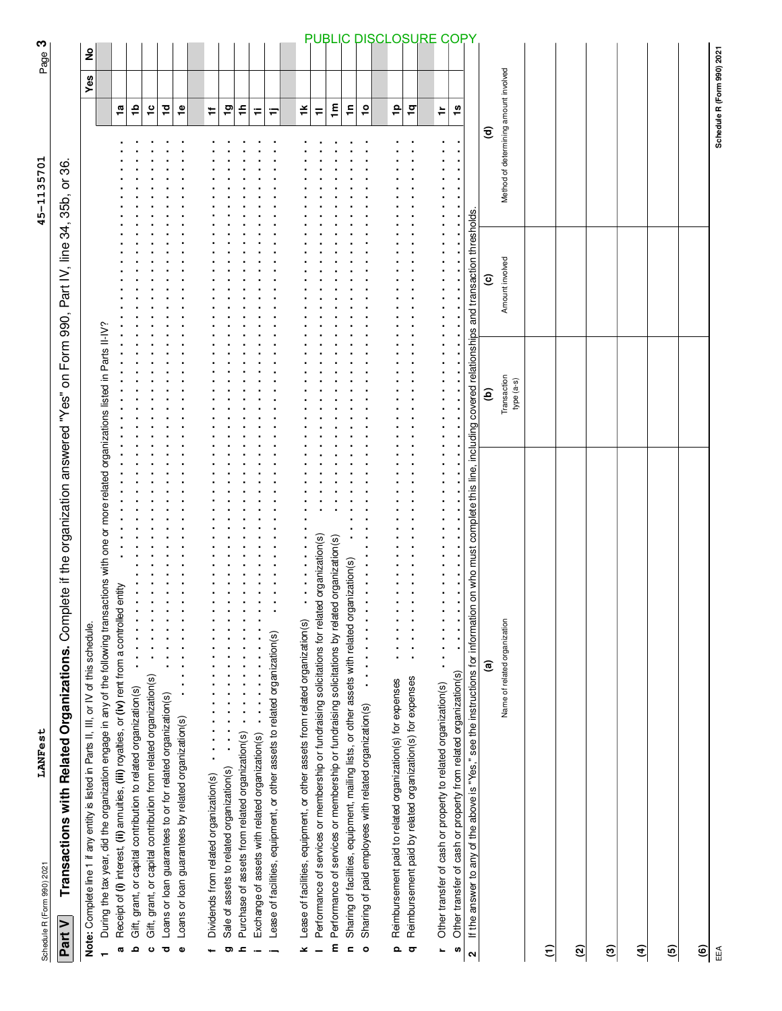Schedule R (Form 990) 2021 Schedule R (Form 990) 2021

LANFest

45-1135701 **LANFest 45-1135701**

<u>ო</u>

Page

| I                                                                                                                                                                                                                                                                                                                                                                                                                                                                                                                           |
|-----------------------------------------------------------------------------------------------------------------------------------------------------------------------------------------------------------------------------------------------------------------------------------------------------------------------------------------------------------------------------------------------------------------------------------------------------------------------------------------------------------------------------|
| ALAN IN TARA OF A CHARA<br>$\frac{1}{2}$<br>.<br>י                                                                                                                                                                                                                                                                                                                                                                                                                                                                          |
|                                                                                                                                                                                                                                                                                                                                                                                                                                                                                                                             |
| ;<br>;<br>;<br>;                                                                                                                                                                                                                                                                                                                                                                                                                                                                                                            |
| ו<br>ג<br>ג                                                                                                                                                                                                                                                                                                                                                                                                                                                                                                                 |
| $\mathsf{S}^{\scriptscriptstyle\mathrm{T}}$ on Form 990.<br>l                                                                                                                                                                                                                                                                                                                                                                                                                                                               |
|                                                                                                                                                                                                                                                                                                                                                                                                                                                                                                                             |
| ס<br>ט                                                                                                                                                                                                                                                                                                                                                                                                                                                                                                                      |
|                                                                                                                                                                                                                                                                                                                                                                                                                                                                                                                             |
|                                                                                                                                                                                                                                                                                                                                                                                                                                                                                                                             |
| $\begin{array}{c} \n\bullet \quad \text{if} \quad \text{if} \quad \text{if} \quad \text{if} \quad \text{if} \quad \text{if} \quad \text{if} \quad \text{if} \quad \text{if} \quad \text{if} \quad \text{if} \quad \text{if} \quad \text{if} \quad \text{if} \quad \text{if} \quad \text{if} \quad \text{if} \quad \text{if} \quad \text{if} \quad \text{if} \quad \text{if} \quad \text{if} \quad \text{if} \quad \text{if} \quad \text{if} \quad \text{if} \quad \text{if} \quad \text{if} \quad \text{if} \quad \text{if$ |
| I                                                                                                                                                                                                                                                                                                                                                                                                                                                                                                                           |
|                                                                                                                                                                                                                                                                                                                                                                                                                                                                                                                             |
|                                                                                                                                                                                                                                                                                                                                                                                                                                                                                                                             |
|                                                                                                                                                                                                                                                                                                                                                                                                                                                                                                                             |
|                                                                                                                                                                                                                                                                                                                                                                                                                                                                                                                             |
| j                                                                                                                                                                                                                                                                                                                                                                                                                                                                                                                           |
| ١                                                                                                                                                                                                                                                                                                                                                                                                                                                                                                                           |
| l<br>l                                                                                                                                                                                                                                                                                                                                                                                                                                                                                                                      |
|                                                                                                                                                                                                                                                                                                                                                                                                                                                                                                                             |
|                                                                                                                                                                                                                                                                                                                                                                                                                                                                                                                             |
|                                                                                                                                                                                                                                                                                                                                                                                                                                                                                                                             |
|                                                                                                                                                                                                                                                                                                                                                                                                                                                                                                                             |
|                                                                                                                                                                                                                                                                                                                                                                                                                                                                                                                             |
|                                                                                                                                                                                                                                                                                                                                                                                                                                                                                                                             |
|                                                                                                                                                                                                                                                                                                                                                                                                                                                                                                                             |

| Note: Complete line 1 if any entity is listed in Parts II, III, or IV of this schedule.                                                                                             |                           |                        |                                       | Yes                             | ş |                        |
|-------------------------------------------------------------------------------------------------------------------------------------------------------------------------------------|---------------------------|------------------------|---------------------------------------|---------------------------------|---|------------------------|
| During the tax year, did the organization engage in any of the following transactions with one or more related organizations listed in Parts II-IV?                                 |                           |                        |                                       |                                 |   |                        |
| Receipt of (I) interest, (II) annuities, (III) royalties, or (Iv) rent from a controlled entity                                                                                     |                           |                        |                                       | $\frac{a}{b}$                   |   |                        |
| Gift, grant, or capital contribution to related organization(s)<br>ء                                                                                                                |                           |                        |                                       | $\frac{a}{b}$                   |   |                        |
| Gift, grant, or capital contribution from related organization(s)<br>ပ                                                                                                              |                           |                        |                                       | $\frac{1}{2}$                   |   |                        |
| Loans or loan guarantees to or for related organization(s)<br>᠊ᠣ                                                                                                                    |                           |                        |                                       | P                               |   |                        |
| Loans or loan guarantees by related organization(s)<br>$\mathbf{Q}$                                                                                                                 |                           |                        |                                       | $\overset{\bullet}{\mathbf{z}}$ |   |                        |
|                                                                                                                                                                                     |                           |                        |                                       |                                 |   |                        |
| Dividends from related organization(s)                                                                                                                                              |                           |                        |                                       | $\ddot{}$                       |   |                        |
| Sale of assets to related organization(s)<br>ರಾ                                                                                                                                     |                           |                        |                                       | $\overline{9}$                  |   |                        |
| Purchase of assets from related organization(s)<br>ᇰ                                                                                                                                |                           |                        |                                       | $\frac{4}{1}$                   |   |                        |
| Exchange of assets with related organization(s)                                                                                                                                     |                           |                        |                                       | Ξ                               |   |                        |
| Lease of facilities, equipment, or other assets to related organization(s)                                                                                                          |                           |                        |                                       | Ξ                               |   |                        |
|                                                                                                                                                                                     |                           |                        |                                       |                                 |   |                        |
| Lease of facilities, equipment, or other assets from related organization(s)<br>×                                                                                                   |                           |                        |                                       | $\breve{+}$                     |   |                        |
| organization(s)<br>Performance of services or membership or fundraising solicitations for related                                                                                   |                           |                        |                                       | ∓                               |   |                        |
| organization(s)<br>Performance of services or membership or fundraising solicitations by related<br>E                                                                               |                           |                        |                                       | $\mathbf{m}$                    |   |                        |
| nization(s)<br>Sharing of facilities, equipment, mailing lists, or other assets with related organ<br>$\mathbf{c}$                                                                  |                           |                        |                                       | $\ddot{=}$                      |   |                        |
| Sharing of paid employees with related organization(s)<br>$\circ$                                                                                                                   |                           |                        |                                       | $\frac{1}{2}$                   |   |                        |
|                                                                                                                                                                                     |                           |                        |                                       |                                 |   |                        |
| Reimbursement paid to related organization(s) for expenses<br>ء                                                                                                                     |                           |                        |                                       | $\frac{1}{2}$                   |   |                        |
| Reimbursement paid by related organization(s) for expenses<br>$\sigma$                                                                                                              |                           |                        |                                       | $\frac{1}{2}$                   |   |                        |
|                                                                                                                                                                                     |                           |                        |                                       |                                 |   | PUBLIC DISCLOSURE COPY |
| Other transfer of cash or property to related organization(s)<br><b>1</b>                                                                                                           |                           |                        |                                       | ≑                               |   |                        |
| $\ddot{\phantom{0}}$<br>Other transfer of cash or property from related organization(s)<br>U)                                                                                       |                           |                        |                                       | n<br>↽                          |   |                        |
| on who must complete this line, including covered relationships and transaction thresholds<br>If the answer to any of the above is "Yes," see the instructions for information<br>2 |                           |                        |                                       |                                 |   |                        |
| ම                                                                                                                                                                                   | ê                         | $\widehat{\mathbf{e}}$ | $\widehat{\mathbf{c}}$                |                                 |   |                        |
| Name of related organization                                                                                                                                                        | Transaction<br>type (a-s) | Amount involved        | Method of determining amount involved |                                 |   |                        |
| ε                                                                                                                                                                                   |                           |                        |                                       |                                 |   |                        |
| ତ୍ର                                                                                                                                                                                 |                           |                        |                                       |                                 |   |                        |
| ම                                                                                                                                                                                   |                           |                        |                                       |                                 |   |                        |
| €                                                                                                                                                                                   |                           |                        |                                       |                                 |   |                        |

**Schedule R (Form 990) 2021**

Schedule R (Form 990) 2021

**(5)**

**(6)** EEA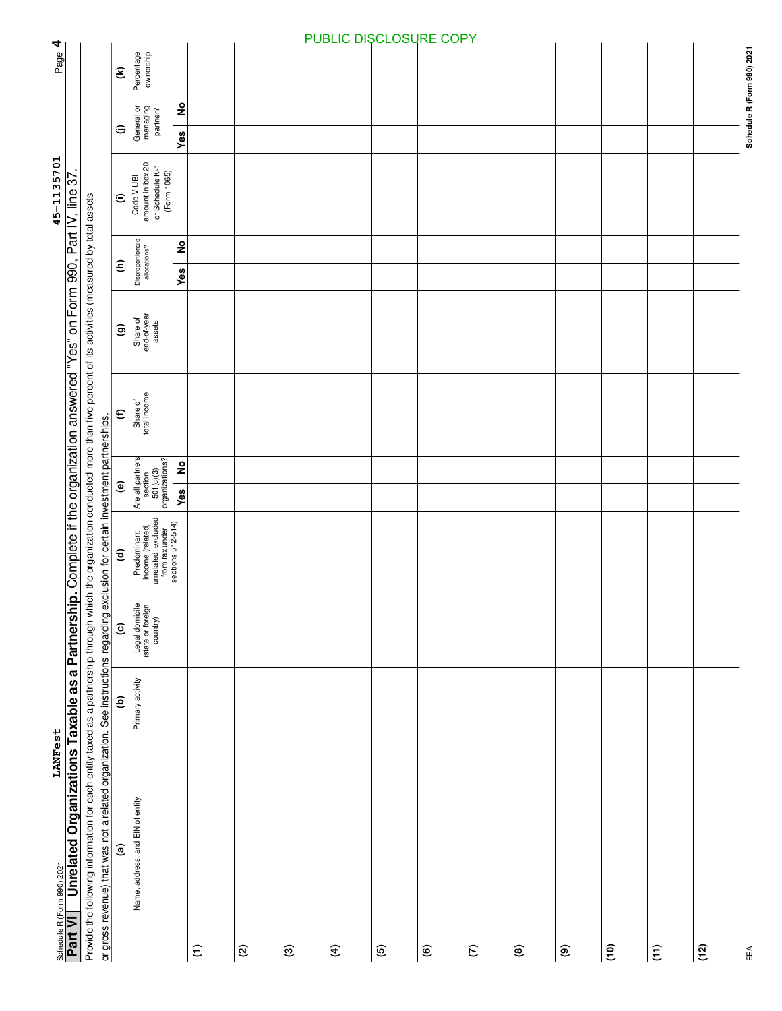| 4                                     |                                                                                                                                    |                                                                                                                                                                                      |                                                                                   |                        |                                                                                               |                   |                 |                |                          | PUBLIC DISCLOSURE COPY |   |                        |   |               |                |               |               |      |                            |
|---------------------------------------|------------------------------------------------------------------------------------------------------------------------------------|--------------------------------------------------------------------------------------------------------------------------------------------------------------------------------------|-----------------------------------------------------------------------------------|------------------------|-----------------------------------------------------------------------------------------------|-------------------|-----------------|----------------|--------------------------|------------------------|---|------------------------|---|---------------|----------------|---------------|---------------|------|----------------------------|
| Page                                  |                                                                                                                                    |                                                                                                                                                                                      |                                                                                   | €                      | Percentage<br>ownership                                                                       |                   |                 |                |                          |                        |   |                        |   |               |                |               |               |      |                            |
|                                       |                                                                                                                                    |                                                                                                                                                                                      |                                                                                   | $\ominus$              | General or<br>managing<br>partner?                                                            | ş<br>Yes          |                 |                |                          |                        |   |                        |   |               |                |               |               |      | Schedule R (Form 990) 2021 |
| 45-1135701                            |                                                                                                                                    |                                                                                                                                                                                      |                                                                                   | $\widehat{\cdot}$      | amount in box 20<br>of Schedule K-1<br>(Form 1065)<br>Code V-UBI                              |                   |                 |                |                          |                        |   |                        |   |               |                |               |               |      |                            |
|                                       |                                                                                                                                    |                                                                                                                                                                                      |                                                                                   |                        |                                                                                               | $\frac{1}{2}$     |                 |                |                          |                        |   |                        |   |               |                |               |               |      |                            |
|                                       |                                                                                                                                    |                                                                                                                                                                                      |                                                                                   | ε                      | Disproportionate                                                                              | Yes               |                 |                |                          |                        |   |                        |   |               |                |               |               |      |                            |
|                                       |                                                                                                                                    |                                                                                                                                                                                      |                                                                                   | ම                      | Share of<br>end-of-year<br>assets                                                             |                   |                 |                |                          |                        |   |                        |   |               |                |               |               |      |                            |
|                                       |                                                                                                                                    |                                                                                                                                                                                      |                                                                                   | $\epsilon$             | Share of<br>total income                                                                      |                   |                 |                |                          |                        |   |                        |   |               |                |               |               |      |                            |
|                                       |                                                                                                                                    |                                                                                                                                                                                      |                                                                                   | $\widehat{\mathbf{e}}$ | Are all partners<br>section<br>501(c)(3)<br>organizations?                                    | $\epsilon$<br>Yes |                 |                |                          |                        |   |                        |   |               |                |               |               |      |                            |
|                                       |                                                                                                                                    |                                                                                                                                                                                      | exclusion for certain investment partnerships.                                    | $\widehat{\mathbf{c}}$ | Predominant<br>income (related,<br>unrelated, excluded<br>from tax under<br>sections 512-514) |                   |                 |                |                          |                        |   |                        |   |               |                |               |               |      |                            |
|                                       |                                                                                                                                    |                                                                                                                                                                                      |                                                                                   | $\widehat{\mathbf{c}}$ | Legal domicile<br>(state or foreign)<br>country)                                              |                   |                 |                |                          |                        |   |                        |   |               |                |               |               |      |                            |
|                                       |                                                                                                                                    |                                                                                                                                                                                      |                                                                                   | $\widehat{\mathbf{e}}$ | Primary activity                                                                              |                   |                 |                |                          |                        |   |                        |   |               |                |               |               |      |                            |
| LANFest<br>Schedule R (Form 990) 2021 | <b>Unrelated Organizations Taxable as a Partnership.</b> Complete if the organization answered "Yes" on Form 990, Part IV, line 37 | Provide the following information for each entity taxed as a partnership through which the organization conducted more than five percent of its activities (measured by total assets | or gross revenue) that was not a related organization. See instructions regarding | $\widehat{\mathbf{e}}$ | Name, address, and EIN of entity                                                              |                   |                 |                |                          |                        |   |                        |   |               |                |               |               |      |                            |
|                                       | Part VI                                                                                                                            |                                                                                                                                                                                      |                                                                                   |                        |                                                                                               |                   | $\widehat{\Xi}$ | $\mathfrak{D}$ | $\widehat{\mathfrak{G}}$ | $\widehat{\mathbf{f}}$ | ම | $\widehat{\mathbf{e}}$ | E | $\circledast$ | $\circledcirc$ | $\frac{6}{5}$ | $\widehat{E}$ | (12) | EEA                        |